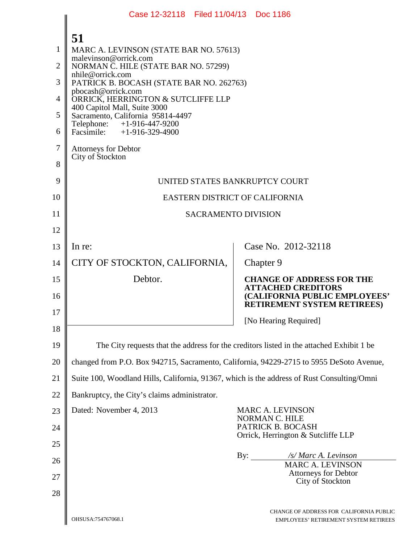|                                                                | Case 12-32118 Filed 11/04/13 Doc 1186                                                                                                                                                                                                                                                                                                                                                                                         |     |           |                                                                                  |
|----------------------------------------------------------------|-------------------------------------------------------------------------------------------------------------------------------------------------------------------------------------------------------------------------------------------------------------------------------------------------------------------------------------------------------------------------------------------------------------------------------|-----|-----------|----------------------------------------------------------------------------------|
| 1<br>$\overline{2}$<br>3<br>4<br>5<br>6<br>$\overline{7}$<br>8 | 51<br>MARC A. LEVINSON (STATE BAR NO. 57613)<br>malevinson@orrick.com<br>NORMAN C. HILE (STATE BAR NO. 57299)<br>nhile@orrick.com<br>PATRICK B. BOCASH (STATE BAR NO. 262763)<br>pbocash@orrick.com<br>ORRICK, HERRINGTON & SUTCLIFFE LLP<br>400 Capitol Mall, Suite 3000<br>Sacramento, California 95814-4497<br>Telephone: +1-916-447-9200<br>Facsimile: +1-916-329-4900<br><b>Attorneys for Debtor</b><br>City of Stockton |     |           |                                                                                  |
| 9                                                              | UNITED STATES BANKRUPTCY COURT                                                                                                                                                                                                                                                                                                                                                                                                |     |           |                                                                                  |
| 10                                                             | EASTERN DISTRICT OF CALIFORNIA                                                                                                                                                                                                                                                                                                                                                                                                |     |           |                                                                                  |
| 11                                                             | <b>SACRAMENTO DIVISION</b>                                                                                                                                                                                                                                                                                                                                                                                                    |     |           |                                                                                  |
| 12                                                             |                                                                                                                                                                                                                                                                                                                                                                                                                               |     |           |                                                                                  |
| 13                                                             | In re:                                                                                                                                                                                                                                                                                                                                                                                                                        |     |           | Case No. 2012-32118                                                              |
| 14                                                             | CITY OF STOCKTON, CALIFORNIA,                                                                                                                                                                                                                                                                                                                                                                                                 |     | Chapter 9 |                                                                                  |
| 15                                                             | Debtor.                                                                                                                                                                                                                                                                                                                                                                                                                       |     |           | <b>CHANGE OF ADDRESS FOR THE</b><br><b>ATTACHED CREDITORS</b>                    |
| 16                                                             |                                                                                                                                                                                                                                                                                                                                                                                                                               |     |           | (CALIFORNIA PUBLIC EMPLOYEES'<br><b>RETIREMENT SYSTEM RETIREES)</b>              |
| 17                                                             |                                                                                                                                                                                                                                                                                                                                                                                                                               |     |           | [No Hearing Required]                                                            |
| 18                                                             |                                                                                                                                                                                                                                                                                                                                                                                                                               |     |           |                                                                                  |
| 19                                                             | The City requests that the address for the creditors listed in the attached Exhibit 1 be                                                                                                                                                                                                                                                                                                                                      |     |           |                                                                                  |
| 20                                                             | changed from P.O. Box 942715, Sacramento, California, 94229-2715 to 5955 DeSoto Avenue,                                                                                                                                                                                                                                                                                                                                       |     |           |                                                                                  |
| 21                                                             | Suite 100, Woodland Hills, California, 91367, which is the address of Rust Consulting/Omni                                                                                                                                                                                                                                                                                                                                    |     |           |                                                                                  |
| 22                                                             | Bankruptcy, the City's claims administrator.                                                                                                                                                                                                                                                                                                                                                                                  |     |           |                                                                                  |
| 23                                                             | Dated: November 4, 2013                                                                                                                                                                                                                                                                                                                                                                                                       |     |           | <b>MARC A. LEVINSON</b><br>NORMAN C. HILE<br>PATRICK B. BOCASH                   |
| 24<br>25                                                       |                                                                                                                                                                                                                                                                                                                                                                                                                               |     |           | Orrick, Herrington & Sutcliffe LLP                                               |
| 26                                                             |                                                                                                                                                                                                                                                                                                                                                                                                                               | By: |           | /s/ Marc A. Levinson                                                             |
| 27                                                             |                                                                                                                                                                                                                                                                                                                                                                                                                               |     |           | <b>MARC A. LEVINSON</b><br><b>Attorneys for Debtor</b>                           |
| 28                                                             |                                                                                                                                                                                                                                                                                                                                                                                                                               |     |           | City of Stockton                                                                 |
|                                                                | OHSUSA:754767068.1                                                                                                                                                                                                                                                                                                                                                                                                            |     |           | CHANGE OF ADDRESS FOR CALIFORNIA PUBLIC<br>EMPLOYEES' RETIREMENT SYSTEM RETIREES |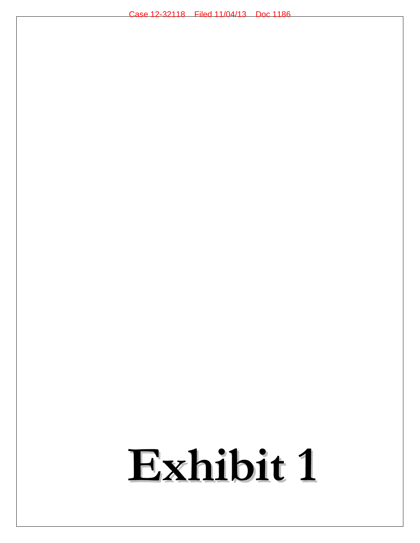# **Exhibit 1**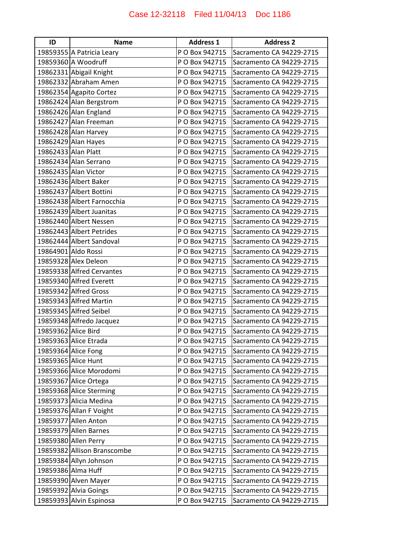| ID                  | <b>Name</b>                 | <b>Address 1</b> | <b>Address 2</b>         |
|---------------------|-----------------------------|------------------|--------------------------|
|                     | 19859355 A Patricia Leary   | P O Box 942715   | Sacramento CA 94229-2715 |
|                     | 19859360 A Woodruff         | P O Box 942715   | Sacramento CA 94229-2715 |
|                     | 19862331 Abigail Knight     | P O Box 942715   | Sacramento CA 94229-2715 |
|                     | 19862332 Abraham Amen       | P O Box 942715   | Sacramento CA 94229-2715 |
|                     | 19862354 Agapito Cortez     | P O Box 942715   | Sacramento CA 94229-2715 |
|                     | 19862424 Alan Bergstrom     | P O Box 942715   | Sacramento CA 94229-2715 |
|                     | 19862426 Alan England       | P O Box 942715   | Sacramento CA 94229-2715 |
|                     | 19862427 Alan Freeman       | P O Box 942715   | Sacramento CA 94229-2715 |
|                     | 19862428 Alan Harvey        | P O Box 942715   | Sacramento CA 94229-2715 |
|                     | 19862429 Alan Hayes         | P O Box 942715   | Sacramento CA 94229-2715 |
| 19862433 Alan Platt |                             | P O Box 942715   | Sacramento CA 94229-2715 |
|                     | 19862434 Alan Serrano       | P O Box 942715   | Sacramento CA 94229-2715 |
|                     | 19862435 Alan Victor        | P O Box 942715   | Sacramento CA 94229-2715 |
|                     | 19862436 Albert Baker       | P O Box 942715   | Sacramento CA 94229-2715 |
|                     | 19862437 Albert Bottini     | P O Box 942715   | Sacramento CA 94229-2715 |
|                     | 19862438 Albert Farnocchia  | P O Box 942715   | Sacramento CA 94229-2715 |
|                     | 19862439 Albert Juanitas    | P O Box 942715   | Sacramento CA 94229-2715 |
|                     | 19862440 Albert Nessen      | P O Box 942715   | Sacramento CA 94229-2715 |
|                     | 19862443 Albert Petrides    | P O Box 942715   | Sacramento CA 94229-2715 |
|                     | 19862444 Albert Sandoval    | P O Box 942715   | Sacramento CA 94229-2715 |
|                     | 19864901 Aldo Rossi         | P O Box 942715   | Sacramento CA 94229-2715 |
|                     | 19859328 Alex Deleon        | P O Box 942715   | Sacramento CA 94229-2715 |
|                     | 19859338 Alfred Cervantes   | P O Box 942715   | Sacramento CA 94229-2715 |
|                     | 19859340 Alfred Everett     | P O Box 942715   | Sacramento CA 94229-2715 |
|                     | 19859342 Alfred Gross       | P O Box 942715   | Sacramento CA 94229-2715 |
|                     | 19859343 Alfred Martin      | P O Box 942715   | Sacramento CA 94229-2715 |
|                     | 19859345 Alfred Seibel      | P O Box 942715   | Sacramento CA 94229-2715 |
|                     | 19859348 Alfredo Jacquez    | P O Box 942715   | Sacramento CA 94229-2715 |
| 19859362 Alice Bird |                             | P O Box 942715   | Sacramento CA 94229-2715 |
|                     | 19859363 Alice Etrada       | P O Box 942715   | Sacramento CA 94229-2715 |
|                     | 19859364 Alice Fong         | P O Box 942715   | Sacramento CA 94229-2715 |
|                     | 19859365 Alice Hunt         | P O Box 942715   | Sacramento CA 94229-2715 |
|                     | 19859366 Alice Morodomi     | P O Box 942715   | Sacramento CA 94229-2715 |
|                     | 19859367 Alice Ortega       | P O Box 942715   | Sacramento CA 94229-2715 |
|                     | 19859368 Alice Sterming     | P O Box 942715   | Sacramento CA 94229-2715 |
|                     | 19859373 Alicia Medina      | P O Box 942715   | Sacramento CA 94229-2715 |
|                     | 19859376 Allan F Voight     | P O Box 942715   | Sacramento CA 94229-2715 |
|                     | 19859377 Allen Anton        | P O Box 942715   | Sacramento CA 94229-2715 |
|                     | 19859379 Allen Barnes       | P O Box 942715   | Sacramento CA 94229-2715 |
|                     | 19859380 Allen Perry        | P O Box 942715   | Sacramento CA 94229-2715 |
|                     | 19859382 Allison Branscombe | P O Box 942715   | Sacramento CA 94229-2715 |
|                     | 19859384 Allyn Johnson      | P O Box 942715   | Sacramento CA 94229-2715 |
|                     | 19859386 Alma Huff          | P O Box 942715   | Sacramento CA 94229-2715 |
|                     | 19859390 Alven Mayer        | P O Box 942715   | Sacramento CA 94229-2715 |
|                     | 19859392 Alvia Goings       | P O Box 942715   | Sacramento CA 94229-2715 |
|                     | 19859393 Alvin Espinosa     | P O Box 942715   | Sacramento CA 94229-2715 |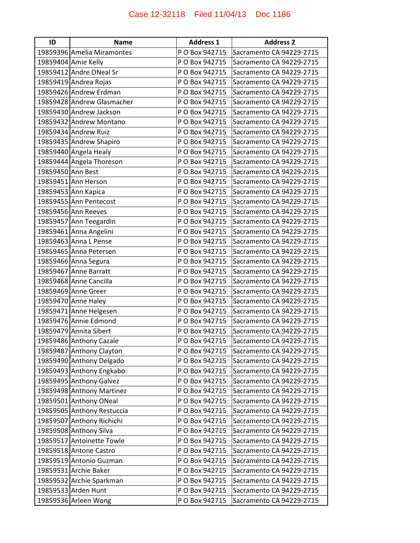| ID                | <b>Name</b>                | <b>Address 1</b> | <b>Address 2</b>         |
|-------------------|----------------------------|------------------|--------------------------|
|                   | 19859396 Amelia Miramontes | P O Box 942715   | Sacramento CA 94229-2715 |
|                   | 19859404 Amie Kelly        | P O Box 942715   | Sacramento CA 94229-2715 |
|                   | 19859412 Andre ONeal Sr    | P O Box 942715   | Sacramento CA 94229-2715 |
|                   | 19859419 Andrea Rojas      | P O Box 942715   | Sacramento CA 94229-2715 |
|                   | 19859426 Andrew Erdman     | P O Box 942715   | Sacramento CA 94229-2715 |
|                   | 19859428 Andrew Glasmacher | P O Box 942715   | Sacramento CA 94229-2715 |
|                   | 19859430 Andrew Jackson    | P O Box 942715   | Sacramento CA 94229-2715 |
|                   | 19859432 Andrew Montano    | P O Box 942715   | Sacramento CA 94229-2715 |
|                   | 19859434 Andrew Ruiz       | P O Box 942715   | Sacramento CA 94229-2715 |
|                   | 19859435 Andrew Shapiro    | P O Box 942715   | Sacramento CA 94229-2715 |
|                   | 19859440 Angela Healy      | P O Box 942715   | Sacramento CA 94229-2715 |
|                   | 19859444 Angela Thoreson   | P O Box 942715   | Sacramento CA 94229-2715 |
| 19859450 Ann Best |                            | P O Box 942715   | Sacramento CA 94229-2715 |
|                   | 19859451 Ann Herson        | P O Box 942715   | Sacramento CA 94229-2715 |
|                   | 19859453 Ann Kapica        | P O Box 942715   | Sacramento CA 94229-2715 |
|                   | 19859455 Ann Pentecost     | P O Box 942715   | Sacramento CA 94229-2715 |
|                   | 19859456 Ann Reeves        | P O Box 942715   | Sacramento CA 94229-2715 |
|                   | 19859457 Ann Teegardin     | P O Box 942715   | Sacramento CA 94229-2715 |
|                   | 19859461 Anna Angelini     | P O Box 942715   | Sacramento CA 94229-2715 |
|                   | 19859463 Anna L Pense      | P O Box 942715   | Sacramento CA 94229-2715 |
|                   | 19859465 Anna Petersen     | P O Box 942715   | Sacramento CA 94229-2715 |
|                   | 19859466 Anna Segura       | P O Box 942715   | Sacramento CA 94229-2715 |
|                   | 19859467 Anne Barratt      | P O Box 942715   | Sacramento CA 94229-2715 |
|                   | 19859468 Anne Cancilla     | P O Box 942715   | Sacramento CA 94229-2715 |
|                   | 19859469 Anne Greer        | P O Box 942715   | Sacramento CA 94229-2715 |
|                   | 19859470 Anne Haley        | P O Box 942715   | Sacramento CA 94229-2715 |
|                   | 19859471 Anne Helgesen     | P O Box 942715   | Sacramento CA 94229-2715 |
|                   | 19859476 Annie Edmond      | P O Box 942715   | Sacramento CA 94229-2715 |
|                   | 19859479 Annita Sibert     | P O Box 942715   | Sacramento CA 94229-2715 |
|                   | 19859486 Anthony Cazale    | P O Box 942715   | Sacramento CA 94229-2715 |
|                   | 19859487 Anthony Clayton   | P O Box 942715   | Sacramento CA 94229-2715 |
|                   | 19859490 Anthony Delgado   | P O Box 942715   | Sacramento CA 94229-2715 |
|                   | 19859493 Anthony Engkabo   | P O Box 942715   | Sacramento CA 94229-2715 |
|                   | 19859495 Anthony Galvez    | P O Box 942715   | Sacramento CA 94229-2715 |
|                   | 19859498 Anthony Martinez  | P O Box 942715   | Sacramento CA 94229-2715 |
|                   | 19859501 Anthony ONeal     | P O Box 942715   | Sacramento CA 94229-2715 |
|                   | 19859505 Anthony Restuccia | P O Box 942715   | Sacramento CA 94229-2715 |
|                   | 19859507 Anthony Richichi  | P O Box 942715   | Sacramento CA 94229-2715 |
|                   | 19859508 Anthony Silva     | P O Box 942715   | Sacramento CA 94229-2715 |
|                   | 19859517 Antoinette Towle  | P O Box 942715   | Sacramento CA 94229-2715 |
|                   | 19859518 Antone Castro     | P O Box 942715   | Sacramento CA 94229-2715 |
|                   | 19859519 Antonio Guzman    | P O Box 942715   | Sacramento CA 94229-2715 |
|                   | 19859531 Archie Baker      | P O Box 942715   | Sacramento CA 94229-2715 |
|                   | 19859532 Archie Sparkman   | P O Box 942715   | Sacramento CA 94229-2715 |
|                   | 19859533 Arden Hunt        | P O Box 942715   | Sacramento CA 94229-2715 |
|                   | 19859536 Arleen Wong       | P O Box 942715   | Sacramento CA 94229-2715 |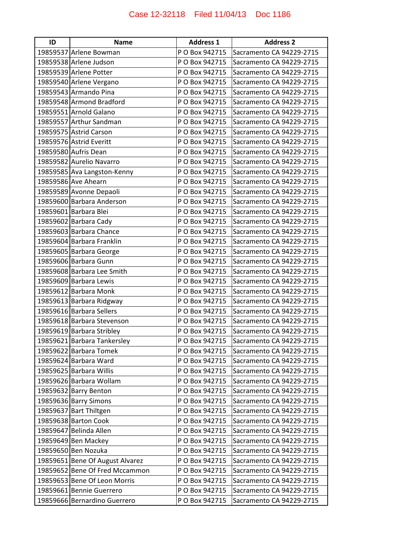| ID | <b>Name</b>                     | <b>Address 1</b> | <b>Address 2</b>         |
|----|---------------------------------|------------------|--------------------------|
|    | 19859537 Arlene Bowman          | P O Box 942715   | Sacramento CA 94229-2715 |
|    | 19859538 Arlene Judson          | P O Box 942715   | Sacramento CA 94229-2715 |
|    | 19859539 Arlene Potter          | P O Box 942715   | Sacramento CA 94229-2715 |
|    | 19859540 Arlene Vergano         | P O Box 942715   | Sacramento CA 94229-2715 |
|    | 19859543 Armando Pina           | P O Box 942715   | Sacramento CA 94229-2715 |
|    | 19859548 Armond Bradford        | P O Box 942715   | Sacramento CA 94229-2715 |
|    | 19859551 Arnold Galano          | P O Box 942715   | Sacramento CA 94229-2715 |
|    | 19859557 Arthur Sandman         | P O Box 942715   | Sacramento CA 94229-2715 |
|    | 19859575 Astrid Carson          | P O Box 942715   | Sacramento CA 94229-2715 |
|    | 19859576 Astrid Everitt         | P O Box 942715   | Sacramento CA 94229-2715 |
|    | 19859580 Aufris Dean            | P O Box 942715   | Sacramento CA 94229-2715 |
|    | 19859582 Aurelio Navarro        | P O Box 942715   | Sacramento CA 94229-2715 |
|    | 19859585 Ava Langston-Kenny     | P O Box 942715   | Sacramento CA 94229-2715 |
|    | 19859586 Ave Ahearn             | P O Box 942715   | Sacramento CA 94229-2715 |
|    | 19859589 Avonne Depaoli         | P O Box 942715   | Sacramento CA 94229-2715 |
|    | 19859600 Barbara Anderson       | P O Box 942715   | Sacramento CA 94229-2715 |
|    | 19859601 Barbara Blei           | P O Box 942715   | Sacramento CA 94229-2715 |
|    | 19859602 Barbara Cady           | P O Box 942715   | Sacramento CA 94229-2715 |
|    | 19859603 Barbara Chance         | P O Box 942715   | Sacramento CA 94229-2715 |
|    | 19859604 Barbara Franklin       | P O Box 942715   | Sacramento CA 94229-2715 |
|    | 19859605 Barbara George         | P O Box 942715   | Sacramento CA 94229-2715 |
|    | 19859606 Barbara Gunn           | P O Box 942715   | Sacramento CA 94229-2715 |
|    | 19859608 Barbara Lee Smith      | P O Box 942715   | Sacramento CA 94229-2715 |
|    | 19859609 Barbara Lewis          | P O Box 942715   | Sacramento CA 94229-2715 |
|    | 19859612 Barbara Monk           | P O Box 942715   | Sacramento CA 94229-2715 |
|    | 19859613 Barbara Ridgway        | P O Box 942715   | Sacramento CA 94229-2715 |
|    | 19859616 Barbara Sellers        | P O Box 942715   | Sacramento CA 94229-2715 |
|    | 19859618 Barbara Stevenson      | P O Box 942715   | Sacramento CA 94229-2715 |
|    | 19859619 Barbara Stribley       | P O Box 942715   | Sacramento CA 94229-2715 |
|    | 19859621 Barbara Tankersley     | P O Box 942715   | Sacramento CA 94229-2715 |
|    | 19859622 Barbara Tomek          | P O Box 942715   | Sacramento CA 94229-2715 |
|    | 19859624 Barbara Ward           | P O Box 942715   | Sacramento CA 94229-2715 |
|    | 19859625 Barbara Willis         | P O Box 942715   | Sacramento CA 94229-2715 |
|    | 19859626 Barbara Wollam         | P O Box 942715   | Sacramento CA 94229-2715 |
|    | 19859632 Barry Benton           | P O Box 942715   | Sacramento CA 94229-2715 |
|    | 19859636 Barry Simons           | P O Box 942715   | Sacramento CA 94229-2715 |
|    | 19859637 Bart Thiltgen          | P O Box 942715   | Sacramento CA 94229-2715 |
|    | 19859638 Barton Cook            | P O Box 942715   | Sacramento CA 94229-2715 |
|    | 19859647 Belinda Allen          | P O Box 942715   | Sacramento CA 94229-2715 |
|    | 19859649 Ben Mackey             | P O Box 942715   | Sacramento CA 94229-2715 |
|    | 19859650 Ben Nozuka             | P O Box 942715   | Sacramento CA 94229-2715 |
|    | 19859651 Bene Of August Alvarez | P O Box 942715   | Sacramento CA 94229-2715 |
|    | 19859652 Bene Of Fred Mccammon  | P O Box 942715   | Sacramento CA 94229-2715 |
|    | 19859653 Bene Of Leon Morris    | P O Box 942715   | Sacramento CA 94229-2715 |
|    | 19859661 Bennie Guerrero        | P O Box 942715   | Sacramento CA 94229-2715 |
|    | 19859666 Bernardino Guerrero    | P O Box 942715   | Sacramento CA 94229-2715 |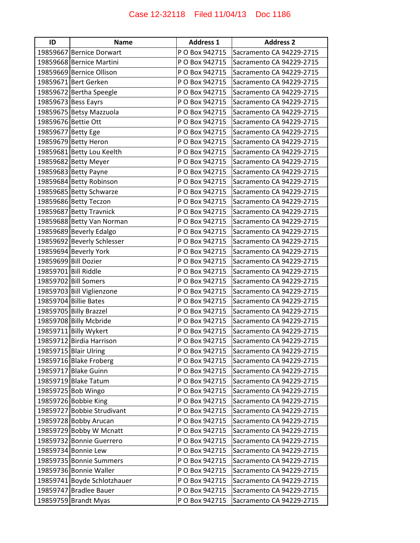| ID                   | <b>Name</b>                 | <b>Address 1</b> | <b>Address 2</b>         |
|----------------------|-----------------------------|------------------|--------------------------|
|                      | 19859667 Bernice Dorwart    | P O Box 942715   | Sacramento CA 94229-2715 |
|                      | 19859668 Bernice Martini    | P O Box 942715   | Sacramento CA 94229-2715 |
|                      | 19859669 Bernice Ollison    | P O Box 942715   | Sacramento CA 94229-2715 |
|                      | 19859671 Bert Gerken        | P O Box 942715   | Sacramento CA 94229-2715 |
|                      | 19859672 Bertha Speegle     | P O Box 942715   | Sacramento CA 94229-2715 |
|                      | 19859673 Bess Eayrs         | P O Box 942715   | Sacramento CA 94229-2715 |
|                      | 19859675 Betsy Mazzuola     | P O Box 942715   | Sacramento CA 94229-2715 |
| 19859676 Bettie Ott  |                             | P O Box 942715   | Sacramento CA 94229-2715 |
| 19859677 Betty Ege   |                             | P O Box 942715   | Sacramento CA 94229-2715 |
|                      | 19859679 Betty Heron        | P O Box 942715   | Sacramento CA 94229-2715 |
|                      | 19859681 Betty Lou Keelth   | P O Box 942715   | Sacramento CA 94229-2715 |
|                      | 19859682 Betty Meyer        | P O Box 942715   | Sacramento CA 94229-2715 |
|                      | 19859683 Betty Payne        | P O Box 942715   | Sacramento CA 94229-2715 |
|                      | 19859684 Betty Robinson     | P O Box 942715   | Sacramento CA 94229-2715 |
|                      | 19859685 Betty Schwarze     | P O Box 942715   | Sacramento CA 94229-2715 |
|                      | 19859686 Betty Teczon       | P O Box 942715   | Sacramento CA 94229-2715 |
|                      | 19859687 Betty Travnick     | P O Box 942715   | Sacramento CA 94229-2715 |
|                      | 19859688 Betty Van Norman   | P O Box 942715   | Sacramento CA 94229-2715 |
|                      | 19859689 Beverly Edalgo     | P O Box 942715   | Sacramento CA 94229-2715 |
|                      | 19859692 Beverly Schlesser  | P O Box 942715   | Sacramento CA 94229-2715 |
|                      | 19859694 Beverly York       | P O Box 942715   | Sacramento CA 94229-2715 |
|                      | 19859699 Bill Dozier        | P O Box 942715   | Sacramento CA 94229-2715 |
| 19859701 Bill Riddle |                             | P O Box 942715   | Sacramento CA 94229-2715 |
|                      | 19859702 Bill Somers        | P O Box 942715   | Sacramento CA 94229-2715 |
|                      | 19859703 Bill Viglienzone   | P O Box 942715   | Sacramento CA 94229-2715 |
|                      | 19859704 Billie Bates       | P O Box 942715   | Sacramento CA 94229-2715 |
|                      | 19859705 Billy Brazzel      | P O Box 942715   | Sacramento CA 94229-2715 |
|                      | 19859708 Billy Mcbride      | P O Box 942715   | Sacramento CA 94229-2715 |
|                      | 19859711 Billy Wykert       | P O Box 942715   | Sacramento CA 94229-2715 |
|                      | 19859712 Birdia Harrison    | P O Box 942715   | Sacramento CA 94229-2715 |
|                      | 19859715 Blair Ulring       | P O Box 942715   | Sacramento CA 94229-2715 |
|                      | 19859716 Blake Froberg      | P O Box 942715   | Sacramento CA 94229-2715 |
|                      | 19859717 Blake Guinn        | P O Box 942715   | Sacramento CA 94229-2715 |
|                      | 19859719 Blake Tatum        | P O Box 942715   | Sacramento CA 94229-2715 |
|                      | 19859725 Bob Wingo          | P O Box 942715   | Sacramento CA 94229-2715 |
|                      | 19859726 Bobbie King        | P O Box 942715   | Sacramento CA 94229-2715 |
|                      | 19859727 Bobbie Strudivant  | P O Box 942715   | Sacramento CA 94229-2715 |
|                      | 19859728 Bobby Arucan       | P O Box 942715   | Sacramento CA 94229-2715 |
|                      | 19859729 Bobby W Mcnatt     | P O Box 942715   | Sacramento CA 94229-2715 |
|                      | 19859732 Bonnie Guerrero    | P O Box 942715   | Sacramento CA 94229-2715 |
|                      | 19859734 Bonnie Lew         | P O Box 942715   | Sacramento CA 94229-2715 |
|                      | 19859735 Bonnie Summers     | P O Box 942715   | Sacramento CA 94229-2715 |
|                      | 19859736 Bonnie Waller      | P O Box 942715   | Sacramento CA 94229-2715 |
|                      | 19859741 Boyde Schlotzhauer | P O Box 942715   | Sacramento CA 94229-2715 |
|                      | 19859747 Bradlee Bauer      | P O Box 942715   | Sacramento CA 94229-2715 |
|                      | 19859759 Brandt Myas        | P O Box 942715   | Sacramento CA 94229-2715 |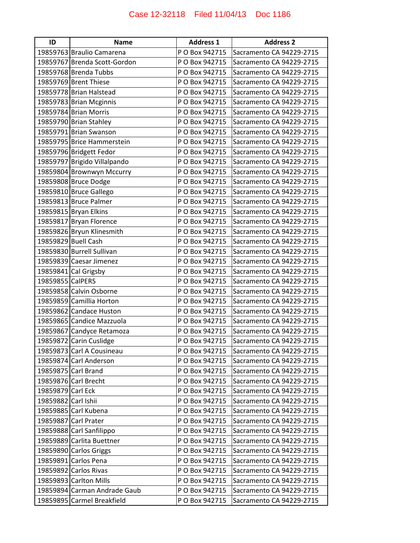| ID                  | <b>Name</b>                  | <b>Address 1</b> | <b>Address 2</b>         |
|---------------------|------------------------------|------------------|--------------------------|
|                     | 19859763 Braulio Camarena    | P O Box 942715   | Sacramento CA 94229-2715 |
|                     | 19859767 Brenda Scott-Gordon | P O Box 942715   | Sacramento CA 94229-2715 |
|                     | 19859768 Brenda Tubbs        | P O Box 942715   | Sacramento CA 94229-2715 |
|                     | 19859769 Brent Thiese        | P O Box 942715   | Sacramento CA 94229-2715 |
|                     | 19859778 Brian Halstead      | P O Box 942715   | Sacramento CA 94229-2715 |
|                     | 19859783 Brian Mcginnis      | P O Box 942715   | Sacramento CA 94229-2715 |
|                     | 19859784 Brian Morris        | P O Box 942715   | Sacramento CA 94229-2715 |
|                     | 19859790 Brian Stahley       | P O Box 942715   | Sacramento CA 94229-2715 |
|                     | 19859791 Brian Swanson       | P O Box 942715   | Sacramento CA 94229-2715 |
|                     | 19859795 Brice Hammerstein   | P O Box 942715   | Sacramento CA 94229-2715 |
|                     | 19859796 Bridgett Fedor      | P O Box 942715   | Sacramento CA 94229-2715 |
|                     | 19859797 Brigido Villalpando | P O Box 942715   | Sacramento CA 94229-2715 |
|                     | 19859804 Brownwyn Mccurry    | P O Box 942715   | Sacramento CA 94229-2715 |
|                     | 19859808 Bruce Dodge         | P O Box 942715   | Sacramento CA 94229-2715 |
|                     | 19859810 Bruce Gallego       | P O Box 942715   | Sacramento CA 94229-2715 |
|                     | 19859813 Bruce Palmer        | P O Box 942715   | Sacramento CA 94229-2715 |
|                     | 19859815 Bryan Elkins        | P O Box 942715   | Sacramento CA 94229-2715 |
|                     | 19859817 Bryan Florence      | P O Box 942715   | Sacramento CA 94229-2715 |
|                     | 19859826 Bryun Klinesmith    | P O Box 942715   | Sacramento CA 94229-2715 |
|                     | 19859829 Buell Cash          | P O Box 942715   | Sacramento CA 94229-2715 |
|                     | 19859830 Burrell Sullivan    | P O Box 942715   | Sacramento CA 94229-2715 |
|                     | 19859839 Caesar Jimenez      | P O Box 942715   | Sacramento CA 94229-2715 |
|                     | 19859841 Cal Grigsby         | P O Box 942715   | Sacramento CA 94229-2715 |
| 19859855 CalPERS    |                              | P O Box 942715   | Sacramento CA 94229-2715 |
|                     | 19859858 Calvin Osborne      | P O Box 942715   | Sacramento CA 94229-2715 |
|                     | 19859859 Camillia Horton     | P O Box 942715   | Sacramento CA 94229-2715 |
|                     | 19859862 Candace Huston      | P O Box 942715   | Sacramento CA 94229-2715 |
|                     | 19859865 Candice Mazzuola    | P O Box 942715   | Sacramento CA 94229-2715 |
|                     | 19859867 Candyce Retamoza    | P O Box 942715   | Sacramento CA 94229-2715 |
|                     | 19859872 Carin Cuslidge      | P O Box 942715   | Sacramento CA 94229-2715 |
|                     | 19859873 Carl A Cousineau    | P O Box 942715   | Sacramento CA 94229-2715 |
|                     | 19859874 Carl Anderson       | P O Box 942715   | Sacramento CA 94229-2715 |
|                     | 19859875 Carl Brand          | P O Box 942715   | Sacramento CA 94229-2715 |
|                     | 19859876 Carl Brecht         | P O Box 942715   | Sacramento CA 94229-2715 |
| 19859879 Carl Eck   |                              | P O Box 942715   | Sacramento CA 94229-2715 |
| 19859882 Carl Ishii |                              | P O Box 942715   | Sacramento CA 94229-2715 |
|                     | 19859885 Carl Kubena         | P O Box 942715   | Sacramento CA 94229-2715 |
|                     | 19859887 Carl Prater         | P O Box 942715   | Sacramento CA 94229-2715 |
|                     | 19859888 Carl Sanfilippo     | P O Box 942715   | Sacramento CA 94229-2715 |
|                     | 19859889 Carlita Buettner    | P O Box 942715   | Sacramento CA 94229-2715 |
|                     | 19859890 Carlos Griggs       | P O Box 942715   | Sacramento CA 94229-2715 |
|                     | 19859891 Carlos Pena         | P O Box 942715   | Sacramento CA 94229-2715 |
|                     | 19859892 Carlos Rivas        | P O Box 942715   | Sacramento CA 94229-2715 |
|                     | 19859893 Carlton Mills       | P O Box 942715   | Sacramento CA 94229-2715 |
|                     | 19859894 Carman Andrade Gaub | P O Box 942715   | Sacramento CA 94229-2715 |
|                     | 19859895 Carmel Breakfield   | P O Box 942715   | Sacramento CA 94229-2715 |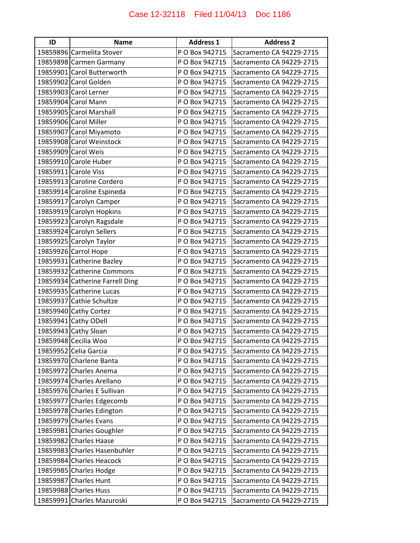| ID | <b>Name</b>                     | <b>Address 1</b> | <b>Address 2</b>         |
|----|---------------------------------|------------------|--------------------------|
|    | 19859896 Carmelita Stover       | P O Box 942715   | Sacramento CA 94229-2715 |
|    | 19859898 Carmen Garmany         | P O Box 942715   | Sacramento CA 94229-2715 |
|    | 19859901 Carol Butterworth      | P O Box 942715   | Sacramento CA 94229-2715 |
|    | 19859902 Carol Golden           | P O Box 942715   | Sacramento CA 94229-2715 |
|    | 19859903 Carol Lerner           | P O Box 942715   | Sacramento CA 94229-2715 |
|    | 19859904 Carol Mann             | P O Box 942715   | Sacramento CA 94229-2715 |
|    | 19859905 Carol Marshall         | P O Box 942715   | Sacramento CA 94229-2715 |
|    | 19859906 Carol Miller           | P O Box 942715   | Sacramento CA 94229-2715 |
|    | 19859907 Carol Miyamoto         | P O Box 942715   | Sacramento CA 94229-2715 |
|    | 19859908 Carol Weinstock        | P O Box 942715   | Sacramento CA 94229-2715 |
|    | 19859909 Carol Weis             | P O Box 942715   | Sacramento CA 94229-2715 |
|    | 19859910 Carole Huber           | P O Box 942715   | Sacramento CA 94229-2715 |
|    | 19859911 Carole Viss            | P O Box 942715   | Sacramento CA 94229-2715 |
|    | 19859913 Caroline Cordero       | P O Box 942715   | Sacramento CA 94229-2715 |
|    | 19859914 Caroline Espineda      | P O Box 942715   | Sacramento CA 94229-2715 |
|    | 19859917 Carolyn Camper         | P O Box 942715   | Sacramento CA 94229-2715 |
|    | 19859919 Carolyn Hopkins        | P O Box 942715   | Sacramento CA 94229-2715 |
|    | 19859923 Carolyn Ragsdale       | P O Box 942715   | Sacramento CA 94229-2715 |
|    | 19859924 Carolyn Sellers        | P O Box 942715   | Sacramento CA 94229-2715 |
|    | 19859925 Carolyn Taylor         | P O Box 942715   | Sacramento CA 94229-2715 |
|    | 19859926 Carrol Hope            | P O Box 942715   | Sacramento CA 94229-2715 |
|    | 19859931 Catherine Bazley       | P O Box 942715   | Sacramento CA 94229-2715 |
|    | 19859932 Catherine Commons      | P O Box 942715   | Sacramento CA 94229-2715 |
|    | 19859934 Catherine Farrell Ding | P O Box 942715   | Sacramento CA 94229-2715 |
|    | 19859935 Catherine Lucas        | P O Box 942715   | Sacramento CA 94229-2715 |
|    | 19859937 Cathie Schultze        | P O Box 942715   | Sacramento CA 94229-2715 |
|    | 19859940 Cathy Cortez           | P O Box 942715   | Sacramento CA 94229-2715 |
|    | 19859941 Cathy ODell            | P O Box 942715   | Sacramento CA 94229-2715 |
|    | 19859943 Cathy Sloan            | P O Box 942715   | Sacramento CA 94229-2715 |
|    | 19859948 Cecilia Woo            | P O Box 942715   | Sacramento CA 94229-2715 |
|    | 19859952 Celia Garcia           | P O Box 942715   | Sacramento CA 94229-2715 |
|    | 19859970 Charlene Banta         | P O Box 942715   | Sacramento CA 94229-2715 |
|    | 19859972 Charles Anema          | P O Box 942715   | Sacramento CA 94229-2715 |
|    | 19859974 Charles Arellano       | P O Box 942715   | Sacramento CA 94229-2715 |
|    | 19859976 Charles E Sullivan     | P O Box 942715   | Sacramento CA 94229-2715 |
|    | 19859977 Charles Edgecomb       | P O Box 942715   | Sacramento CA 94229-2715 |
|    | 19859978 Charles Edington       | P O Box 942715   | Sacramento CA 94229-2715 |
|    | 19859979 Charles Evans          | P O Box 942715   | Sacramento CA 94229-2715 |
|    | 19859981 Charles Goughler       | P O Box 942715   | Sacramento CA 94229-2715 |
|    | 19859982 Charles Haase          | P O Box 942715   | Sacramento CA 94229-2715 |
|    | 19859983 Charles Hasenbuhler    | P O Box 942715   | Sacramento CA 94229-2715 |
|    | 19859984 Charles Heacock        | P O Box 942715   | Sacramento CA 94229-2715 |
|    | 19859985 Charles Hodge          | P O Box 942715   | Sacramento CA 94229-2715 |
|    | 19859987 Charles Hunt           | P O Box 942715   | Sacramento CA 94229-2715 |
|    | 19859988 Charles Huss           | P O Box 942715   | Sacramento CA 94229-2715 |
|    | 19859991 Charles Mazuroski      | P O Box 942715   | Sacramento CA 94229-2715 |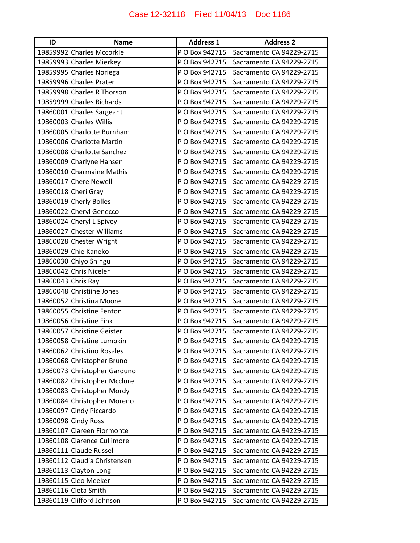| ID                 | <b>Name</b>                  | <b>Address 1</b> | <b>Address 2</b>         |
|--------------------|------------------------------|------------------|--------------------------|
|                    | 19859992 Charles Mccorkle    | P O Box 942715   | Sacramento CA 94229-2715 |
|                    | 19859993 Charles Mierkey     | P O Box 942715   | Sacramento CA 94229-2715 |
|                    | 19859995 Charles Noriega     | P O Box 942715   | Sacramento CA 94229-2715 |
|                    | 19859996 Charles Prater      | P O Box 942715   | Sacramento CA 94229-2715 |
|                    | 19859998 Charles R Thorson   | P O Box 942715   | Sacramento CA 94229-2715 |
|                    | 19859999 Charles Richards    | P O Box 942715   | Sacramento CA 94229-2715 |
|                    | 19860001 Charles Sargeant    | P O Box 942715   | Sacramento CA 94229-2715 |
|                    | 19860003 Charles Willis      | P O Box 942715   | Sacramento CA 94229-2715 |
|                    | 19860005 Charlotte Burnham   | P O Box 942715   | Sacramento CA 94229-2715 |
|                    | 19860006 Charlotte Martin    | P O Box 942715   | Sacramento CA 94229-2715 |
|                    | 19860008 Charlotte Sanchez   | P O Box 942715   | Sacramento CA 94229-2715 |
|                    | 19860009 Charlyne Hansen     | P O Box 942715   | Sacramento CA 94229-2715 |
|                    | 19860010 Charmaine Mathis    | P O Box 942715   | Sacramento CA 94229-2715 |
|                    | 19860017 Chere Newell        | P O Box 942715   | Sacramento CA 94229-2715 |
|                    | 19860018 Cheri Gray          | P O Box 942715   | Sacramento CA 94229-2715 |
|                    | 19860019 Cherly Bolles       | P O Box 942715   | Sacramento CA 94229-2715 |
|                    | 19860022 Cheryl Genecco      | P O Box 942715   | Sacramento CA 94229-2715 |
|                    | 19860024 Cheryl L Spivey     | P O Box 942715   | Sacramento CA 94229-2715 |
|                    | 19860027 Chester Williams    | P O Box 942715   | Sacramento CA 94229-2715 |
|                    | 19860028 Chester Wright      | P O Box 942715   | Sacramento CA 94229-2715 |
|                    | 19860029 Chie Kaneko         | P O Box 942715   | Sacramento CA 94229-2715 |
|                    | 19860030 Chiyo Shingu        | P O Box 942715   | Sacramento CA 94229-2715 |
|                    | 19860042 Chris Niceler       | P O Box 942715   | Sacramento CA 94229-2715 |
| 19860043 Chris Ray |                              | P O Box 942715   | Sacramento CA 94229-2715 |
|                    | 19860048 Christiine Jones    | P O Box 942715   | Sacramento CA 94229-2715 |
|                    | 19860052 Christina Moore     | P O Box 942715   | Sacramento CA 94229-2715 |
|                    | 19860055 Christine Fenton    | P O Box 942715   | Sacramento CA 94229-2715 |
|                    | 19860056 Christine Fink      | P O Box 942715   | Sacramento CA 94229-2715 |
|                    | 19860057 Christine Geister   | P O Box 942715   | Sacramento CA 94229-2715 |
|                    | 19860058 Christine Lumpkin   | P O Box 942715   | Sacramento CA 94229-2715 |
|                    | 19860062 Christino Rosales   | P O Box 942715   | Sacramento CA 94229-2715 |
|                    | 19860068 Christopher Bruno   | P O Box 942715   | Sacramento CA 94229-2715 |
|                    | 19860073 Christopher Garduno | P O Box 942715   | Sacramento CA 94229-2715 |
|                    | 19860082 Christopher Mcclure | P O Box 942715   | Sacramento CA 94229-2715 |
|                    | 19860083 Christopher Mordy   | P O Box 942715   | Sacramento CA 94229-2715 |
|                    | 19860084 Christopher Moreno  | P O Box 942715   | Sacramento CA 94229-2715 |
|                    | 19860097 Cindy Piccardo      | P O Box 942715   | Sacramento CA 94229-2715 |
|                    | 19860098 Cindy Ross          | P O Box 942715   | Sacramento CA 94229-2715 |
|                    | 19860107 Clareen Fiormonte   | P O Box 942715   | Sacramento CA 94229-2715 |
|                    | 19860108 Clarence Cullimore  | P O Box 942715   | Sacramento CA 94229-2715 |
|                    | 19860111 Claude Russell      | P O Box 942715   | Sacramento CA 94229-2715 |
|                    | 19860112 Claudia Christensen | P O Box 942715   | Sacramento CA 94229-2715 |
|                    | 19860113 Clayton Long        | P O Box 942715   | Sacramento CA 94229-2715 |
|                    | 19860115 Cleo Meeker         | P O Box 942715   | Sacramento CA 94229-2715 |
|                    | 19860116 Cleta Smith         | P O Box 942715   | Sacramento CA 94229-2715 |
|                    | 19860119 Clifford Johnson    | P O Box 942715   | Sacramento CA 94229-2715 |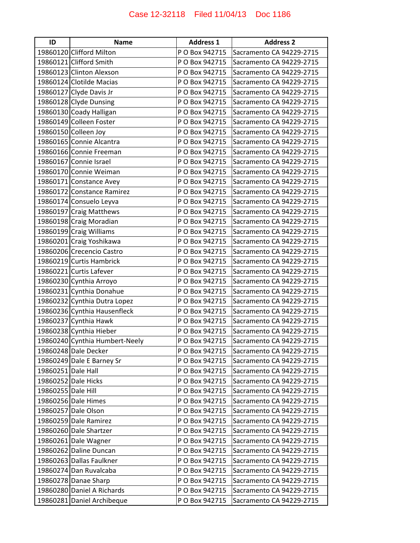| ID                 | <b>Name</b>                    | <b>Address 1</b> | <b>Address 2</b>         |
|--------------------|--------------------------------|------------------|--------------------------|
|                    | 19860120 Clifford Milton       | P O Box 942715   | Sacramento CA 94229-2715 |
|                    | 19860121 Clifford Smith        | P O Box 942715   | Sacramento CA 94229-2715 |
|                    | 19860123 Clinton Alexson       | P O Box 942715   | Sacramento CA 94229-2715 |
|                    | 19860124 Clotilde Macias       | P O Box 942715   | Sacramento CA 94229-2715 |
|                    | 19860127 Clyde Davis Jr        | P O Box 942715   | Sacramento CA 94229-2715 |
|                    | 19860128 Clyde Dunsing         | P O Box 942715   | Sacramento CA 94229-2715 |
|                    | 19860130 Coady Halligan        | P O Box 942715   | Sacramento CA 94229-2715 |
|                    | 19860149 Colleen Foster        | P O Box 942715   | Sacramento CA 94229-2715 |
|                    | 19860150 Colleen Joy           | P O Box 942715   | Sacramento CA 94229-2715 |
|                    | 19860165 Connie Alcantra       | P O Box 942715   | Sacramento CA 94229-2715 |
|                    | 19860166 Connie Freeman        | P O Box 942715   | Sacramento CA 94229-2715 |
|                    | 19860167 Connie Israel         | P O Box 942715   | Sacramento CA 94229-2715 |
|                    | 19860170 Connie Weiman         | P O Box 942715   | Sacramento CA 94229-2715 |
|                    | 19860171 Constance Avey        | P O Box 942715   | Sacramento CA 94229-2715 |
|                    | 19860172 Constance Ramirez     | P O Box 942715   | Sacramento CA 94229-2715 |
|                    | 19860174 Consuelo Leyva        | P O Box 942715   | Sacramento CA 94229-2715 |
|                    | 19860197 Craig Matthews        | P O Box 942715   | Sacramento CA 94229-2715 |
|                    | 19860198 Craig Moradian        | P O Box 942715   | Sacramento CA 94229-2715 |
|                    | 19860199 Craig Williams        | P O Box 942715   | Sacramento CA 94229-2715 |
|                    | 19860201 Craig Yoshikawa       | P O Box 942715   | Sacramento CA 94229-2715 |
|                    | 19860206 Crecencio Castro      | P O Box 942715   | Sacramento CA 94229-2715 |
|                    | 19860219 Curtis Hambrick       | P O Box 942715   | Sacramento CA 94229-2715 |
|                    | 19860221 Curtis Lafever        | P O Box 942715   | Sacramento CA 94229-2715 |
|                    | 19860230 Cynthia Arroyo        | P O Box 942715   | Sacramento CA 94229-2715 |
|                    | 19860231 Cynthia Donahue       | P O Box 942715   | Sacramento CA 94229-2715 |
|                    | 19860232 Cynthia Dutra Lopez   | P O Box 942715   | Sacramento CA 94229-2715 |
|                    | 19860236 Cynthia Hausenfleck   | P O Box 942715   | Sacramento CA 94229-2715 |
|                    | 19860237 Cynthia Hawk          | P O Box 942715   | Sacramento CA 94229-2715 |
|                    | 19860238 Cynthia Hieber        | P O Box 942715   | Sacramento CA 94229-2715 |
|                    | 19860240 Cynthia Humbert-Neely | P O Box 942715   | Sacramento CA 94229-2715 |
|                    | 19860248 Dale Decker           | P O Box 942715   | Sacramento CA 94229-2715 |
|                    | 19860249 Dale E Barney Sr      | P O Box 942715   | Sacramento CA 94229-2715 |
| 19860251 Dale Hall |                                | P O Box 942715   | Sacramento CA 94229-2715 |
|                    | 19860252 Dale Hicks            | P O Box 942715   | Sacramento CA 94229-2715 |
| 19860255 Dale Hill |                                | P O Box 942715   | Sacramento CA 94229-2715 |
|                    | 19860256 Dale Himes            | P O Box 942715   | Sacramento CA 94229-2715 |
|                    | 19860257 Dale Olson            | P O Box 942715   | Sacramento CA 94229-2715 |
|                    | 19860259 Dale Ramirez          | P O Box 942715   | Sacramento CA 94229-2715 |
|                    | 19860260 Dale Shartzer         | P O Box 942715   | Sacramento CA 94229-2715 |
|                    | 19860261 Dale Wagner           | P O Box 942715   | Sacramento CA 94229-2715 |
|                    | 19860262 Daline Duncan         | P O Box 942715   | Sacramento CA 94229-2715 |
|                    | 19860263 Dallas Faulkner       | P O Box 942715   | Sacramento CA 94229-2715 |
|                    | 19860274 Dan Ruvalcaba         | P O Box 942715   | Sacramento CA 94229-2715 |
|                    | 19860278 Danae Sharp           | P O Box 942715   | Sacramento CA 94229-2715 |
|                    | 19860280 Daniel A Richards     | P O Box 942715   | Sacramento CA 94229-2715 |
|                    | 19860281 Daniel Archibeque     | P O Box 942715   | Sacramento CA 94229-2715 |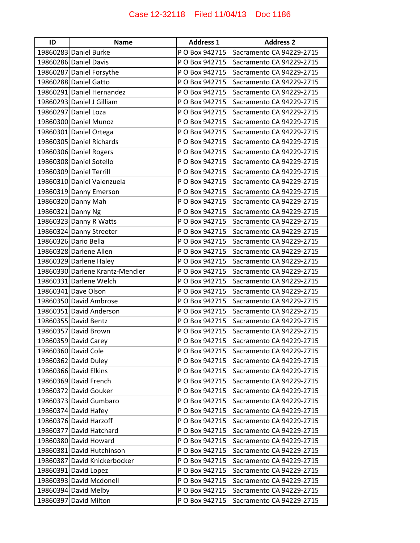| ID                | <b>Name</b>                     | <b>Address 1</b> | <b>Address 2</b>         |
|-------------------|---------------------------------|------------------|--------------------------|
|                   | 19860283 Daniel Burke           | P O Box 942715   | Sacramento CA 94229-2715 |
|                   | 19860286 Daniel Davis           | P O Box 942715   | Sacramento CA 94229-2715 |
|                   | 19860287 Daniel Forsythe        | P O Box 942715   | Sacramento CA 94229-2715 |
|                   | 19860288 Daniel Gatto           | P O Box 942715   | Sacramento CA 94229-2715 |
|                   | 19860291 Daniel Hernandez       | P O Box 942715   | Sacramento CA 94229-2715 |
|                   | 19860293 Daniel J Gilliam       | P O Box 942715   | Sacramento CA 94229-2715 |
|                   | 19860297 Daniel Loza            | P O Box 942715   | Sacramento CA 94229-2715 |
|                   | 19860300 Daniel Munoz           | P O Box 942715   | Sacramento CA 94229-2715 |
|                   | 19860301 Daniel Ortega          | P O Box 942715   | Sacramento CA 94229-2715 |
|                   | 19860305 Daniel Richards        | P O Box 942715   | Sacramento CA 94229-2715 |
|                   | 19860306 Daniel Rogers          | P O Box 942715   | Sacramento CA 94229-2715 |
|                   | 19860308 Daniel Sotello         | P O Box 942715   | Sacramento CA 94229-2715 |
|                   | 19860309 Daniel Terrill         | P O Box 942715   | Sacramento CA 94229-2715 |
|                   | 19860310 Daniel Valenzuela      | P O Box 942715   | Sacramento CA 94229-2715 |
|                   | 19860319 Danny Emerson          | P O Box 942715   | Sacramento CA 94229-2715 |
|                   | 19860320 Danny Mah              | P O Box 942715   | Sacramento CA 94229-2715 |
| 19860321 Danny Ng |                                 | P O Box 942715   | Sacramento CA 94229-2715 |
|                   | 19860323 Danny R Watts          | P O Box 942715   | Sacramento CA 94229-2715 |
|                   | 19860324 Danny Streeter         | P O Box 942715   | Sacramento CA 94229-2715 |
|                   | 19860326 Dario Bella            | P O Box 942715   | Sacramento CA 94229-2715 |
|                   | 19860328 Darlene Allen          | P O Box 942715   | Sacramento CA 94229-2715 |
|                   | 19860329 Darlene Haley          | P O Box 942715   | Sacramento CA 94229-2715 |
|                   | 19860330 Darlene Krantz-Mendler | P O Box 942715   | Sacramento CA 94229-2715 |
|                   | 19860331 Darlene Welch          | P O Box 942715   | Sacramento CA 94229-2715 |
|                   | 19860341 Dave Olson             | P O Box 942715   | Sacramento CA 94229-2715 |
|                   | 19860350 David Ambrose          | P O Box 942715   | Sacramento CA 94229-2715 |
|                   | 19860351 David Anderson         | P O Box 942715   | Sacramento CA 94229-2715 |
|                   | 19860355 David Bentz            | P O Box 942715   | Sacramento CA 94229-2715 |
|                   | 19860357 David Brown            | P O Box 942715   | Sacramento CA 94229-2715 |
|                   | 19860359 David Carey            | P O Box 942715   | Sacramento CA 94229-2715 |
|                   | 19860360 David Cole             | P O Box 942715   | Sacramento CA 94229-2715 |
|                   | 19860362 David Duley            | P O Box 942715   | Sacramento CA 94229-2715 |
|                   | 19860366 David Elkins           | P O Box 942715   | Sacramento CA 94229-2715 |
|                   | 19860369 David French           | P O Box 942715   | Sacramento CA 94229-2715 |
|                   | 19860372 David Gouker           | P O Box 942715   | Sacramento CA 94229-2715 |
|                   | 19860373 David Gumbaro          | P O Box 942715   | Sacramento CA 94229-2715 |
|                   | 19860374 David Hafey            | P O Box 942715   | Sacramento CA 94229-2715 |
|                   | 19860376 David Harzoff          | P O Box 942715   | Sacramento CA 94229-2715 |
|                   | 19860377 David Hatchard         | P O Box 942715   | Sacramento CA 94229-2715 |
|                   | 19860380 David Howard           | P O Box 942715   | Sacramento CA 94229-2715 |
|                   | 19860381 David Hutchinson       | P O Box 942715   | Sacramento CA 94229-2715 |
|                   | 19860387 David Knickerbocker    | P O Box 942715   | Sacramento CA 94229-2715 |
|                   | 19860391 David Lopez            | P O Box 942715   | Sacramento CA 94229-2715 |
|                   | 19860393 David Mcdonell         | P O Box 942715   | Sacramento CA 94229-2715 |
|                   | 19860394 David Melby            | P O Box 942715   | Sacramento CA 94229-2715 |
|                   | 19860397 David Milton           | P O Box 942715   | Sacramento CA 94229-2715 |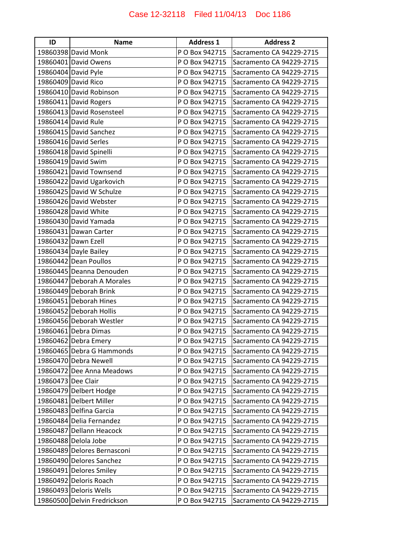| ID                 | <b>Name</b>                 | <b>Address 1</b> | <b>Address 2</b>         |
|--------------------|-----------------------------|------------------|--------------------------|
|                    | 19860398 David Monk         | P O Box 942715   | Sacramento CA 94229-2715 |
|                    | 19860401 David Owens        | P O Box 942715   | Sacramento CA 94229-2715 |
|                    | 19860404 David Pyle         | P O Box 942715   | Sacramento CA 94229-2715 |
|                    | 19860409 David Rico         | P O Box 942715   | Sacramento CA 94229-2715 |
|                    | 19860410 David Robinson     | P O Box 942715   | Sacramento CA 94229-2715 |
|                    | 19860411 David Rogers       | P O Box 942715   | Sacramento CA 94229-2715 |
|                    | 19860413 David Rosensteel   | P O Box 942715   | Sacramento CA 94229-2715 |
|                    | 19860414 David Rule         | P O Box 942715   | Sacramento CA 94229-2715 |
|                    | 19860415 David Sanchez      | P O Box 942715   | Sacramento CA 94229-2715 |
|                    | 19860416 David Serles       | P O Box 942715   | Sacramento CA 94229-2715 |
|                    | 19860418 David Spinelli     | P O Box 942715   | Sacramento CA 94229-2715 |
|                    | 19860419 David Swim         | P O Box 942715   | Sacramento CA 94229-2715 |
|                    | 19860421 David Townsend     | P O Box 942715   | Sacramento CA 94229-2715 |
|                    | 19860422 David Ugarkovich   | P O Box 942715   | Sacramento CA 94229-2715 |
|                    | 19860425 David W Schulze    | P O Box 942715   | Sacramento CA 94229-2715 |
|                    | 19860426 David Webster      | P O Box 942715   | Sacramento CA 94229-2715 |
|                    | 19860428 David White        | P O Box 942715   | Sacramento CA 94229-2715 |
|                    | 19860430 David Yamada       | P O Box 942715   | Sacramento CA 94229-2715 |
|                    | 19860431 Dawan Carter       | P O Box 942715   | Sacramento CA 94229-2715 |
|                    | 19860432 Dawn Ezell         | P O Box 942715   | Sacramento CA 94229-2715 |
|                    | 19860434 Dayle Bailey       | P O Box 942715   | Sacramento CA 94229-2715 |
|                    | 19860442 Dean Poullos       | P O Box 942715   | Sacramento CA 94229-2715 |
|                    | 19860445 Deanna Denouden    | P O Box 942715   | Sacramento CA 94229-2715 |
|                    | 19860447 Deborah A Morales  | P O Box 942715   | Sacramento CA 94229-2715 |
|                    | 19860449 Deborah Brink      | P O Box 942715   | Sacramento CA 94229-2715 |
|                    | 19860451 Deborah Hines      | P O Box 942715   | Sacramento CA 94229-2715 |
|                    | 19860452 Deborah Hollis     | P O Box 942715   | Sacramento CA 94229-2715 |
|                    | 19860456 Deborah Westler    | P O Box 942715   | Sacramento CA 94229-2715 |
|                    | 19860461 Debra Dimas        | P O Box 942715   | Sacramento CA 94229-2715 |
|                    | 19860462 Debra Emery        | P O Box 942715   | Sacramento CA 94229-2715 |
|                    | 19860465 Debra G Hammonds   | P O Box 942715   | Sacramento CA 94229-2715 |
|                    | 19860470 Debra Newell       | P O Box 942715   | Sacramento CA 94229-2715 |
|                    | 19860472 Dee Anna Meadows   | P O Box 942715   | Sacramento CA 94229-2715 |
| 19860473 Dee Clair |                             | P O Box 942715   | Sacramento CA 94229-2715 |
|                    | 19860479 Delbert Hodge      | P O Box 942715   | Sacramento CA 94229-2715 |
|                    | 19860481 Delbert Miller     | P O Box 942715   | Sacramento CA 94229-2715 |
|                    | 19860483 Delfina Garcia     | P O Box 942715   | Sacramento CA 94229-2715 |
|                    | 19860484 Delia Fernandez    | P O Box 942715   | Sacramento CA 94229-2715 |
|                    | 19860487 Dellann Heacock    | P O Box 942715   | Sacramento CA 94229-2715 |
|                    | 19860488 Delola Jobe        | P O Box 942715   | Sacramento CA 94229-2715 |
|                    | 19860489 Delores Bernasconi | P O Box 942715   | Sacramento CA 94229-2715 |
|                    | 19860490 Delores Sanchez    | P O Box 942715   | Sacramento CA 94229-2715 |
|                    | 19860491 Delores Smiley     | P O Box 942715   | Sacramento CA 94229-2715 |
|                    | 19860492 Deloris Roach      | P O Box 942715   | Sacramento CA 94229-2715 |
|                    | 19860493 Deloris Wells      | P O Box 942715   | Sacramento CA 94229-2715 |
|                    | 19860500 Delvin Fredrickson | P O Box 942715   | Sacramento CA 94229-2715 |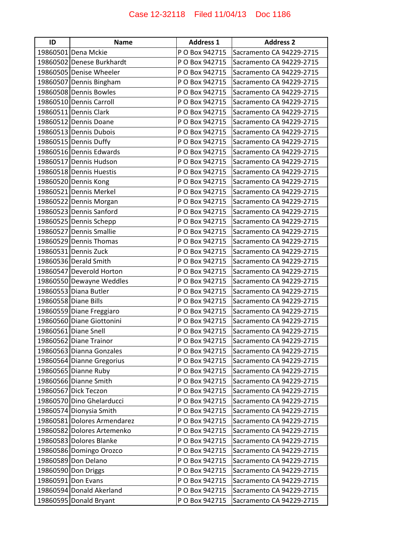| ID | <b>Name</b>                 | <b>Address 1</b> | <b>Address 2</b>         |
|----|-----------------------------|------------------|--------------------------|
|    | 19860501 Dena Mckie         | P O Box 942715   | Sacramento CA 94229-2715 |
|    | 19860502 Denese Burkhardt   | P O Box 942715   | Sacramento CA 94229-2715 |
|    | 19860505 Denise Wheeler     | P O Box 942715   | Sacramento CA 94229-2715 |
|    | 19860507 Dennis Bingham     | P O Box 942715   | Sacramento CA 94229-2715 |
|    | 19860508 Dennis Bowles      | P O Box 942715   | Sacramento CA 94229-2715 |
|    | 19860510 Dennis Carroll     | P O Box 942715   | Sacramento CA 94229-2715 |
|    | 19860511 Dennis Clark       | P O Box 942715   | Sacramento CA 94229-2715 |
|    | 19860512 Dennis Doane       | P O Box 942715   | Sacramento CA 94229-2715 |
|    | 19860513 Dennis Dubois      | P O Box 942715   | Sacramento CA 94229-2715 |
|    | 19860515 Dennis Duffy       | P O Box 942715   | Sacramento CA 94229-2715 |
|    | 19860516 Dennis Edwards     | P O Box 942715   | Sacramento CA 94229-2715 |
|    | 19860517 Dennis Hudson      | P O Box 942715   | Sacramento CA 94229-2715 |
|    | 19860518 Dennis Huestis     | P O Box 942715   | Sacramento CA 94229-2715 |
|    | 19860520 Dennis Kong        | P O Box 942715   | Sacramento CA 94229-2715 |
|    | 19860521 Dennis Merkel      | P O Box 942715   | Sacramento CA 94229-2715 |
|    | 19860522 Dennis Morgan      | P O Box 942715   | Sacramento CA 94229-2715 |
|    | 19860523 Dennis Sanford     | P O Box 942715   | Sacramento CA 94229-2715 |
|    | 19860525 Dennis Schepp      | P O Box 942715   | Sacramento CA 94229-2715 |
|    | 19860527 Dennis Smallie     | P O Box 942715   | Sacramento CA 94229-2715 |
|    | 19860529 Dennis Thomas      | P O Box 942715   | Sacramento CA 94229-2715 |
|    | 19860531 Dennis Zuck        | P O Box 942715   | Sacramento CA 94229-2715 |
|    | 19860536 Derald Smith       | P O Box 942715   | Sacramento CA 94229-2715 |
|    | 19860547 Deverold Horton    | P O Box 942715   | Sacramento CA 94229-2715 |
|    | 19860550 Dewayne Weddles    | P O Box 942715   | Sacramento CA 94229-2715 |
|    | 19860553 Diana Butler       | P O Box 942715   | Sacramento CA 94229-2715 |
|    | 19860558 Diane Bills        | P O Box 942715   | Sacramento CA 94229-2715 |
|    | 19860559 Diane Freggiaro    | P O Box 942715   | Sacramento CA 94229-2715 |
|    | 19860560 Diane Giottonini   | P O Box 942715   | Sacramento CA 94229-2715 |
|    | 19860561 Diane Snell        | P O Box 942715   | Sacramento CA 94229-2715 |
|    | 19860562 Diane Trainor      | P O Box 942715   | Sacramento CA 94229-2715 |
|    | 19860563 Dianna Gonzales    | P O Box 942715   | Sacramento CA 94229-2715 |
|    | 19860564 Dianne Gregorius   | P O Box 942715   | Sacramento CA 94229-2715 |
|    | 19860565 Dianne Ruby        | P O Box 942715   | Sacramento CA 94229-2715 |
|    | 19860566 Dianne Smith       | P O Box 942715   | Sacramento CA 94229-2715 |
|    | 19860567 Dick Teczon        | P O Box 942715   | Sacramento CA 94229-2715 |
|    | 19860570 Dino Ghelarducci   | P O Box 942715   | Sacramento CA 94229-2715 |
|    | 19860574 Dionysia Smith     | P O Box 942715   | Sacramento CA 94229-2715 |
|    | 19860581 Dolores Armendarez | P O Box 942715   | Sacramento CA 94229-2715 |
|    | 19860582 Dolores Artemenko  | P O Box 942715   | Sacramento CA 94229-2715 |
|    | 19860583 Dolores Blanke     | P O Box 942715   | Sacramento CA 94229-2715 |
|    | 19860586 Domingo Orozco     | P O Box 942715   | Sacramento CA 94229-2715 |
|    | 19860589 Don Delano         | P O Box 942715   | Sacramento CA 94229-2715 |
|    | 19860590 Don Driggs         | P O Box 942715   | Sacramento CA 94229-2715 |
|    | 19860591 Don Evans          | P O Box 942715   | Sacramento CA 94229-2715 |
|    | 19860594 Donald Akerland    | P O Box 942715   | Sacramento CA 94229-2715 |
|    | 19860595 Donald Bryant      | P O Box 942715   | Sacramento CA 94229-2715 |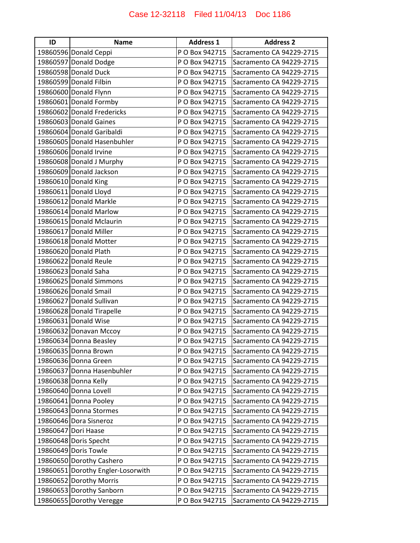| ID | <b>Name</b>                       | <b>Address 1</b> | <b>Address 2</b>         |
|----|-----------------------------------|------------------|--------------------------|
|    | 19860596 Donald Ceppi             | P O Box 942715   | Sacramento CA 94229-2715 |
|    | 19860597 Donald Dodge             | P O Box 942715   | Sacramento CA 94229-2715 |
|    | 19860598 Donald Duck              | P O Box 942715   | Sacramento CA 94229-2715 |
|    | 19860599 Donald Filbin            | P O Box 942715   | Sacramento CA 94229-2715 |
|    | 19860600 Donald Flynn             | P O Box 942715   | Sacramento CA 94229-2715 |
|    | 19860601 Donald Formby            | P O Box 942715   | Sacramento CA 94229-2715 |
|    | 19860602 Donald Fredericks        | P O Box 942715   | Sacramento CA 94229-2715 |
|    | 19860603 Donald Gaines            | P O Box 942715   | Sacramento CA 94229-2715 |
|    | 19860604 Donald Garibaldi         | P O Box 942715   | Sacramento CA 94229-2715 |
|    | 19860605 Donald Hasenbuhler       | P O Box 942715   | Sacramento CA 94229-2715 |
|    | 19860606 Donald Irvine            | P O Box 942715   | Sacramento CA 94229-2715 |
|    | 19860608 Donald J Murphy          | P O Box 942715   | Sacramento CA 94229-2715 |
|    | 19860609 Donald Jackson           | P O Box 942715   | Sacramento CA 94229-2715 |
|    | 19860610 Donald King              | P O Box 942715   | Sacramento CA 94229-2715 |
|    | 19860611 Donald Lloyd             | P O Box 942715   | Sacramento CA 94229-2715 |
|    | 19860612 Donald Markle            | P O Box 942715   | Sacramento CA 94229-2715 |
|    | 19860614 Donald Marlow            | P O Box 942715   | Sacramento CA 94229-2715 |
|    | 19860615 Donald Mclaurin          | P O Box 942715   | Sacramento CA 94229-2715 |
|    | 19860617 Donald Miller            | P O Box 942715   | Sacramento CA 94229-2715 |
|    | 19860618 Donald Motter            | P O Box 942715   | Sacramento CA 94229-2715 |
|    | 19860620 Donald Plath             | P O Box 942715   | Sacramento CA 94229-2715 |
|    | 19860622 Donald Reule             | P O Box 942715   | Sacramento CA 94229-2715 |
|    | 19860623 Donald Saha              | P O Box 942715   | Sacramento CA 94229-2715 |
|    | 19860625 Donald Simmons           | P O Box 942715   | Sacramento CA 94229-2715 |
|    | 19860626 Donald Smail             | P O Box 942715   | Sacramento CA 94229-2715 |
|    | 19860627 Donald Sullivan          | P O Box 942715   | Sacramento CA 94229-2715 |
|    | 19860628 Donald Tirapelle         | P O Box 942715   | Sacramento CA 94229-2715 |
|    | 19860631 Donald Wise              | P O Box 942715   | Sacramento CA 94229-2715 |
|    | 19860632 Donavan Mccoy            | P O Box 942715   | Sacramento CA 94229-2715 |
|    | 19860634 Donna Beasley            | P O Box 942715   | Sacramento CA 94229-2715 |
|    | 19860635 Donna Brown              | P O Box 942715   | Sacramento CA 94229-2715 |
|    | 19860636 Donna Green              | P O Box 942715   | Sacramento CA 94229-2715 |
|    | 19860637 Donna Hasenbuhler        | P O Box 942715   | Sacramento CA 94229-2715 |
|    | 19860638 Donna Kelly              | P O Box 942715   | Sacramento CA 94229-2715 |
|    | 19860640 Donna Lovell             | P O Box 942715   | Sacramento CA 94229-2715 |
|    | 19860641 Donna Pooley             | P O Box 942715   | Sacramento CA 94229-2715 |
|    | 19860643 Donna Stormes            | P O Box 942715   | Sacramento CA 94229-2715 |
|    | 19860646 Dora Sisneroz            | P O Box 942715   | Sacramento CA 94229-2715 |
|    | 19860647 Dori Haase               | P O Box 942715   | Sacramento CA 94229-2715 |
|    | 19860648 Doris Specht             | P O Box 942715   | Sacramento CA 94229-2715 |
|    | 19860649 Doris Towle              | P O Box 942715   | Sacramento CA 94229-2715 |
|    | 19860650 Dorothy Cashero          | P O Box 942715   | Sacramento CA 94229-2715 |
|    | 19860651 Dorothy Engler-Losorwith | P O Box 942715   | Sacramento CA 94229-2715 |
|    | 19860652 Dorothy Morris           | P O Box 942715   | Sacramento CA 94229-2715 |
|    | 19860653 Dorothy Sanborn          | P O Box 942715   | Sacramento CA 94229-2715 |
|    | 19860655 Dorothy Veregge          | P O Box 942715   | Sacramento CA 94229-2715 |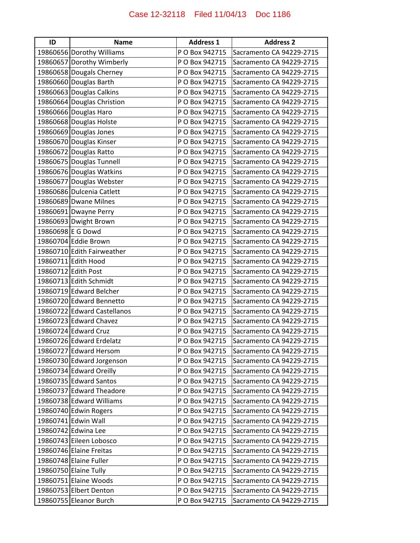| ID                | <b>Name</b>                 | <b>Address 1</b> | <b>Address 2</b>         |
|-------------------|-----------------------------|------------------|--------------------------|
|                   | 19860656 Dorothy Williams   | P O Box 942715   | Sacramento CA 94229-2715 |
|                   | 19860657 Dorothy Wimberly   | P O Box 942715   | Sacramento CA 94229-2715 |
|                   | 19860658 Dougals Cherney    | P O Box 942715   | Sacramento CA 94229-2715 |
|                   | 19860660 Douglas Barth      | P O Box 942715   | Sacramento CA 94229-2715 |
|                   | 19860663 Douglas Calkins    | P O Box 942715   | Sacramento CA 94229-2715 |
|                   | 19860664 Douglas Christion  | P O Box 942715   | Sacramento CA 94229-2715 |
|                   | 19860666 Douglas Haro       | P O Box 942715   | Sacramento CA 94229-2715 |
|                   | 19860668 Douglas Holste     | P O Box 942715   | Sacramento CA 94229-2715 |
|                   | 19860669 Douglas Jones      | P O Box 942715   | Sacramento CA 94229-2715 |
|                   | 19860670 Douglas Kinser     | P O Box 942715   | Sacramento CA 94229-2715 |
|                   | 19860672 Douglas Ratto      | P O Box 942715   | Sacramento CA 94229-2715 |
|                   | 19860675 Douglas Tunnell    | P O Box 942715   | Sacramento CA 94229-2715 |
|                   | 19860676 Douglas Watkins    | P O Box 942715   | Sacramento CA 94229-2715 |
|                   | 19860677 Douglas Webster    | P O Box 942715   | Sacramento CA 94229-2715 |
|                   | 19860686 Dulcenia Catlett   | P O Box 942715   | Sacramento CA 94229-2715 |
|                   | 19860689 Dwane Milnes       | P O Box 942715   | Sacramento CA 94229-2715 |
|                   | 19860691 Dwayne Perry       | P O Box 942715   | Sacramento CA 94229-2715 |
|                   | 19860693 Dwight Brown       | P O Box 942715   | Sacramento CA 94229-2715 |
| 19860698 E G Dowd |                             | P O Box 942715   | Sacramento CA 94229-2715 |
|                   | 19860704 Eddie Brown        | P O Box 942715   | Sacramento CA 94229-2715 |
|                   | 19860710 Edith Fairweather  | P O Box 942715   | Sacramento CA 94229-2715 |
|                   | 19860711 Edith Hood         | P O Box 942715   | Sacramento CA 94229-2715 |
|                   | 19860712 Edith Post         | P O Box 942715   | Sacramento CA 94229-2715 |
|                   | 19860713 Edith Schmidt      | P O Box 942715   | Sacramento CA 94229-2715 |
|                   | 19860719 Edward Belcher     | P O Box 942715   | Sacramento CA 94229-2715 |
|                   | 19860720 Edward Bennetto    | P O Box 942715   | Sacramento CA 94229-2715 |
|                   | 19860722 Edward Castellanos | P O Box 942715   | Sacramento CA 94229-2715 |
|                   | 19860723 Edward Chavez      | P O Box 942715   | Sacramento CA 94229-2715 |
|                   | 19860724 Edward Cruz        | P O Box 942715   | Sacramento CA 94229-2715 |
|                   | 19860726 Edward Erdelatz    | P O Box 942715   | Sacramento CA 94229-2715 |
|                   | 19860727 Edward Hersom      | P O Box 942715   | Sacramento CA 94229-2715 |
|                   | 19860730 Edward Jorgenson   | P O Box 942715   | Sacramento CA 94229-2715 |
|                   | 19860734 Edward Oreilly     | P O Box 942715   | Sacramento CA 94229-2715 |
|                   | 19860735 Edward Santos      | P O Box 942715   | Sacramento CA 94229-2715 |
|                   | 19860737 Edward Theadore    | P O Box 942715   | Sacramento CA 94229-2715 |
|                   | 19860738 Edward Williams    | P O Box 942715   | Sacramento CA 94229-2715 |
|                   | 19860740 Edwin Rogers       | P O Box 942715   | Sacramento CA 94229-2715 |
|                   | 19860741 Edwin Wall         | P O Box 942715   | Sacramento CA 94229-2715 |
|                   | 19860742 Edwina Lee         | P O Box 942715   | Sacramento CA 94229-2715 |
|                   | 19860743 Eileen Lobosco     | P O Box 942715   | Sacramento CA 94229-2715 |
|                   | 19860746 Elaine Freitas     | P O Box 942715   | Sacramento CA 94229-2715 |
|                   | 19860748 Elaine Fuller      | P O Box 942715   | Sacramento CA 94229-2715 |
|                   | 19860750 Elaine Tully       | P O Box 942715   | Sacramento CA 94229-2715 |
|                   | 19860751 Elaine Woods       | P O Box 942715   | Sacramento CA 94229-2715 |
|                   | 19860753 Elbert Denton      | P O Box 942715   | Sacramento CA 94229-2715 |
|                   | 19860755 Eleanor Burch      | P O Box 942715   | Sacramento CA 94229-2715 |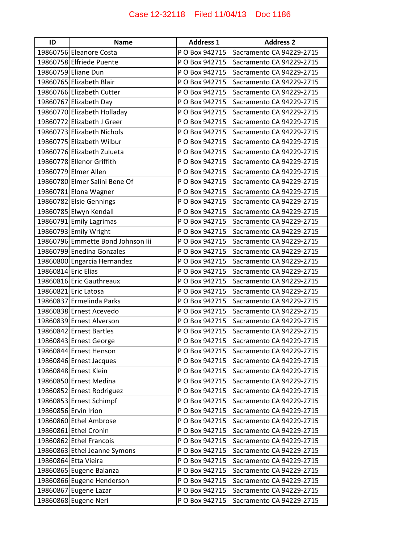| ID                  | <b>Name</b>                       | <b>Address 1</b> | <b>Address 2</b>         |
|---------------------|-----------------------------------|------------------|--------------------------|
|                     | 19860756 Eleanore Costa           | P O Box 942715   | Sacramento CA 94229-2715 |
|                     | 19860758 Elfriede Puente          | P O Box 942715   | Sacramento CA 94229-2715 |
|                     | 19860759 Eliane Dun               | P O Box 942715   | Sacramento CA 94229-2715 |
|                     | 19860765 Elizabeth Blair          | P O Box 942715   | Sacramento CA 94229-2715 |
|                     | 19860766 Elizabeth Cutter         | P O Box 942715   | Sacramento CA 94229-2715 |
|                     | 19860767 Elizabeth Day            | P O Box 942715   | Sacramento CA 94229-2715 |
|                     | 19860770 Elizabeth Holladay       | P O Box 942715   | Sacramento CA 94229-2715 |
|                     | 19860772 Elizabeth J Greer        | P O Box 942715   | Sacramento CA 94229-2715 |
|                     | 19860773 Elizabeth Nichols        | P O Box 942715   | Sacramento CA 94229-2715 |
|                     | 19860775 Elizabeth Wilbur         | P O Box 942715   | Sacramento CA 94229-2715 |
|                     | 19860776 Elizabeth Zulueta        | P O Box 942715   | Sacramento CA 94229-2715 |
|                     | 19860778 Ellenor Griffith         | P O Box 942715   | Sacramento CA 94229-2715 |
|                     | 19860779 Elmer Allen              | P O Box 942715   | Sacramento CA 94229-2715 |
|                     | 19860780 Elmer Salini Bene Of     | P O Box 942715   | Sacramento CA 94229-2715 |
|                     | 19860781 Elona Wagner             | P O Box 942715   | Sacramento CA 94229-2715 |
|                     | 19860782 Elsie Gennings           | P O Box 942715   | Sacramento CA 94229-2715 |
|                     | 19860785 Elwyn Kendall            | P O Box 942715   | Sacramento CA 94229-2715 |
|                     | 19860791 Emily Lagrimas           | P O Box 942715   | Sacramento CA 94229-2715 |
|                     | 19860793 Emily Wright             | P O Box 942715   | Sacramento CA 94229-2715 |
|                     | 19860796 Emmette Bond Johnson lii | P O Box 942715   | Sacramento CA 94229-2715 |
|                     | 19860799 Enedina Gonzales         | P O Box 942715   | Sacramento CA 94229-2715 |
|                     | 19860800 Engarcia Hernandez       | P O Box 942715   | Sacramento CA 94229-2715 |
| 19860814 Eric Elias |                                   | P O Box 942715   | Sacramento CA 94229-2715 |
|                     | 19860816 Eric Gauthreaux          | P O Box 942715   | Sacramento CA 94229-2715 |
|                     | 19860821 Eric Latosa              | P O Box 942715   | Sacramento CA 94229-2715 |
|                     | 19860837 Ermelinda Parks          | P O Box 942715   | Sacramento CA 94229-2715 |
|                     | 19860838 Ernest Acevedo           | P O Box 942715   | Sacramento CA 94229-2715 |
|                     | 19860839 Ernest Alverson          | P O Box 942715   | Sacramento CA 94229-2715 |
|                     | 19860842 Ernest Bartles           | P O Box 942715   | Sacramento CA 94229-2715 |
|                     | 19860843 Ernest George            | P O Box 942715   | Sacramento CA 94229-2715 |
|                     | 19860844 Ernest Henson            | P O Box 942715   | Sacramento CA 94229-2715 |
|                     | 19860846 Ernest Jacques           | P O Box 942715   | Sacramento CA 94229-2715 |
|                     | 19860848 Ernest Klein             | P O Box 942715   | Sacramento CA 94229-2715 |
|                     | 19860850 Ernest Medina            | P O Box 942715   | Sacramento CA 94229-2715 |
|                     | 19860852 Ernest Rodriguez         | P O Box 942715   | Sacramento CA 94229-2715 |
|                     | 19860853 Ernest Schimpf           | P O Box 942715   | Sacramento CA 94229-2715 |
|                     | 19860856 Ervin Irion              | P O Box 942715   | Sacramento CA 94229-2715 |
|                     | 19860860 Ethel Ambrose            | P O Box 942715   | Sacramento CA 94229-2715 |
|                     | 19860861 Ethel Cronin             | P O Box 942715   | Sacramento CA 94229-2715 |
|                     | 19860862 Ethel Francois           | P O Box 942715   | Sacramento CA 94229-2715 |
|                     | 19860863 Ethel Jeanne Symons      | P O Box 942715   | Sacramento CA 94229-2715 |
|                     | 19860864 Etta Vieira              | P O Box 942715   | Sacramento CA 94229-2715 |
|                     | 19860865 Eugene Balanza           | P O Box 942715   | Sacramento CA 94229-2715 |
|                     | 19860866 Eugene Henderson         | P O Box 942715   | Sacramento CA 94229-2715 |
|                     | 19860867 Eugene Lazar             | P O Box 942715   | Sacramento CA 94229-2715 |
|                     | 19860868 Eugene Neri              | P O Box 942715   | Sacramento CA 94229-2715 |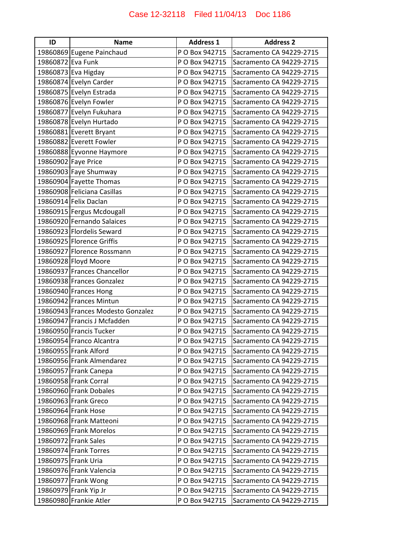| ID                | <b>Name</b>                       | <b>Address 1</b> | <b>Address 2</b>         |
|-------------------|-----------------------------------|------------------|--------------------------|
|                   | 19860869 Eugene Painchaud         | P O Box 942715   | Sacramento CA 94229-2715 |
| 19860872 Eva Funk |                                   | P O Box 942715   | Sacramento CA 94229-2715 |
|                   | 19860873 Eva Higday               | P O Box 942715   | Sacramento CA 94229-2715 |
|                   | 19860874 Evelyn Carder            | P O Box 942715   | Sacramento CA 94229-2715 |
|                   | 19860875 Evelyn Estrada           | P O Box 942715   | Sacramento CA 94229-2715 |
|                   | 19860876 Evelyn Fowler            | P O Box 942715   | Sacramento CA 94229-2715 |
|                   | 19860877 Evelyn Fukuhara          | P O Box 942715   | Sacramento CA 94229-2715 |
|                   | 19860878 Evelyn Hurtado           | P O Box 942715   | Sacramento CA 94229-2715 |
|                   | 19860881 Everett Bryant           | P O Box 942715   | Sacramento CA 94229-2715 |
|                   | 19860882 Everett Fowler           | P O Box 942715   | Sacramento CA 94229-2715 |
|                   | 19860888 Eyvonne Haymore          | P O Box 942715   | Sacramento CA 94229-2715 |
|                   | 19860902 Faye Price               | P O Box 942715   | Sacramento CA 94229-2715 |
|                   | 19860903 Faye Shumway             | P O Box 942715   | Sacramento CA 94229-2715 |
|                   | 19860904 Fayette Thomas           | P O Box 942715   | Sacramento CA 94229-2715 |
|                   | 19860908 Feliciana Casillas       | P O Box 942715   | Sacramento CA 94229-2715 |
|                   | 19860914 Felix Daclan             | P O Box 942715   | Sacramento CA 94229-2715 |
|                   | 19860915 Fergus Mcdougall         | P O Box 942715   | Sacramento CA 94229-2715 |
|                   | 19860920 Fernando Salaices        | P O Box 942715   | Sacramento CA 94229-2715 |
|                   | 19860923 Flordelis Seward         | P O Box 942715   | Sacramento CA 94229-2715 |
|                   | 19860925 Florence Griffis         | P O Box 942715   | Sacramento CA 94229-2715 |
|                   | 19860927 Florence Rossmann        | P O Box 942715   | Sacramento CA 94229-2715 |
|                   | 19860928 Floyd Moore              | P O Box 942715   | Sacramento CA 94229-2715 |
|                   | 19860937 Frances Chancellor       | P O Box 942715   | Sacramento CA 94229-2715 |
|                   | 19860938 Frances Gonzalez         | P O Box 942715   | Sacramento CA 94229-2715 |
|                   | 19860940 Frances Hong             | P O Box 942715   | Sacramento CA 94229-2715 |
|                   | 19860942 Frances Mintun           | P O Box 942715   | Sacramento CA 94229-2715 |
|                   | 19860943 Frances Modesto Gonzalez | P O Box 942715   | Sacramento CA 94229-2715 |
|                   | 19860947 Francis J Mcfadden       | P O Box 942715   | Sacramento CA 94229-2715 |
|                   | 19860950 Francis Tucker           | P O Box 942715   | Sacramento CA 94229-2715 |
|                   | 19860954 Franco Alcantra          | P O Box 942715   | Sacramento CA 94229-2715 |
|                   | 19860955 Frank Alford             | P O Box 942715   | Sacramento CA 94229-2715 |
|                   | 19860956 Frank Almendarez         | P O Box 942715   | Sacramento CA 94229-2715 |
|                   | 19860957 Frank Canepa             | P O Box 942715   | Sacramento CA 94229-2715 |
|                   | 19860958 Frank Corral             | P O Box 942715   | Sacramento CA 94229-2715 |
|                   | 19860960 Frank Dobales            | P O Box 942715   | Sacramento CA 94229-2715 |
|                   | 19860963 Frank Greco              | P O Box 942715   | Sacramento CA 94229-2715 |
|                   | 19860964 Frank Hose               | P O Box 942715   | Sacramento CA 94229-2715 |
|                   | 19860968 Frank Matteoni           | P O Box 942715   | Sacramento CA 94229-2715 |
|                   | 19860969 Frank Morelos            | P O Box 942715   | Sacramento CA 94229-2715 |
|                   | 19860972 Frank Sales              | P O Box 942715   | Sacramento CA 94229-2715 |
|                   | 19860974 Frank Torres             | P O Box 942715   | Sacramento CA 94229-2715 |
|                   | 19860975 Frank Uria               | P O Box 942715   | Sacramento CA 94229-2715 |
|                   | 19860976 Frank Valencia           | P O Box 942715   | Sacramento CA 94229-2715 |
|                   | 19860977 Frank Wong               | P O Box 942715   | Sacramento CA 94229-2715 |
|                   | 19860979 Frank Yip Jr             | P O Box 942715   | Sacramento CA 94229-2715 |
|                   | 19860980 Frankie Atler            | P O Box 942715   | Sacramento CA 94229-2715 |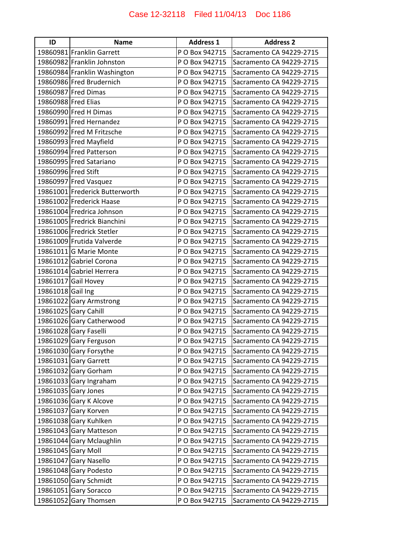| ID                  | <b>Name</b>                    | <b>Address 1</b> | <b>Address 2</b>         |
|---------------------|--------------------------------|------------------|--------------------------|
|                     | 19860981 Franklin Garrett      | P O Box 942715   | Sacramento CA 94229-2715 |
|                     | 19860982 Franklin Johnston     | P O Box 942715   | Sacramento CA 94229-2715 |
|                     | 19860984 Franklin Washington   | P O Box 942715   | Sacramento CA 94229-2715 |
|                     | 19860986 Fred Brudernich       | P O Box 942715   | Sacramento CA 94229-2715 |
|                     | 19860987 Fred Dimas            | P O Box 942715   | Sacramento CA 94229-2715 |
| 19860988 Fred Elias |                                | P O Box 942715   | Sacramento CA 94229-2715 |
|                     | 19860990 Fred H Dimas          | P O Box 942715   | Sacramento CA 94229-2715 |
|                     | 19860991 Fred Hernandez        | P O Box 942715   | Sacramento CA 94229-2715 |
|                     | 19860992 Fred M Fritzsche      | P O Box 942715   | Sacramento CA 94229-2715 |
|                     | 19860993 Fred Mayfield         | P O Box 942715   | Sacramento CA 94229-2715 |
|                     | 19860994 Fred Patterson        | P O Box 942715   | Sacramento CA 94229-2715 |
|                     | 19860995 Fred Satariano        | P O Box 942715   | Sacramento CA 94229-2715 |
| 19860996 Fred Stift |                                | P O Box 942715   | Sacramento CA 94229-2715 |
|                     | 19860997 Fred Vasquez          | P O Box 942715   | Sacramento CA 94229-2715 |
|                     | 19861001 Frederick Butterworth | P O Box 942715   | Sacramento CA 94229-2715 |
|                     | 19861002 Frederick Haase       | P O Box 942715   | Sacramento CA 94229-2715 |
|                     | 19861004 Fredrica Johnson      | P O Box 942715   | Sacramento CA 94229-2715 |
|                     | 19861005 Fredrick Bianchini    | P O Box 942715   | Sacramento CA 94229-2715 |
|                     | 19861006 Fredrick Stetler      | P O Box 942715   | Sacramento CA 94229-2715 |
|                     | 19861009 Frutida Valverde      | P O Box 942715   | Sacramento CA 94229-2715 |
|                     | 19861011 G Marie Monte         | P O Box 942715   | Sacramento CA 94229-2715 |
|                     | 19861012 Gabriel Corona        | P O Box 942715   | Sacramento CA 94229-2715 |
|                     | 19861014 Gabriel Herrera       | P O Box 942715   | Sacramento CA 94229-2715 |
|                     | 19861017 Gail Hovey            | P O Box 942715   | Sacramento CA 94229-2715 |
| 19861018 Gail Ing   |                                | P O Box 942715   | Sacramento CA 94229-2715 |
|                     | 19861022 Gary Armstrong        | P O Box 942715   | Sacramento CA 94229-2715 |
|                     | 19861025 Gary Cahill           | P O Box 942715   | Sacramento CA 94229-2715 |
|                     | 19861026 Gary Catherwood       | P O Box 942715   | Sacramento CA 94229-2715 |
|                     | 19861028 Gary Faselli          | P O Box 942715   | Sacramento CA 94229-2715 |
|                     | 19861029 Gary Ferguson         | P O Box 942715   | Sacramento CA 94229-2715 |
|                     | 19861030 Gary Forsythe         | P O Box 942715   | Sacramento CA 94229-2715 |
|                     | 19861031 Gary Garrett          | P O Box 942715   | Sacramento CA 94229-2715 |
|                     | 19861032 Gary Gorham           | P O Box 942715   | Sacramento CA 94229-2715 |
|                     | 19861033 Gary Ingraham         | P O Box 942715   | Sacramento CA 94229-2715 |
|                     | 19861035 Gary Jones            | P O Box 942715   | Sacramento CA 94229-2715 |
|                     | 19861036 Gary K Alcove         | P O Box 942715   | Sacramento CA 94229-2715 |
|                     | 19861037 Gary Korven           | P O Box 942715   | Sacramento CA 94229-2715 |
|                     | 19861038 Gary Kuhlken          | P O Box 942715   | Sacramento CA 94229-2715 |
|                     | 19861043 Gary Matteson         | P O Box 942715   | Sacramento CA 94229-2715 |
|                     | 19861044 Gary Mclaughlin       | P O Box 942715   | Sacramento CA 94229-2715 |
|                     | 19861045 Gary Moll             | P O Box 942715   | Sacramento CA 94229-2715 |
|                     | 19861047 Gary Nasello          | P O Box 942715   | Sacramento CA 94229-2715 |
|                     | 19861048 Gary Podesto          | P O Box 942715   | Sacramento CA 94229-2715 |
|                     | 19861050 Gary Schmidt          | P O Box 942715   | Sacramento CA 94229-2715 |
|                     | 19861051 Gary Soracco          | P O Box 942715   | Sacramento CA 94229-2715 |
|                     | 19861052 Gary Thomsen          | P O Box 942715   | Sacramento CA 94229-2715 |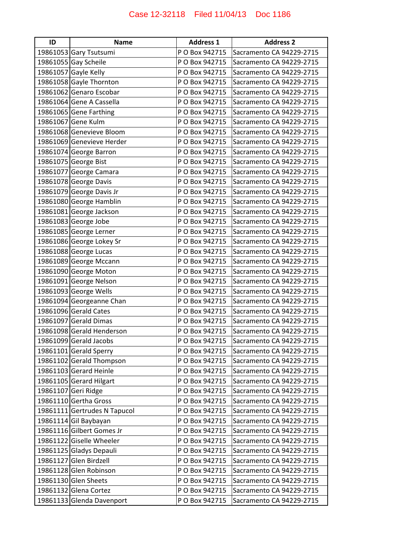| ID | <b>Name</b>                  | <b>Address 1</b> | <b>Address 2</b>         |
|----|------------------------------|------------------|--------------------------|
|    | 19861053 Gary Tsutsumi       | P O Box 942715   | Sacramento CA 94229-2715 |
|    | 19861055 Gay Scheile         | P O Box 942715   | Sacramento CA 94229-2715 |
|    | 19861057 Gayle Kelly         | P O Box 942715   | Sacramento CA 94229-2715 |
|    | 19861058 Gayle Thornton      | P O Box 942715   | Sacramento CA 94229-2715 |
|    | 19861062 Genaro Escobar      | P O Box 942715   | Sacramento CA 94229-2715 |
|    | 19861064 Gene A Cassella     | P O Box 942715   | Sacramento CA 94229-2715 |
|    | 19861065 Gene Farthing       | P O Box 942715   | Sacramento CA 94229-2715 |
|    | 19861067 Gene Kulm           | P O Box 942715   | Sacramento CA 94229-2715 |
|    | 19861068 Genevieve Bloom     | P O Box 942715   | Sacramento CA 94229-2715 |
|    | 19861069 Genevieve Herder    | P O Box 942715   | Sacramento CA 94229-2715 |
|    | 19861074 George Barron       | P O Box 942715   | Sacramento CA 94229-2715 |
|    | 19861075 George Bist         | P O Box 942715   | Sacramento CA 94229-2715 |
|    | 19861077 George Camara       | P O Box 942715   | Sacramento CA 94229-2715 |
|    | 19861078 George Davis        | P O Box 942715   | Sacramento CA 94229-2715 |
|    | 19861079 George Davis Jr     | P O Box 942715   | Sacramento CA 94229-2715 |
|    | 19861080 George Hamblin      | P O Box 942715   | Sacramento CA 94229-2715 |
|    | 19861081 George Jackson      | P O Box 942715   | Sacramento CA 94229-2715 |
|    | 19861083 George Jobe         | P O Box 942715   | Sacramento CA 94229-2715 |
|    | 19861085 George Lerner       | P O Box 942715   | Sacramento CA 94229-2715 |
|    | 19861086 George Lokey Sr     | P O Box 942715   | Sacramento CA 94229-2715 |
|    | 19861088 George Lucas        | P O Box 942715   | Sacramento CA 94229-2715 |
|    | 19861089 George Mccann       | P O Box 942715   | Sacramento CA 94229-2715 |
|    | 19861090 George Moton        | P O Box 942715   | Sacramento CA 94229-2715 |
|    | 19861091 George Nelson       | P O Box 942715   | Sacramento CA 94229-2715 |
|    | 19861093 George Wells        | P O Box 942715   | Sacramento CA 94229-2715 |
|    | 19861094 Georgeanne Chan     | P O Box 942715   | Sacramento CA 94229-2715 |
|    | 19861096 Gerald Cates        | P O Box 942715   | Sacramento CA 94229-2715 |
|    | 19861097 Gerald Dimas        | P O Box 942715   | Sacramento CA 94229-2715 |
|    | 19861098 Gerald Henderson    | P O Box 942715   | Sacramento CA 94229-2715 |
|    | 19861099 Gerald Jacobs       | P O Box 942715   | Sacramento CA 94229-2715 |
|    | 19861101 Gerald Sperry       | P O Box 942715   | Sacramento CA 94229-2715 |
|    | 19861102 Gerald Thompson     | P O Box 942715   | Sacramento CA 94229-2715 |
|    | 19861103 Gerard Heinle       | P O Box 942715   | Sacramento CA 94229-2715 |
|    | 19861105 Gerard Hilgart      | P O Box 942715   | Sacramento CA 94229-2715 |
|    | 19861107 Geri Ridge          | P O Box 942715   | Sacramento CA 94229-2715 |
|    | 19861110 Gertha Gross        | P O Box 942715   | Sacramento CA 94229-2715 |
|    | 19861111 Gertrudes N Tapucol | P O Box 942715   | Sacramento CA 94229-2715 |
|    | 19861114 Gil Baybayan        | P O Box 942715   | Sacramento CA 94229-2715 |
|    | 19861116 Gilbert Gomes Jr    | P O Box 942715   | Sacramento CA 94229-2715 |
|    | 19861122 Giselle Wheeler     | P O Box 942715   | Sacramento CA 94229-2715 |
|    | 19861125 Gladys Depauli      | P O Box 942715   | Sacramento CA 94229-2715 |
|    | 19861127 Glen Birdzell       | P O Box 942715   | Sacramento CA 94229-2715 |
|    | 19861128 Glen Robinson       | P O Box 942715   | Sacramento CA 94229-2715 |
|    | 19861130 Glen Sheets         | P O Box 942715   | Sacramento CA 94229-2715 |
|    | 19861132 Glena Cortez        | P O Box 942715   | Sacramento CA 94229-2715 |
|    | 19861133 Glenda Davenport    | P O Box 942715   | Sacramento CA 94229-2715 |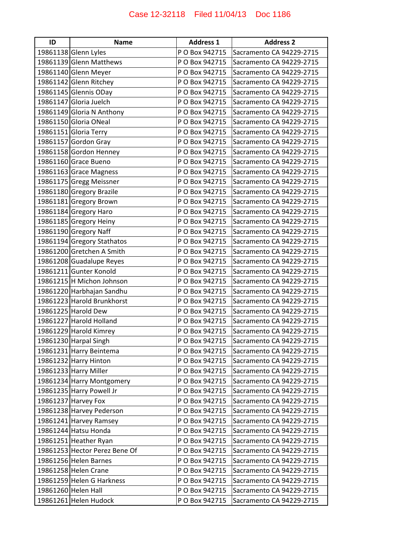| ID | <b>Name</b>                   | <b>Address 1</b> | <b>Address 2</b>         |
|----|-------------------------------|------------------|--------------------------|
|    | 19861138 Glenn Lyles          | P O Box 942715   | Sacramento CA 94229-2715 |
|    | 19861139 Glenn Matthews       | P O Box 942715   | Sacramento CA 94229-2715 |
|    | 19861140 Glenn Meyer          | P O Box 942715   | Sacramento CA 94229-2715 |
|    | 19861142 Glenn Ritchey        | P O Box 942715   | Sacramento CA 94229-2715 |
|    | 19861145 Glennis ODay         | P O Box 942715   | Sacramento CA 94229-2715 |
|    | 19861147 Gloria Juelch        | P O Box 942715   | Sacramento CA 94229-2715 |
|    | 19861149 Gloria N Anthony     | P O Box 942715   | Sacramento CA 94229-2715 |
|    | 19861150 Gloria ONeal         | P O Box 942715   | Sacramento CA 94229-2715 |
|    | 19861151 Gloria Terry         | P O Box 942715   | Sacramento CA 94229-2715 |
|    | 19861157 Gordon Gray          | P O Box 942715   | Sacramento CA 94229-2715 |
|    | 19861158 Gordon Henney        | P O Box 942715   | Sacramento CA 94229-2715 |
|    | 19861160 Grace Bueno          | P O Box 942715   | Sacramento CA 94229-2715 |
|    | 19861163 Grace Magness        | P O Box 942715   | Sacramento CA 94229-2715 |
|    | 19861175 Gregg Meissner       | P O Box 942715   | Sacramento CA 94229-2715 |
|    | 19861180 Gregory Brazile      | P O Box 942715   | Sacramento CA 94229-2715 |
|    | 19861181 Gregory Brown        | P O Box 942715   | Sacramento CA 94229-2715 |
|    | 19861184 Gregory Haro         | P O Box 942715   | Sacramento CA 94229-2715 |
|    | 19861185 Gregory Heiny        | P O Box 942715   | Sacramento CA 94229-2715 |
|    | 19861190 Gregory Naff         | P O Box 942715   | Sacramento CA 94229-2715 |
|    | 19861194 Gregory Stathatos    | P O Box 942715   | Sacramento CA 94229-2715 |
|    | 19861200 Gretchen A Smith     | P O Box 942715   | Sacramento CA 94229-2715 |
|    | 19861208 Guadalupe Reyes      | P O Box 942715   | Sacramento CA 94229-2715 |
|    | 19861211 Gunter Konold        | P O Box 942715   | Sacramento CA 94229-2715 |
|    | 19861215 H Michon Johnson     | P O Box 942715   | Sacramento CA 94229-2715 |
|    | 19861220 Harbhajan Sandhu     | P O Box 942715   | Sacramento CA 94229-2715 |
|    | 19861223 Harold Brunkhorst    | P O Box 942715   | Sacramento CA 94229-2715 |
|    | 19861225 Harold Dew           | P O Box 942715   | Sacramento CA 94229-2715 |
|    | 19861227 Harold Holland       | P O Box 942715   | Sacramento CA 94229-2715 |
|    | 19861229 Harold Kimrey        | P O Box 942715   | Sacramento CA 94229-2715 |
|    | 19861230 Harpal Singh         | P O Box 942715   | Sacramento CA 94229-2715 |
|    | 19861231 Harry Beintema       | P O Box 942715   | Sacramento CA 94229-2715 |
|    | 19861232 Harry Hinton         | P O Box 942715   | Sacramento CA 94229-2715 |
|    | 19861233 Harry Miller         | P O Box 942715   | Sacramento CA 94229-2715 |
|    | 19861234 Harry Montgomery     | P O Box 942715   | Sacramento CA 94229-2715 |
|    | 19861235 Harry Powell Jr      | P O Box 942715   | Sacramento CA 94229-2715 |
|    | 19861237 Harvey Fox           | P O Box 942715   | Sacramento CA 94229-2715 |
|    | 19861238 Harvey Pederson      | P O Box 942715   | Sacramento CA 94229-2715 |
|    | 19861241 Harvey Ramsey        | P O Box 942715   | Sacramento CA 94229-2715 |
|    | 19861244 Hatsu Honda          | P O Box 942715   | Sacramento CA 94229-2715 |
|    | 19861251 Heather Ryan         | P O Box 942715   | Sacramento CA 94229-2715 |
|    | 19861253 Hector Perez Bene Of | P O Box 942715   | Sacramento CA 94229-2715 |
|    | 19861256 Helen Barnes         | P O Box 942715   | Sacramento CA 94229-2715 |
|    | 19861258 Helen Crane          | P O Box 942715   | Sacramento CA 94229-2715 |
|    | 19861259 Helen G Harkness     | P O Box 942715   | Sacramento CA 94229-2715 |
|    | 19861260 Helen Hall           | P O Box 942715   | Sacramento CA 94229-2715 |
|    | 19861261 Helen Hudock         | P O Box 942715   | Sacramento CA 94229-2715 |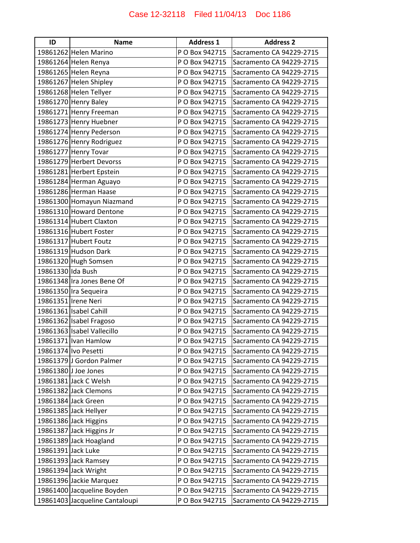| ID                 | <b>Name</b>                    | <b>Address 1</b> | <b>Address 2</b>         |
|--------------------|--------------------------------|------------------|--------------------------|
|                    | 19861262 Helen Marino          | P O Box 942715   | Sacramento CA 94229-2715 |
|                    | 19861264 Helen Renya           | P O Box 942715   | Sacramento CA 94229-2715 |
|                    | 19861265 Helen Reyna           | P O Box 942715   | Sacramento CA 94229-2715 |
|                    | 19861267 Helen Shipley         | P O Box 942715   | Sacramento CA 94229-2715 |
|                    | 19861268 Helen Tellyer         | P O Box 942715   | Sacramento CA 94229-2715 |
|                    | 19861270 Henry Baley           | P O Box 942715   | Sacramento CA 94229-2715 |
|                    | 19861271 Henry Freeman         | P O Box 942715   | Sacramento CA 94229-2715 |
|                    | 19861273 Henry Huebner         | P O Box 942715   | Sacramento CA 94229-2715 |
|                    | 19861274 Henry Pederson        | P O Box 942715   | Sacramento CA 94229-2715 |
|                    | 19861276 Henry Rodriguez       | P O Box 942715   | Sacramento CA 94229-2715 |
|                    | 19861277 Henry Tovar           | P O Box 942715   | Sacramento CA 94229-2715 |
|                    | 19861279 Herbert Devorss       | P O Box 942715   | Sacramento CA 94229-2715 |
|                    | 19861281 Herbert Epstein       | P O Box 942715   | Sacramento CA 94229-2715 |
|                    | 19861284 Herman Aguayo         | P O Box 942715   | Sacramento CA 94229-2715 |
|                    | 19861286 Herman Haase          | P O Box 942715   | Sacramento CA 94229-2715 |
|                    | 19861300 Homayun Niazmand      | P O Box 942715   | Sacramento CA 94229-2715 |
|                    | 19861310 Howard Dentone        | P O Box 942715   | Sacramento CA 94229-2715 |
|                    | 19861314 Hubert Claxton        | P O Box 942715   | Sacramento CA 94229-2715 |
|                    | 19861316 Hubert Foster         | P O Box 942715   | Sacramento CA 94229-2715 |
|                    | 19861317 Hubert Foutz          | P O Box 942715   | Sacramento CA 94229-2715 |
|                    | 19861319 Hudson Dark           | P O Box 942715   | Sacramento CA 94229-2715 |
|                    | 19861320 Hugh Somsen           | P O Box 942715   | Sacramento CA 94229-2715 |
| 19861330 Ida Bush  |                                | P O Box 942715   | Sacramento CA 94229-2715 |
|                    | 19861348 Ira Jones Bene Of     | P O Box 942715   | Sacramento CA 94229-2715 |
|                    | 19861350 Ira Sequeira          | P O Box 942715   | Sacramento CA 94229-2715 |
|                    | 19861351   Irene Neri          | P O Box 942715   | Sacramento CA 94229-2715 |
|                    | 19861361 Isabel Cahill         | P O Box 942715   | Sacramento CA 94229-2715 |
|                    | 19861362 Isabel Fragoso        | P O Box 942715   | Sacramento CA 94229-2715 |
|                    | 19861363 Isabel Vallecillo     | P O Box 942715   | Sacramento CA 94229-2715 |
|                    | 19861371   Ivan Hamlow         | P O Box 942715   | Sacramento CA 94229-2715 |
|                    | 19861374 Ivo Pesetti           | P O Box 942715   | Sacramento CA 94229-2715 |
|                    | 19861379 J Gordon Palmer       | P O Box 942715   | Sacramento CA 94229-2715 |
|                    | 19861380 J Joe Jones           | P O Box 942715   | Sacramento CA 94229-2715 |
|                    | 19861381 Jack C Welsh          | P O Box 942715   | Sacramento CA 94229-2715 |
|                    | 19861382 Jack Clemons          | P O Box 942715   | Sacramento CA 94229-2715 |
|                    | 19861384 Jack Green            | P O Box 942715   | Sacramento CA 94229-2715 |
|                    | 19861385 Jack Hellyer          | P O Box 942715   | Sacramento CA 94229-2715 |
|                    | 19861386 Jack Higgins          | P O Box 942715   | Sacramento CA 94229-2715 |
|                    | 19861387 Jack Higgins Jr       | P O Box 942715   | Sacramento CA 94229-2715 |
|                    | 19861389 Jack Hoagland         | P O Box 942715   | Sacramento CA 94229-2715 |
| 19861391 Jack Luke |                                | P O Box 942715   | Sacramento CA 94229-2715 |
|                    | 19861393 Jack Ramsey           | P O Box 942715   | Sacramento CA 94229-2715 |
|                    | 19861394 Jack Wright           | P O Box 942715   | Sacramento CA 94229-2715 |
|                    | 19861396 Jackie Marquez        | P O Box 942715   | Sacramento CA 94229-2715 |
|                    | 19861400 Jacqueline Boyden     | P O Box 942715   | Sacramento CA 94229-2715 |
|                    | 19861403 Jacqueline Cantaloupi | P O Box 942715   | Sacramento CA 94229-2715 |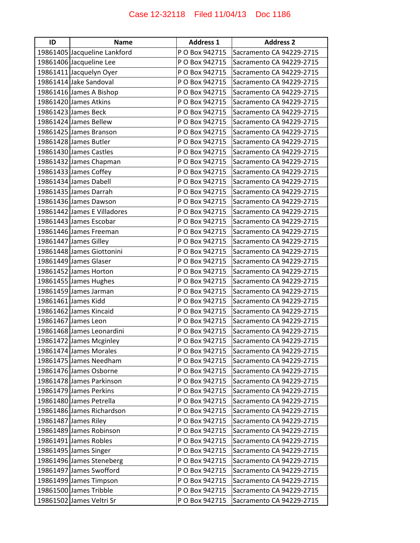| ID | <b>Name</b>                  | <b>Address 1</b> | <b>Address 2</b>         |
|----|------------------------------|------------------|--------------------------|
|    | 19861405 Jacqueline Lankford | P O Box 942715   | Sacramento CA 94229-2715 |
|    | 19861406 Jacqueline Lee      | P O Box 942715   | Sacramento CA 94229-2715 |
|    | 19861411 Jacquelyn Oyer      | P O Box 942715   | Sacramento CA 94229-2715 |
|    | 19861414 Jake Sandoval       | P O Box 942715   | Sacramento CA 94229-2715 |
|    | 19861416 James A Bishop      | P O Box 942715   | Sacramento CA 94229-2715 |
|    | 19861420 James Atkins        | P O Box 942715   | Sacramento CA 94229-2715 |
|    | 19861423 James Beck          | P O Box 942715   | Sacramento CA 94229-2715 |
|    | 19861424 James Bellew        | P O Box 942715   | Sacramento CA 94229-2715 |
|    | 19861425 James Branson       | P O Box 942715   | Sacramento CA 94229-2715 |
|    | 19861428 James Butler        | P O Box 942715   | Sacramento CA 94229-2715 |
|    | 19861430 James Castles       | P O Box 942715   | Sacramento CA 94229-2715 |
|    | 19861432 James Chapman       | P O Box 942715   | Sacramento CA 94229-2715 |
|    | 19861433 James Coffey        | P O Box 942715   | Sacramento CA 94229-2715 |
|    | 19861434 James Dabell        | P O Box 942715   | Sacramento CA 94229-2715 |
|    | 19861435 James Darrah        | P O Box 942715   | Sacramento CA 94229-2715 |
|    | 19861436 James Dawson        | P O Box 942715   | Sacramento CA 94229-2715 |
|    | 19861442 James E Villadores  | P O Box 942715   | Sacramento CA 94229-2715 |
|    | 19861443 James Escobar       | P O Box 942715   | Sacramento CA 94229-2715 |
|    | 19861446 James Freeman       | P O Box 942715   | Sacramento CA 94229-2715 |
|    | 19861447 James Gilley        | P O Box 942715   | Sacramento CA 94229-2715 |
|    | 19861448 James Giottonini    | P O Box 942715   | Sacramento CA 94229-2715 |
|    | 19861449 James Glaser        | P O Box 942715   | Sacramento CA 94229-2715 |
|    | 19861452 James Horton        | P O Box 942715   | Sacramento CA 94229-2715 |
|    | 19861455 James Hughes        | P O Box 942715   | Sacramento CA 94229-2715 |
|    | 19861459 James Jarman        | P O Box 942715   | Sacramento CA 94229-2715 |
|    | 19861461 James Kidd          | P O Box 942715   | Sacramento CA 94229-2715 |
|    | 19861462 James Kincaid       | P O Box 942715   | Sacramento CA 94229-2715 |
|    | 19861467 James Leon          | P O Box 942715   | Sacramento CA 94229-2715 |
|    | 19861468 James Leonardini    | P O Box 942715   | Sacramento CA 94229-2715 |
|    | 19861472 James Mcginley      | P O Box 942715   | Sacramento CA 94229-2715 |
|    | 19861474 James Morales       | P O Box 942715   | Sacramento CA 94229-2715 |
|    | 19861475 James Needham       | P O Box 942715   | Sacramento CA 94229-2715 |
|    | 19861476 James Osborne       | P O Box 942715   | Sacramento CA 94229-2715 |
|    | 19861478 James Parkinson     | P O Box 942715   | Sacramento CA 94229-2715 |
|    | 19861479 James Perkins       | P O Box 942715   | Sacramento CA 94229-2715 |
|    | 19861480 James Petrella      | P O Box 942715   | Sacramento CA 94229-2715 |
|    | 19861486 James Richardson    | P O Box 942715   | Sacramento CA 94229-2715 |
|    | 19861487 James Riley         | P O Box 942715   | Sacramento CA 94229-2715 |
|    | 19861489 James Robinson      | P O Box 942715   | Sacramento CA 94229-2715 |
|    | 19861491 James Robles        | P O Box 942715   | Sacramento CA 94229-2715 |
|    | 19861495 James Singer        | P O Box 942715   | Sacramento CA 94229-2715 |
|    | 19861496 James Steneberg     | P O Box 942715   | Sacramento CA 94229-2715 |
|    | 19861497 James Swofford      | P O Box 942715   | Sacramento CA 94229-2715 |
|    | 19861499 James Timpson       | P O Box 942715   | Sacramento CA 94229-2715 |
|    | 19861500 James Tribble       | P O Box 942715   | Sacramento CA 94229-2715 |
|    | 19861502 James Veltri Sr     | P O Box 942715   | Sacramento CA 94229-2715 |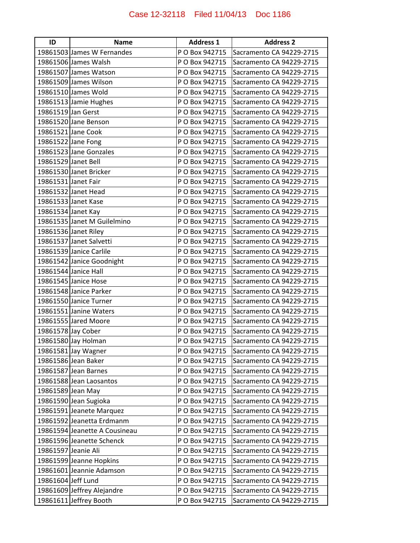| ID                  | <b>Name</b>                   | <b>Address 1</b> | <b>Address 2</b>         |
|---------------------|-------------------------------|------------------|--------------------------|
|                     | 19861503 James W Fernandes    | P O Box 942715   | Sacramento CA 94229-2715 |
|                     | 19861506 James Walsh          | P O Box 942715   | Sacramento CA 94229-2715 |
|                     | 19861507 James Watson         | P O Box 942715   | Sacramento CA 94229-2715 |
|                     | 19861509 James Wilson         | P O Box 942715   | Sacramento CA 94229-2715 |
|                     | 19861510 James Wold           | P O Box 942715   | Sacramento CA 94229-2715 |
|                     | 19861513 Jamie Hughes         | P O Box 942715   | Sacramento CA 94229-2715 |
| 19861519 Jan Gerst  |                               | P O Box 942715   | Sacramento CA 94229-2715 |
|                     | 19861520 Jane Benson          | P O Box 942715   | Sacramento CA 94229-2715 |
|                     | 19861521 Jane Cook            | P O Box 942715   | Sacramento CA 94229-2715 |
|                     | 19861522 Jane Fong            | P O Box 942715   | Sacramento CA 94229-2715 |
|                     | 19861523 Jane Gonzales        | P O Box 942715   | Sacramento CA 94229-2715 |
| 19861529 Janet Bell |                               | P O Box 942715   | Sacramento CA 94229-2715 |
|                     | 19861530 Janet Bricker        | P O Box 942715   | Sacramento CA 94229-2715 |
| 19861531 Janet Fair |                               | P O Box 942715   | Sacramento CA 94229-2715 |
|                     | 19861532 Janet Head           | P O Box 942715   | Sacramento CA 94229-2715 |
|                     | 19861533 Janet Kase           | P O Box 942715   | Sacramento CA 94229-2715 |
| 19861534 Janet Kay  |                               | P O Box 942715   | Sacramento CA 94229-2715 |
|                     | 19861535 Janet M Guilelmino   | P O Box 942715   | Sacramento CA 94229-2715 |
|                     | 19861536 Janet Riley          | P O Box 942715   | Sacramento CA 94229-2715 |
|                     | 19861537 Janet Salvetti       | P O Box 942715   | Sacramento CA 94229-2715 |
|                     | 19861539 Janice Carlile       | P O Box 942715   | Sacramento CA 94229-2715 |
|                     | 19861542 Janice Goodnight     | P O Box 942715   | Sacramento CA 94229-2715 |
|                     | 19861544 Janice Hall          | P O Box 942715   | Sacramento CA 94229-2715 |
|                     | 19861545 Janice Hose          | P O Box 942715   | Sacramento CA 94229-2715 |
|                     | 19861548 Janice Parker        | P O Box 942715   | Sacramento CA 94229-2715 |
|                     | 19861550 Janice Turner        | P O Box 942715   | Sacramento CA 94229-2715 |
|                     | 19861551 Janine Waters        | P O Box 942715   | Sacramento CA 94229-2715 |
|                     | 19861555 Jared Moore          | P O Box 942715   | Sacramento CA 94229-2715 |
| 19861578 Jay Cober  |                               | P O Box 942715   | Sacramento CA 94229-2715 |
|                     | 19861580 Jay Holman           | P O Box 942715   | Sacramento CA 94229-2715 |
|                     | 19861581 Jay Wagner           | P O Box 942715   | Sacramento CA 94229-2715 |
|                     | 19861586 Jean Baker           | P O Box 942715   | Sacramento CA 94229-2715 |
|                     | 19861587 Jean Barnes          | P O Box 942715   | Sacramento CA 94229-2715 |
|                     | 19861588 Jean Laosantos       | P O Box 942715   | Sacramento CA 94229-2715 |
| 19861589 Jean May   |                               | P O Box 942715   | Sacramento CA 94229-2715 |
|                     | 19861590 Jean Sugioka         | P O Box 942715   | Sacramento CA 94229-2715 |
|                     | 19861591 Jeanete Marquez      | P O Box 942715   | Sacramento CA 94229-2715 |
|                     | 19861592 Jeanetta Erdmanm     | P O Box 942715   | Sacramento CA 94229-2715 |
|                     | 19861594 Jeanette A Cousineau | P O Box 942715   | Sacramento CA 94229-2715 |
|                     | 19861596 Jeanette Schenck     | P O Box 942715   | Sacramento CA 94229-2715 |
| 19861597 Jeanie Ali |                               | P O Box 942715   | Sacramento CA 94229-2715 |
|                     | 19861599 Jeanne Hopkins       | P O Box 942715   | Sacramento CA 94229-2715 |
|                     | 19861601 Jeannie Adamson      | P O Box 942715   | Sacramento CA 94229-2715 |
| 19861604 Jeff Lund  |                               | P O Box 942715   | Sacramento CA 94229-2715 |
|                     | 19861609 Jeffrey Alejandre    | P O Box 942715   | Sacramento CA 94229-2715 |
|                     | 19861611 Jeffrey Booth        | P O Box 942715   | Sacramento CA 94229-2715 |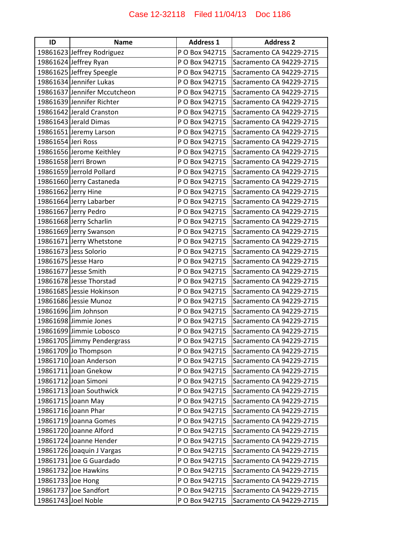| ID                 | <b>Name</b>                  | <b>Address 1</b> | <b>Address 2</b>         |
|--------------------|------------------------------|------------------|--------------------------|
|                    | 19861623 Jeffrey Rodriguez   | P O Box 942715   | Sacramento CA 94229-2715 |
|                    | 19861624 Jeffrey Ryan        | P O Box 942715   | Sacramento CA 94229-2715 |
|                    | 19861625 Jeffrey Speegle     | P O Box 942715   | Sacramento CA 94229-2715 |
|                    | 19861634 Jennifer Lukas      | P O Box 942715   | Sacramento CA 94229-2715 |
|                    | 19861637 Jennifer Mccutcheon | P O Box 942715   | Sacramento CA 94229-2715 |
|                    | 19861639 Jennifer Richter    | P O Box 942715   | Sacramento CA 94229-2715 |
|                    | 19861642 Jerald Cranston     | P O Box 942715   | Sacramento CA 94229-2715 |
|                    | 19861643 Jerald Dimas        | P O Box 942715   | Sacramento CA 94229-2715 |
|                    | 19861651 Jeremy Larson       | P O Box 942715   | Sacramento CA 94229-2715 |
| 19861654 Jeri Ross |                              | P O Box 942715   | Sacramento CA 94229-2715 |
|                    | 19861656 Jerome Keithley     | P O Box 942715   | Sacramento CA 94229-2715 |
|                    | 19861658 Jerri Brown         | P O Box 942715   | Sacramento CA 94229-2715 |
|                    | 19861659 Jerrold Pollard     | P O Box 942715   | Sacramento CA 94229-2715 |
|                    | 19861660 Jerry Castaneda     | P O Box 942715   | Sacramento CA 94229-2715 |
|                    | 19861662 Jerry Hine          | P O Box 942715   | Sacramento CA 94229-2715 |
|                    | 19861664 Jerry Labarber      | P O Box 942715   | Sacramento CA 94229-2715 |
|                    | 19861667 Jerry Pedro         | P O Box 942715   | Sacramento CA 94229-2715 |
|                    | 19861668 Jerry Scharlin      | P O Box 942715   | Sacramento CA 94229-2715 |
|                    | 19861669 Jerry Swanson       | P O Box 942715   | Sacramento CA 94229-2715 |
|                    | 19861671 Jerry Whetstone     | P O Box 942715   | Sacramento CA 94229-2715 |
|                    | 19861673 Jess Solorio        | P O Box 942715   | Sacramento CA 94229-2715 |
|                    | 19861675 Jesse Haro          | P O Box 942715   | Sacramento CA 94229-2715 |
|                    | 19861677 Jesse Smith         | P O Box 942715   | Sacramento CA 94229-2715 |
|                    | 19861678 Jesse Thorstad      | P O Box 942715   | Sacramento CA 94229-2715 |
|                    | 19861685 Jessie Hokinson     | P O Box 942715   | Sacramento CA 94229-2715 |
|                    | 19861686 Jessie Munoz        | P O Box 942715   | Sacramento CA 94229-2715 |
|                    | 19861696 Jim Johnson         | P O Box 942715   | Sacramento CA 94229-2715 |
|                    | 19861698 Jimmie Jones        | P O Box 942715   | Sacramento CA 94229-2715 |
|                    | 19861699 Jimmie Lobosco      | P O Box 942715   | Sacramento CA 94229-2715 |
|                    | 19861705 Jimmy Pendergrass   | P O Box 942715   | Sacramento CA 94229-2715 |
|                    | 19861709 Jo Thompson         | P O Box 942715   | Sacramento CA 94229-2715 |
|                    | 19861710 Joan Anderson       | P O Box 942715   | Sacramento CA 94229-2715 |
|                    | 19861711 Joan Gnekow         | P O Box 942715   | Sacramento CA 94229-2715 |
|                    | 19861712 Joan Simoni         | P O Box 942715   | Sacramento CA 94229-2715 |
|                    | 19861713 Joan Southwick      | P O Box 942715   | Sacramento CA 94229-2715 |
|                    | 19861715 Joann May           | P O Box 942715   | Sacramento CA 94229-2715 |
|                    | 19861716 Joann Phar          | P O Box 942715   | Sacramento CA 94229-2715 |
|                    | 19861719 Joanna Gomes        | P O Box 942715   | Sacramento CA 94229-2715 |
|                    | 19861720 Joanne Alford       | P O Box 942715   | Sacramento CA 94229-2715 |
|                    | 19861724 Joanne Hender       | P O Box 942715   | Sacramento CA 94229-2715 |
|                    | 19861726 Joaquin J Vargas    | P O Box 942715   | Sacramento CA 94229-2715 |
|                    | 19861731 Joe G Guardado      | P O Box 942715   | Sacramento CA 94229-2715 |
|                    | 19861732 Joe Hawkins         | P O Box 942715   | Sacramento CA 94229-2715 |
| 19861733 Joe Hong  |                              | P O Box 942715   | Sacramento CA 94229-2715 |
|                    | 19861737 Joe Sandfort        | P O Box 942715   | Sacramento CA 94229-2715 |
|                    | 19861743 Joel Noble          | P O Box 942715   | Sacramento CA 94229-2715 |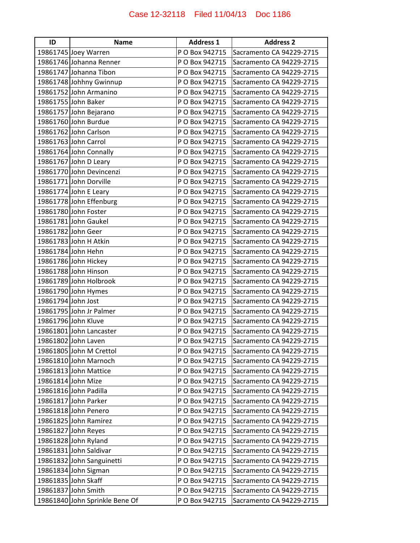| ID                 | <b>Name</b>                    | <b>Address 1</b> | <b>Address 2</b>         |
|--------------------|--------------------------------|------------------|--------------------------|
|                    | 19861745 Joey Warren           | P O Box 942715   | Sacramento CA 94229-2715 |
|                    | 19861746 Johanna Renner        | P O Box 942715   | Sacramento CA 94229-2715 |
|                    | 19861747 Johanna Tibon         | P O Box 942715   | Sacramento CA 94229-2715 |
|                    | 19861748 Johhny Gwinnup        | P O Box 942715   | Sacramento CA 94229-2715 |
|                    | 19861752 John Armanino         | P O Box 942715   | Sacramento CA 94229-2715 |
|                    | 19861755 John Baker            | P O Box 942715   | Sacramento CA 94229-2715 |
|                    | 19861757 John Bejarano         | P O Box 942715   | Sacramento CA 94229-2715 |
|                    | 19861760 John Burdue           | P O Box 942715   | Sacramento CA 94229-2715 |
|                    | 19861762 John Carlson          | P O Box 942715   | Sacramento CA 94229-2715 |
|                    | 19861763 John Carrol           | P O Box 942715   | Sacramento CA 94229-2715 |
|                    | 19861764 John Connally         | P O Box 942715   | Sacramento CA 94229-2715 |
|                    | 19861767 John D Leary          | P O Box 942715   | Sacramento CA 94229-2715 |
|                    | 19861770 John Devincenzi       | P O Box 942715   | Sacramento CA 94229-2715 |
|                    | 19861771 John Dorville         | P O Box 942715   | Sacramento CA 94229-2715 |
|                    | 19861774 John E Leary          | P O Box 942715   | Sacramento CA 94229-2715 |
|                    | 19861778 John Effenburg        | P O Box 942715   | Sacramento CA 94229-2715 |
|                    | 19861780 John Foster           | P O Box 942715   | Sacramento CA 94229-2715 |
|                    | 19861781 John Gaukel           | P O Box 942715   | Sacramento CA 94229-2715 |
|                    | 19861782 John Geer             | P O Box 942715   | Sacramento CA 94229-2715 |
|                    | 19861783 John H Atkin          | P O Box 942715   | Sacramento CA 94229-2715 |
|                    | 19861784 John Hehn             | P O Box 942715   | Sacramento CA 94229-2715 |
|                    | 19861786 John Hickey           | P O Box 942715   | Sacramento CA 94229-2715 |
|                    | 19861788 John Hinson           | P O Box 942715   | Sacramento CA 94229-2715 |
|                    | 19861789 John Holbrook         | P O Box 942715   | Sacramento CA 94229-2715 |
|                    | 19861790 John Hymes            | P O Box 942715   | Sacramento CA 94229-2715 |
| 19861794 John Jost |                                | P O Box 942715   | Sacramento CA 94229-2715 |
|                    | 19861795 John Jr Palmer        | P O Box 942715   | Sacramento CA 94229-2715 |
|                    | 19861796 John Kluve            | P O Box 942715   | Sacramento CA 94229-2715 |
|                    | 19861801 John Lancaster        | P O Box 942715   | Sacramento CA 94229-2715 |
|                    | 19861802 John Laven            | P O Box 942715   | Sacramento CA 94229-2715 |
|                    | 19861805 John M Crettol        | P O Box 942715   | Sacramento CA 94229-2715 |
|                    | 19861810 John Marnoch          | P O Box 942715   | Sacramento CA 94229-2715 |
|                    | 19861813 John Mattice          | P O Box 942715   | Sacramento CA 94229-2715 |
|                    | 19861814 John Mize             | P O Box 942715   | Sacramento CA 94229-2715 |
|                    | 19861816 John Padilla          | P O Box 942715   | Sacramento CA 94229-2715 |
|                    | 19861817 John Parker           | P O Box 942715   | Sacramento CA 94229-2715 |
|                    | 19861818 John Penero           | P O Box 942715   | Sacramento CA 94229-2715 |
|                    | 19861825 John Ramirez          | P O Box 942715   | Sacramento CA 94229-2715 |
|                    | 19861827 John Reyes            | P O Box 942715   | Sacramento CA 94229-2715 |
|                    | 19861828 John Ryland           | P O Box 942715   | Sacramento CA 94229-2715 |
|                    | 19861831 John Saldivar         | P O Box 942715   | Sacramento CA 94229-2715 |
|                    | 19861832 John Sanguinetti      | P O Box 942715   | Sacramento CA 94229-2715 |
|                    | 19861834 John Sigman           | P O Box 942715   | Sacramento CA 94229-2715 |
|                    | 19861835 John Skaff            | P O Box 942715   | Sacramento CA 94229-2715 |
|                    | 19861837 John Smith            | P O Box 942715   | Sacramento CA 94229-2715 |
|                    | 19861840 John Sprinkle Bene Of | P O Box 942715   | Sacramento CA 94229-2715 |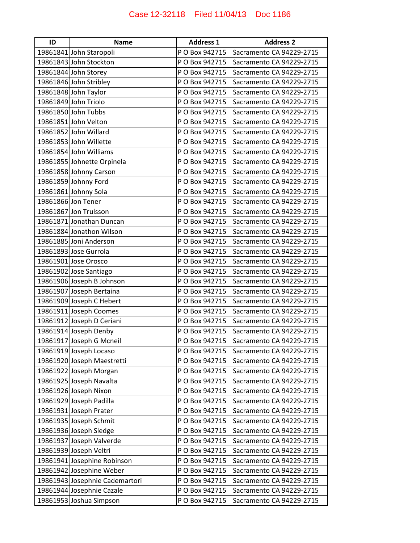| ID                 | <b>Name</b>                    | <b>Address 1</b> | <b>Address 2</b>         |
|--------------------|--------------------------------|------------------|--------------------------|
|                    | 19861841 John Staropoli        | P O Box 942715   | Sacramento CA 94229-2715 |
|                    | 19861843 John Stockton         | P O Box 942715   | Sacramento CA 94229-2715 |
|                    | 19861844 John Storey           | P O Box 942715   | Sacramento CA 94229-2715 |
|                    | 19861846 John Stribley         | P O Box 942715   | Sacramento CA 94229-2715 |
|                    | 19861848 John Taylor           | P O Box 942715   | Sacramento CA 94229-2715 |
|                    | 19861849 John Triolo           | P O Box 942715   | Sacramento CA 94229-2715 |
|                    | 19861850 John Tubbs            | P O Box 942715   | Sacramento CA 94229-2715 |
|                    | 19861851 John Velton           | P O Box 942715   | Sacramento CA 94229-2715 |
|                    | 19861852 John Willard          | P O Box 942715   | Sacramento CA 94229-2715 |
|                    | 19861853 John Willette         | P O Box 942715   | Sacramento CA 94229-2715 |
|                    | 19861854 John Williams         | P O Box 942715   | Sacramento CA 94229-2715 |
|                    | 19861855 Johnette Orpinela     | P O Box 942715   | Sacramento CA 94229-2715 |
|                    | 19861858 Johnny Carson         | P O Box 942715   | Sacramento CA 94229-2715 |
|                    | 19861859 Johnny Ford           | P O Box 942715   | Sacramento CA 94229-2715 |
|                    | 19861861 Johnny Sola           | P O Box 942715   | Sacramento CA 94229-2715 |
| 19861866 Jon Tener |                                | P O Box 942715   | Sacramento CA 94229-2715 |
|                    | 19861867 Jon Trulsson          | P O Box 942715   | Sacramento CA 94229-2715 |
|                    | 19861871 Jonathan Duncan       | P O Box 942715   | Sacramento CA 94229-2715 |
|                    | 19861884 Jonathon Wilson       | P O Box 942715   | Sacramento CA 94229-2715 |
|                    | 19861885 Joni Anderson         | P O Box 942715   | Sacramento CA 94229-2715 |
|                    | 19861893 Jose Gurrola          | P O Box 942715   | Sacramento CA 94229-2715 |
|                    | 19861901 Jose Orosco           | P O Box 942715   | Sacramento CA 94229-2715 |
|                    | 19861902 Jose Santiago         | P O Box 942715   | Sacramento CA 94229-2715 |
|                    | 19861906 Joseph B Johnson      | P O Box 942715   | Sacramento CA 94229-2715 |
|                    | 19861907 Joseph Bertaina       | P O Box 942715   | Sacramento CA 94229-2715 |
|                    | 19861909 Joseph C Hebert       | P O Box 942715   | Sacramento CA 94229-2715 |
|                    | 19861911 Joseph Coomes         | P O Box 942715   | Sacramento CA 94229-2715 |
|                    | 19861912 Joseph D Ceriani      | P O Box 942715   | Sacramento CA 94229-2715 |
|                    | 19861914 Joseph Denby          | P O Box 942715   | Sacramento CA 94229-2715 |
|                    | 19861917 Joseph G Mcneil       | P O Box 942715   | Sacramento CA 94229-2715 |
|                    | 19861919 Joseph Locaso         | P O Box 942715   | Sacramento CA 94229-2715 |
|                    | 19861920 Joseph Maestretti     | P O Box 942715   | Sacramento CA 94229-2715 |
|                    | 19861922 Joseph Morgan         | P O Box 942715   | Sacramento CA 94229-2715 |
|                    | 19861925 Joseph Navalta        | P O Box 942715   | Sacramento CA 94229-2715 |
|                    | 19861926 Joseph Nixon          | P O Box 942715   | Sacramento CA 94229-2715 |
|                    | 19861929 Joseph Padilla        | P O Box 942715   | Sacramento CA 94229-2715 |
|                    | 19861931 Joseph Prater         | P O Box 942715   | Sacramento CA 94229-2715 |
|                    | 19861935 Joseph Schmit         | P O Box 942715   | Sacramento CA 94229-2715 |
|                    | 19861936 Joseph Sledge         | P O Box 942715   | Sacramento CA 94229-2715 |
|                    | 19861937 Joseph Valverde       | P O Box 942715   | Sacramento CA 94229-2715 |
|                    | 19861939 Joseph Veltri         | P O Box 942715   | Sacramento CA 94229-2715 |
|                    | 19861941 Josephine Robinson    | P O Box 942715   | Sacramento CA 94229-2715 |
|                    | 19861942 Josephine Weber       | P O Box 942715   | Sacramento CA 94229-2715 |
|                    | 19861943 Josephnie Cademartori | P O Box 942715   | Sacramento CA 94229-2715 |
|                    | 19861944 Josephnie Cazale      | P O Box 942715   | Sacramento CA 94229-2715 |
|                    | 19861953 Joshua Simpson        | P O Box 942715   | Sacramento CA 94229-2715 |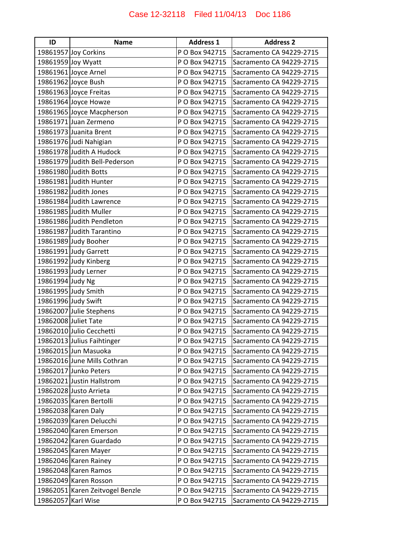| ID                 | <b>Name</b>                     | <b>Address 1</b> | <b>Address 2</b>         |
|--------------------|---------------------------------|------------------|--------------------------|
|                    | 19861957 Joy Corkins            | P O Box 942715   | Sacramento CA 94229-2715 |
|                    | 19861959 Joy Wyatt              | P O Box 942715   | Sacramento CA 94229-2715 |
|                    | 19861961 Joyce Arnel            | P O Box 942715   | Sacramento CA 94229-2715 |
|                    | 19861962 Joyce Bush             | P O Box 942715   | Sacramento CA 94229-2715 |
|                    | 19861963 Joyce Freitas          | P O Box 942715   | Sacramento CA 94229-2715 |
|                    | 19861964 Joyce Howze            | P O Box 942715   | Sacramento CA 94229-2715 |
|                    | 19861965 Joyce Macpherson       | P O Box 942715   | Sacramento CA 94229-2715 |
|                    | 19861971 Juan Zermeno           | P O Box 942715   | Sacramento CA 94229-2715 |
|                    | 19861973 Juanita Brent          | P O Box 942715   | Sacramento CA 94229-2715 |
|                    | 19861976 Judi Nahigian          | P O Box 942715   | Sacramento CA 94229-2715 |
|                    | 19861978 Judith A Hudock        | P O Box 942715   | Sacramento CA 94229-2715 |
|                    | 19861979 Judith Bell-Pederson   | P O Box 942715   | Sacramento CA 94229-2715 |
|                    | 19861980 Judith Botts           | P O Box 942715   | Sacramento CA 94229-2715 |
|                    | 19861981 Judith Hunter          | P O Box 942715   | Sacramento CA 94229-2715 |
|                    | 19861982 Judith Jones           | P O Box 942715   | Sacramento CA 94229-2715 |
|                    | 19861984 Judith Lawrence        | P O Box 942715   | Sacramento CA 94229-2715 |
|                    | 19861985 Judith Muller          | P O Box 942715   | Sacramento CA 94229-2715 |
|                    | 19861986 Judith Pendleton       | P O Box 942715   | Sacramento CA 94229-2715 |
|                    | 19861987 Judith Tarantino       | P O Box 942715   | Sacramento CA 94229-2715 |
|                    | 19861989 Judy Booher            | P O Box 942715   | Sacramento CA 94229-2715 |
|                    | 19861991 Judy Garrett           | P O Box 942715   | Sacramento CA 94229-2715 |
|                    | 19861992 Judy Kinberg           | P O Box 942715   | Sacramento CA 94229-2715 |
|                    | 19861993 Judy Lerner            | P O Box 942715   | Sacramento CA 94229-2715 |
| 19861994 Judy Ng   |                                 | P O Box 942715   | Sacramento CA 94229-2715 |
|                    | 19861995 Judy Smith             | P O Box 942715   | Sacramento CA 94229-2715 |
|                    | 19861996 Judy Swift             | P O Box 942715   | Sacramento CA 94229-2715 |
|                    | 19862007 Julie Stephens         | P O Box 942715   | Sacramento CA 94229-2715 |
|                    | 19862008 Juliet Tate            | P O Box 942715   | Sacramento CA 94229-2715 |
|                    | 19862010 Julio Cecchetti        | P O Box 942715   | Sacramento CA 94229-2715 |
|                    | 19862013 Julius Faihtinger      | P O Box 942715   | Sacramento CA 94229-2715 |
|                    | 19862015 Jun Masuoka            | P O Box 942715   | Sacramento CA 94229-2715 |
|                    | 19862016 June Mills Cothran     | P O Box 942715   | Sacramento CA 94229-2715 |
|                    | 19862017 Junko Peters           | P O Box 942715   | Sacramento CA 94229-2715 |
|                    | 19862021 Justin Hallstrom       | P O Box 942715   | Sacramento CA 94229-2715 |
|                    | 19862028 Justo Arrieta          | P O Box 942715   | Sacramento CA 94229-2715 |
|                    | 19862035 Karen Bertolli         | P O Box 942715   | Sacramento CA 94229-2715 |
|                    | 19862038 Karen Daly             | P O Box 942715   | Sacramento CA 94229-2715 |
|                    | 19862039 Karen Delucchi         | P O Box 942715   | Sacramento CA 94229-2715 |
|                    | 19862040 Karen Emerson          | P O Box 942715   | Sacramento CA 94229-2715 |
|                    | 19862042 Karen Guardado         | P O Box 942715   | Sacramento CA 94229-2715 |
|                    | 19862045 Karen Mayer            | P O Box 942715   | Sacramento CA 94229-2715 |
|                    | 19862046 Karen Rainey           | P O Box 942715   | Sacramento CA 94229-2715 |
|                    | 19862048 Karen Ramos            | P O Box 942715   | Sacramento CA 94229-2715 |
|                    | 19862049 Karen Rosson           | P O Box 942715   | Sacramento CA 94229-2715 |
|                    | 19862051 Karen Zeitvogel Benzle | P O Box 942715   | Sacramento CA 94229-2715 |
| 19862057 Karl Wise |                                 | P O Box 942715   | Sacramento CA 94229-2715 |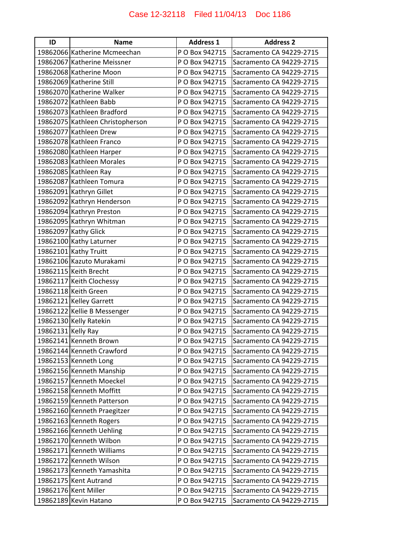| ID                 | <b>Name</b>                      | <b>Address 1</b> | <b>Address 2</b>         |
|--------------------|----------------------------------|------------------|--------------------------|
|                    | 19862066 Katherine Mcmeechan     | P O Box 942715   | Sacramento CA 94229-2715 |
|                    | 19862067 Katherine Meissner      | P O Box 942715   | Sacramento CA 94229-2715 |
|                    | 19862068 Katherine Moon          | P O Box 942715   | Sacramento CA 94229-2715 |
|                    | 19862069 Katherine Still         | P O Box 942715   | Sacramento CA 94229-2715 |
|                    | 19862070 Katherine Walker        | P O Box 942715   | Sacramento CA 94229-2715 |
|                    | 19862072 Kathleen Babb           | P O Box 942715   | Sacramento CA 94229-2715 |
|                    | 19862073 Kathleen Bradford       | P O Box 942715   | Sacramento CA 94229-2715 |
|                    | 19862075 Kathleen Christopherson | P O Box 942715   | Sacramento CA 94229-2715 |
|                    | 19862077 Kathleen Drew           | P O Box 942715   | Sacramento CA 94229-2715 |
|                    | 19862078 Kathleen Franco         | P O Box 942715   | Sacramento CA 94229-2715 |
|                    | 19862080 Kathleen Harper         | P O Box 942715   | Sacramento CA 94229-2715 |
|                    | 19862083 Kathleen Morales        | P O Box 942715   | Sacramento CA 94229-2715 |
|                    | 19862085 Kathleen Ray            | P O Box 942715   | Sacramento CA 94229-2715 |
|                    | 19862087 Kathleen Tomura         | P O Box 942715   | Sacramento CA 94229-2715 |
|                    | 19862091 Kathryn Gillet          | P O Box 942715   | Sacramento CA 94229-2715 |
|                    | 19862092 Kathryn Henderson       | P O Box 942715   | Sacramento CA 94229-2715 |
|                    | 19862094 Kathryn Preston         | P O Box 942715   | Sacramento CA 94229-2715 |
|                    | 19862095 Kathryn Whitman         | P O Box 942715   | Sacramento CA 94229-2715 |
|                    | 19862097 Kathy Glick             | P O Box 942715   | Sacramento CA 94229-2715 |
|                    | 19862100 Kathy Laturner          | P O Box 942715   | Sacramento CA 94229-2715 |
|                    | 19862101 Kathy Truitt            | P O Box 942715   | Sacramento CA 94229-2715 |
|                    | 19862106 Kazuto Murakami         | P O Box 942715   | Sacramento CA 94229-2715 |
|                    | 19862115 Keith Brecht            | P O Box 942715   | Sacramento CA 94229-2715 |
|                    | 19862117 Keith Clochessy         | P O Box 942715   | Sacramento CA 94229-2715 |
|                    | 19862118 Keith Green             | P O Box 942715   | Sacramento CA 94229-2715 |
|                    | 19862121 Kelley Garrett          | P O Box 942715   | Sacramento CA 94229-2715 |
|                    | 19862122 Kellie B Messenger      | P O Box 942715   | Sacramento CA 94229-2715 |
|                    | 19862130 Kelly Ratekin           | P O Box 942715   | Sacramento CA 94229-2715 |
| 19862131 Kelly Ray |                                  | P O Box 942715   | Sacramento CA 94229-2715 |
|                    | 19862141 Kenneth Brown           | P O Box 942715   | Sacramento CA 94229-2715 |
|                    | 19862144 Kenneth Crawford        | P O Box 942715   | Sacramento CA 94229-2715 |
|                    | 19862153 Kenneth Long            | P O Box 942715   | Sacramento CA 94229-2715 |
|                    | 19862156 Kenneth Manship         | P O Box 942715   | Sacramento CA 94229-2715 |
|                    | 19862157 Kenneth Moeckel         | P O Box 942715   | Sacramento CA 94229-2715 |
|                    | 19862158 Kenneth Moffitt         | P O Box 942715   | Sacramento CA 94229-2715 |
|                    | 19862159 Kenneth Patterson       | P O Box 942715   | Sacramento CA 94229-2715 |
|                    | 19862160 Kenneth Praegitzer      | P O Box 942715   | Sacramento CA 94229-2715 |
|                    | 19862163 Kenneth Rogers          | P O Box 942715   | Sacramento CA 94229-2715 |
|                    | 19862166 Kenneth Uehling         | P O Box 942715   | Sacramento CA 94229-2715 |
|                    | 19862170 Kenneth Wilbon          | P O Box 942715   | Sacramento CA 94229-2715 |
|                    | 19862171 Kenneth Williams        | P O Box 942715   | Sacramento CA 94229-2715 |
|                    | 19862172 Kenneth Wilson          | P O Box 942715   | Sacramento CA 94229-2715 |
|                    | 19862173 Kenneth Yamashita       | P O Box 942715   | Sacramento CA 94229-2715 |
|                    | 19862175 Kent Autrand            | P O Box 942715   | Sacramento CA 94229-2715 |
|                    | 19862176 Kent Miller             | P O Box 942715   | Sacramento CA 94229-2715 |
|                    | 19862189 Kevin Hatano            | P O Box 942715   | Sacramento CA 94229-2715 |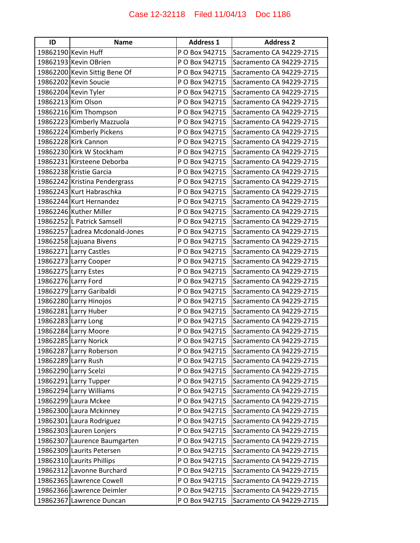| ID | <b>Name</b>                    | <b>Address 1</b> | <b>Address 2</b>         |
|----|--------------------------------|------------------|--------------------------|
|    | 19862190 Kevin Huff            | P O Box 942715   | Sacramento CA 94229-2715 |
|    | 19862193 Kevin OBrien          | P O Box 942715   | Sacramento CA 94229-2715 |
|    | 19862200 Kevin Sittig Bene Of  | P O Box 942715   | Sacramento CA 94229-2715 |
|    | 19862202 Kevin Soucie          | P O Box 942715   | Sacramento CA 94229-2715 |
|    | 19862204 Kevin Tyler           | P O Box 942715   | Sacramento CA 94229-2715 |
|    | 19862213 Kim Olson             | P O Box 942715   | Sacramento CA 94229-2715 |
|    | 19862216 Kim Thompson          | P O Box 942715   | Sacramento CA 94229-2715 |
|    | 19862223 Kimberly Mazzuola     | P O Box 942715   | Sacramento CA 94229-2715 |
|    | 19862224 Kimberly Pickens      | P O Box 942715   | Sacramento CA 94229-2715 |
|    | 19862228 Kirk Cannon           | P O Box 942715   | Sacramento CA 94229-2715 |
|    | 19862230 Kirk W Stockham       | P O Box 942715   | Sacramento CA 94229-2715 |
|    | 19862231 Kirsteene Deborba     | P O Box 942715   | Sacramento CA 94229-2715 |
|    | 19862238 Kristie Garcia        | P O Box 942715   | Sacramento CA 94229-2715 |
|    | 19862242 Kristina Pendergrass  | P O Box 942715   | Sacramento CA 94229-2715 |
|    | 19862243 Kurt Habraschka       | P O Box 942715   | Sacramento CA 94229-2715 |
|    | 19862244 Kurt Hernandez        | P O Box 942715   | Sacramento CA 94229-2715 |
|    | 19862246 Kuther Miller         | P O Box 942715   | Sacramento CA 94229-2715 |
|    | 19862252 L Patrick Samsell     | P O Box 942715   | Sacramento CA 94229-2715 |
|    | 19862257 Ladrea Mcdonald-Jones | P O Box 942715   | Sacramento CA 94229-2715 |
|    | 19862258 Lajuana Bivens        | P O Box 942715   | Sacramento CA 94229-2715 |
|    | 19862271 Larry Castles         | P O Box 942715   | Sacramento CA 94229-2715 |
|    | 19862273 Larry Cooper          | P O Box 942715   | Sacramento CA 94229-2715 |
|    | 19862275 Larry Estes           | P O Box 942715   | Sacramento CA 94229-2715 |
|    | 19862276 Larry Ford            | P O Box 942715   | Sacramento CA 94229-2715 |
|    | 19862279 Larry Garibaldi       | P O Box 942715   | Sacramento CA 94229-2715 |
|    | 19862280 Larry Hinojos         | P O Box 942715   | Sacramento CA 94229-2715 |
|    | 19862281 Larry Huber           | P O Box 942715   | Sacramento CA 94229-2715 |
|    | 19862283 Larry Long            | P O Box 942715   | Sacramento CA 94229-2715 |
|    | 19862284 Larry Moore           | P O Box 942715   | Sacramento CA 94229-2715 |
|    | 19862285 Larry Norick          | P O Box 942715   | Sacramento CA 94229-2715 |
|    | 19862287 Larry Roberson        | P O Box 942715   | Sacramento CA 94229-2715 |
|    | 19862289 Larry Rush            | P O Box 942715   | Sacramento CA 94229-2715 |
|    | 19862290 Larry Scelzi          | P O Box 942715   | Sacramento CA 94229-2715 |
|    | 19862291 Larry Tupper          | P O Box 942715   | Sacramento CA 94229-2715 |
|    | 19862294 Larry Williams        | P O Box 942715   | Sacramento CA 94229-2715 |
|    | 19862299 Laura Mckee           | P O Box 942715   | Sacramento CA 94229-2715 |
|    | 19862300 Laura Mckinney        | P O Box 942715   | Sacramento CA 94229-2715 |
|    | 19862301 Laura Rodriguez       | P O Box 942715   | Sacramento CA 94229-2715 |
|    | 19862303 Lauren Lonjers        | P O Box 942715   | Sacramento CA 94229-2715 |
|    | 19862307 Laurence Baumgarten   | P O Box 942715   | Sacramento CA 94229-2715 |
|    | 19862309 Laurits Petersen      | P O Box 942715   | Sacramento CA 94229-2715 |
|    | 19862310 Laurits Phillips      | P O Box 942715   | Sacramento CA 94229-2715 |
|    | 19862312 Lavonne Burchard      | P O Box 942715   | Sacramento CA 94229-2715 |
|    | 19862365 Lawrence Cowell       | P O Box 942715   | Sacramento CA 94229-2715 |
|    | 19862366 Lawrence Deimler      | P O Box 942715   | Sacramento CA 94229-2715 |
|    | 19862367 Lawrence Duncan       | P O Box 942715   | Sacramento CA 94229-2715 |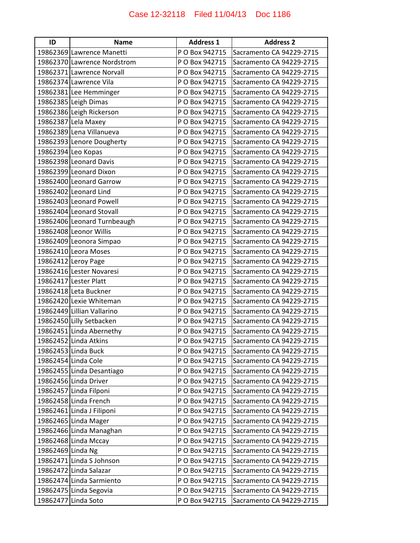| ID                | <b>Name</b>                 | <b>Address 1</b> | <b>Address 2</b>         |
|-------------------|-----------------------------|------------------|--------------------------|
|                   | 19862369 Lawrence Manetti   | P O Box 942715   | Sacramento CA 94229-2715 |
|                   | 19862370 Lawrence Nordstrom | P O Box 942715   | Sacramento CA 94229-2715 |
|                   | 19862371 Lawrence Norvall   | P O Box 942715   | Sacramento CA 94229-2715 |
|                   | 19862374 Lawrence Vila      | P O Box 942715   | Sacramento CA 94229-2715 |
|                   | 19862381 Lee Hemminger      | P O Box 942715   | Sacramento CA 94229-2715 |
|                   | 19862385 Leigh Dimas        | P O Box 942715   | Sacramento CA 94229-2715 |
|                   | 19862386 Leigh Rickerson    | P O Box 942715   | Sacramento CA 94229-2715 |
|                   | 19862387 Lela Maxey         | P O Box 942715   | Sacramento CA 94229-2715 |
|                   | 19862389 Lena Villanueva    | P O Box 942715   | Sacramento CA 94229-2715 |
|                   | 19862393 Lenore Dougherty   | P O Box 942715   | Sacramento CA 94229-2715 |
|                   | 19862394 Leo Kopas          | P O Box 942715   | Sacramento CA 94229-2715 |
|                   | 19862398 Leonard Davis      | P O Box 942715   | Sacramento CA 94229-2715 |
|                   | 19862399 Leonard Dixon      | P O Box 942715   | Sacramento CA 94229-2715 |
|                   | 19862400 Leonard Garrow     | P O Box 942715   | Sacramento CA 94229-2715 |
|                   | 19862402 Leonard Lind       | P O Box 942715   | Sacramento CA 94229-2715 |
|                   | 19862403 Leonard Powell     | P O Box 942715   | Sacramento CA 94229-2715 |
|                   | 19862404 Leonard Stovall    | P O Box 942715   | Sacramento CA 94229-2715 |
|                   | 19862406 Leonard Turnbeaugh | P O Box 942715   | Sacramento CA 94229-2715 |
|                   | 19862408 Leonor Willis      | P O Box 942715   | Sacramento CA 94229-2715 |
|                   | 19862409 Leonora Simpao     | P O Box 942715   | Sacramento CA 94229-2715 |
|                   | 19862410 Leora Moses        | P O Box 942715   | Sacramento CA 94229-2715 |
|                   | 19862412 Leroy Page         | P O Box 942715   | Sacramento CA 94229-2715 |
|                   | 19862416 Lester Novaresi    | P O Box 942715   | Sacramento CA 94229-2715 |
|                   | 19862417 Lester Platt       | P O Box 942715   | Sacramento CA 94229-2715 |
|                   | 19862418 Leta Buckner       | P O Box 942715   | Sacramento CA 94229-2715 |
|                   | 19862420 Lexie Whiteman     | P O Box 942715   | Sacramento CA 94229-2715 |
|                   | 19862449 Lillian Vallarino  | P O Box 942715   | Sacramento CA 94229-2715 |
|                   | 19862450 Lilly Setbacken    | P O Box 942715   | Sacramento CA 94229-2715 |
|                   | 19862451 Linda Abernethy    | P O Box 942715   | Sacramento CA 94229-2715 |
|                   | 19862452 Linda Atkins       | P O Box 942715   | Sacramento CA 94229-2715 |
|                   | 19862453 Linda Buck         | P O Box 942715   | Sacramento CA 94229-2715 |
|                   | 19862454 Linda Cole         | P O Box 942715   | Sacramento CA 94229-2715 |
|                   | 19862455 Linda Desantiago   | P O Box 942715   | Sacramento CA 94229-2715 |
|                   | 19862456 Linda Driver       | P O Box 942715   | Sacramento CA 94229-2715 |
|                   | 19862457 Linda Filponi      | P O Box 942715   | Sacramento CA 94229-2715 |
|                   | 19862458 Linda French       | P O Box 942715   | Sacramento CA 94229-2715 |
|                   | 19862461 Linda J Filiponi   | P O Box 942715   | Sacramento CA 94229-2715 |
|                   | 19862465 Linda Mager        | P O Box 942715   | Sacramento CA 94229-2715 |
|                   | 19862466 Linda Managhan     | P O Box 942715   | Sacramento CA 94229-2715 |
|                   | 19862468 Linda Mccay        | P O Box 942715   | Sacramento CA 94229-2715 |
| 19862469 Linda Ng |                             | P O Box 942715   | Sacramento CA 94229-2715 |
|                   | 19862471 Linda S Johnson    | P O Box 942715   | Sacramento CA 94229-2715 |
|                   | 19862472 Linda Salazar      | P O Box 942715   | Sacramento CA 94229-2715 |
|                   | 19862474 Linda Sarmiento    | P O Box 942715   | Sacramento CA 94229-2715 |
|                   | 19862475 Linda Segovia      | P O Box 942715   | Sacramento CA 94229-2715 |
|                   | 19862477 Linda Soto         | P O Box 942715   | Sacramento CA 94229-2715 |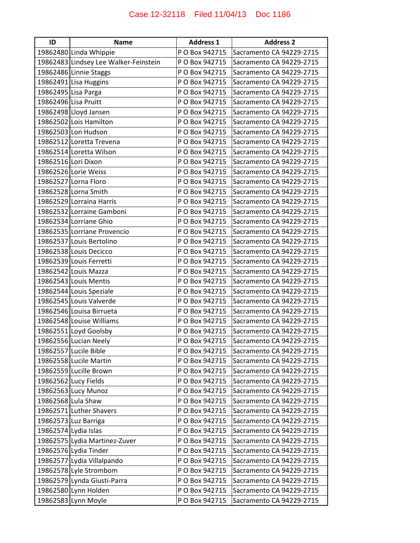| ID | <b>Name</b>                           | <b>Address 1</b> | <b>Address 2</b>         |
|----|---------------------------------------|------------------|--------------------------|
|    | 19862480 Linda Whippie                | P O Box 942715   | Sacramento CA 94229-2715 |
|    | 19862483 Lindsey Lee Walker-Feinstein | P O Box 942715   | Sacramento CA 94229-2715 |
|    | 19862486 Linnie Staggs                | P O Box 942715   | Sacramento CA 94229-2715 |
|    | 19862491 Lisa Huggins                 | P O Box 942715   | Sacramento CA 94229-2715 |
|    | 19862495 Lisa Parga                   | P O Box 942715   | Sacramento CA 94229-2715 |
|    | 19862496 Lisa Pruitt                  | P O Box 942715   | Sacramento CA 94229-2715 |
|    | 19862498 Lloyd Jansen                 | P O Box 942715   | Sacramento CA 94229-2715 |
|    | 19862502 Lois Hamilton                | P O Box 942715   | Sacramento CA 94229-2715 |
|    | 19862503 Lon Hudson                   | P O Box 942715   | Sacramento CA 94229-2715 |
|    | 19862512 Loretta Trevena              | P O Box 942715   | Sacramento CA 94229-2715 |
|    | 19862514 Loretta Wilson               | P O Box 942715   | Sacramento CA 94229-2715 |
|    | 19862516 Lori Dixon                   | P O Box 942715   | Sacramento CA 94229-2715 |
|    | 19862526 Lorie Weiss                  | P O Box 942715   | Sacramento CA 94229-2715 |
|    | 19862527 Lorna Floro                  | P O Box 942715   | Sacramento CA 94229-2715 |
|    | 19862528 Lorna Smith                  | P O Box 942715   | Sacramento CA 94229-2715 |
|    | 19862529 Lorraina Harris              | P O Box 942715   | Sacramento CA 94229-2715 |
|    | 19862532 Lorraine Gamboni             | P O Box 942715   | Sacramento CA 94229-2715 |
|    | 19862534 Lorriane Ghio                | P O Box 942715   | Sacramento CA 94229-2715 |
|    | 19862535 Lorriane Provencio           | P O Box 942715   | Sacramento CA 94229-2715 |
|    | 19862537 Louis Bertolino              | P O Box 942715   | Sacramento CA 94229-2715 |
|    | 19862538 Louis Decicco                | P O Box 942715   | Sacramento CA 94229-2715 |
|    | 19862539 Louis Ferretti               | P O Box 942715   | Sacramento CA 94229-2715 |
|    | 19862542 Louis Mazza                  | P O Box 942715   | Sacramento CA 94229-2715 |
|    | 19862543 Louis Mentis                 | P O Box 942715   | Sacramento CA 94229-2715 |
|    | 19862544 Louis Speziale               | P O Box 942715   | Sacramento CA 94229-2715 |
|    | 19862545 Louis Valverde               | P O Box 942715   | Sacramento CA 94229-2715 |
|    | 19862546 Louisa Birrueta              | P O Box 942715   | Sacramento CA 94229-2715 |
|    | 19862548 Louise Williams              | P O Box 942715   | Sacramento CA 94229-2715 |
|    | 19862551 Loyd Goolsby                 | P O Box 942715   | Sacramento CA 94229-2715 |
|    | 19862556 Lucian Neely                 | P O Box 942715   | Sacramento CA 94229-2715 |
|    | 19862557 Lucile Bible                 | P O Box 942715   | Sacramento CA 94229-2715 |
|    | 19862558 Lucile Martin                | P O Box 942715   | Sacramento CA 94229-2715 |
|    | 19862559 Lucille Brown                | P O Box 942715   | Sacramento CA 94229-2715 |
|    | 19862562 Lucy Fields                  | P O Box 942715   | Sacramento CA 94229-2715 |
|    | 19862563 Lucy Munoz                   | P O Box 942715   | Sacramento CA 94229-2715 |
|    | 19862568 Lula Shaw                    | P O Box 942715   | Sacramento CA 94229-2715 |
|    | 19862571 Luther Shavers               | P O Box 942715   | Sacramento CA 94229-2715 |
|    | 19862573 Luz Barriga                  | P O Box 942715   | Sacramento CA 94229-2715 |
|    | 19862574 Lydia Islas                  | P O Box 942715   | Sacramento CA 94229-2715 |
|    | 19862575 Lydia Martinez-Zuver         | P O Box 942715   | Sacramento CA 94229-2715 |
|    | 19862576 Lydia Tinder                 | P O Box 942715   | Sacramento CA 94229-2715 |
|    | 19862577 Lydia Villalpando            | P O Box 942715   | Sacramento CA 94229-2715 |
|    | 19862578 Lyle Strombom                | P O Box 942715   | Sacramento CA 94229-2715 |
|    | 19862579 Lynda Giusti-Parra           | P O Box 942715   | Sacramento CA 94229-2715 |
|    | 19862580 Lynn Holden                  | P O Box 942715   | Sacramento CA 94229-2715 |
|    | 19862583 Lynn Moyle                   | P O Box 942715   | Sacramento CA 94229-2715 |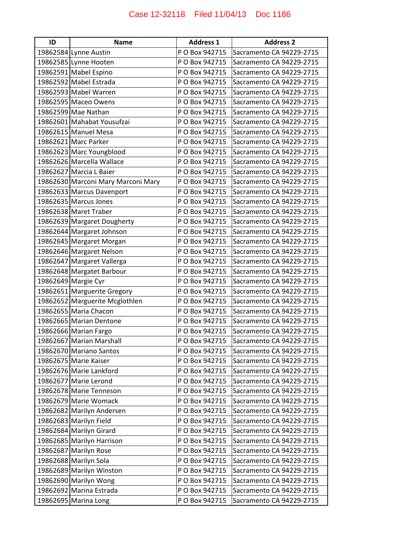| ID | <b>Name</b>                        | <b>Address 1</b> | <b>Address 2</b>         |
|----|------------------------------------|------------------|--------------------------|
|    | 19862584 Lynne Austin              | P O Box 942715   | Sacramento CA 94229-2715 |
|    | 19862585 Lynne Hooten              | P O Box 942715   | Sacramento CA 94229-2715 |
|    | 19862591 Mabel Espino              | P O Box 942715   | Sacramento CA 94229-2715 |
|    | 19862592 Mabel Estrada             | P O Box 942715   | Sacramento CA 94229-2715 |
|    | 19862593 Mabel Warren              | P O Box 942715   | Sacramento CA 94229-2715 |
|    | 19862595 Maceo Owens               | P O Box 942715   | Sacramento CA 94229-2715 |
|    | 19862599 Mae Nathan                | P O Box 942715   | Sacramento CA 94229-2715 |
|    | 19862601 Mahabat Yousufzai         | P O Box 942715   | Sacramento CA 94229-2715 |
|    | 19862615 Manuel Mesa               | P O Box 942715   | Sacramento CA 94229-2715 |
|    | 19862621 Marc Parker               | P O Box 942715   | Sacramento CA 94229-2715 |
|    | 19862623 Marc Youngblood           | P O Box 942715   | Sacramento CA 94229-2715 |
|    | 19862626 Marcella Wallace          | P O Box 942715   | Sacramento CA 94229-2715 |
|    | 19862627 Marcia L Baier            | P O Box 942715   | Sacramento CA 94229-2715 |
|    | 19862630 Marconi Mary Marconi Mary | P O Box 942715   | Sacramento CA 94229-2715 |
|    | 19862633 Marcus Davenport          | P O Box 942715   | Sacramento CA 94229-2715 |
|    | 19862635 Marcus Jones              | P O Box 942715   | Sacramento CA 94229-2715 |
|    | 19862638 Maret Traber              | P O Box 942715   | Sacramento CA 94229-2715 |
|    | 19862639 Margaret Dougherty        | P O Box 942715   | Sacramento CA 94229-2715 |
|    | 19862644 Margaret Johnson          | P O Box 942715   | Sacramento CA 94229-2715 |
|    | 19862645 Margaret Morgan           | P O Box 942715   | Sacramento CA 94229-2715 |
|    | 19862646 Margaret Nelson           | P O Box 942715   | Sacramento CA 94229-2715 |
|    | 19862647 Margaret Vallerga         | P O Box 942715   | Sacramento CA 94229-2715 |
|    | 19862648 Margatet Barbour          | P O Box 942715   | Sacramento CA 94229-2715 |
|    | 19862649 Margie Cyr                | P O Box 942715   | Sacramento CA 94229-2715 |
|    | 19862651 Marguerite Gregory        | P O Box 942715   | Sacramento CA 94229-2715 |
|    | 19862652 Marguerite Mcglothlen     | P O Box 942715   | Sacramento CA 94229-2715 |
|    | 19862655 Maria Chacon              | P O Box 942715   | Sacramento CA 94229-2715 |
|    | 19862665 Marian Dentone            | P O Box 942715   | Sacramento CA 94229-2715 |
|    | 19862666 Marian Fargo              | P O Box 942715   | Sacramento CA 94229-2715 |
|    | 19862667 Marian Marshall           | P O Box 942715   | Sacramento CA 94229-2715 |
|    | 19862670 Mariano Santos            | P O Box 942715   | Sacramento CA 94229-2715 |
|    | 19862675 Marie Kaiser              | P O Box 942715   | Sacramento CA 94229-2715 |
|    | 19862676 Marie Lankford            | P O Box 942715   | Sacramento CA 94229-2715 |
|    | 19862677 Marie Lerond              | P O Box 942715   | Sacramento CA 94229-2715 |
|    | 19862678 Marie Tenneson            | P O Box 942715   | Sacramento CA 94229-2715 |
|    | 19862679 Marie Womack              | P O Box 942715   | Sacramento CA 94229-2715 |
|    | 19862682 Marilyn Andersen          | P O Box 942715   | Sacramento CA 94229-2715 |
|    | 19862683 Marilyn Field             | P O Box 942715   | Sacramento CA 94229-2715 |
|    | 19862684 Marilyn Girard            | P O Box 942715   | Sacramento CA 94229-2715 |
|    | 19862685 Marilyn Harrison          | P O Box 942715   | Sacramento CA 94229-2715 |
|    | 19862687 Marilyn Rose              | P O Box 942715   | Sacramento CA 94229-2715 |
|    | 19862688 Marilyn Sola              | P O Box 942715   | Sacramento CA 94229-2715 |
|    | 19862689 Marilyn Winston           | P O Box 942715   | Sacramento CA 94229-2715 |
|    | 19862690 Marilyn Wong              | P O Box 942715   | Sacramento CA 94229-2715 |
|    | 19862692 Marina Estrada            | P O Box 942715   | Sacramento CA 94229-2715 |
|    | 19862695 Marina Long               | P O Box 942715   | Sacramento CA 94229-2715 |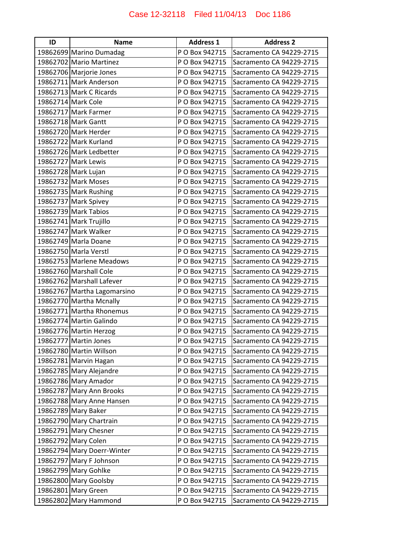| ID | <b>Name</b>                 | <b>Address 1</b> | <b>Address 2</b>         |
|----|-----------------------------|------------------|--------------------------|
|    | 19862699 Marino Dumadag     | P O Box 942715   | Sacramento CA 94229-2715 |
|    | 19862702 Mario Martinez     | P O Box 942715   | Sacramento CA 94229-2715 |
|    | 19862706 Marjorie Jones     | P O Box 942715   | Sacramento CA 94229-2715 |
|    | 19862711 Mark Anderson      | P O Box 942715   | Sacramento CA 94229-2715 |
|    | 19862713 Mark C Ricards     | P O Box 942715   | Sacramento CA 94229-2715 |
|    | 19862714 Mark Cole          | P O Box 942715   | Sacramento CA 94229-2715 |
|    | 19862717 Mark Farmer        | P O Box 942715   | Sacramento CA 94229-2715 |
|    | 19862718 Mark Gantt         | P O Box 942715   | Sacramento CA 94229-2715 |
|    | 19862720 Mark Herder        | P O Box 942715   | Sacramento CA 94229-2715 |
|    | 19862722 Mark Kurland       | P O Box 942715   | Sacramento CA 94229-2715 |
|    | 19862726 Mark Ledbetter     | P O Box 942715   | Sacramento CA 94229-2715 |
|    | 19862727 Mark Lewis         | P O Box 942715   | Sacramento CA 94229-2715 |
|    | 19862728 Mark Lujan         | P O Box 942715   | Sacramento CA 94229-2715 |
|    | 19862732 Mark Moses         | P O Box 942715   | Sacramento CA 94229-2715 |
|    | 19862735 Mark Rushing       | P O Box 942715   | Sacramento CA 94229-2715 |
|    | 19862737 Mark Spivey        | P O Box 942715   | Sacramento CA 94229-2715 |
|    | 19862739 Mark Tabios        | P O Box 942715   | Sacramento CA 94229-2715 |
|    | 19862741 Mark Trujillo      | P O Box 942715   | Sacramento CA 94229-2715 |
|    | 19862747 Mark Walker        | P O Box 942715   | Sacramento CA 94229-2715 |
|    | 19862749 Marla Doane        | P O Box 942715   | Sacramento CA 94229-2715 |
|    | 19862750 Marla Verstl       | P O Box 942715   | Sacramento CA 94229-2715 |
|    | 19862753 Marlene Meadows    | P O Box 942715   | Sacramento CA 94229-2715 |
|    | 19862760 Marshall Cole      | P O Box 942715   | Sacramento CA 94229-2715 |
|    | 19862762 Marshall Lafever   | P O Box 942715   | Sacramento CA 94229-2715 |
|    | 19862767 Martha Lagomarsino | P O Box 942715   | Sacramento CA 94229-2715 |
|    | 19862770 Martha Mcnally     | P O Box 942715   | Sacramento CA 94229-2715 |
|    | 19862771 Martha Rhonemus    | P O Box 942715   | Sacramento CA 94229-2715 |
|    | 19862774 Martin Galindo     | P O Box 942715   | Sacramento CA 94229-2715 |
|    | 19862776 Martin Herzog      | P O Box 942715   | Sacramento CA 94229-2715 |
|    | 19862777 Martin Jones       | P O Box 942715   | Sacramento CA 94229-2715 |
|    | 19862780 Martin Willson     | P O Box 942715   | Sacramento CA 94229-2715 |
|    | 19862781 Marvin Hagan       | P O Box 942715   | Sacramento CA 94229-2715 |
|    | 19862785 Mary Alejandre     | P O Box 942715   | Sacramento CA 94229-2715 |
|    | 19862786 Mary Amador        | P O Box 942715   | Sacramento CA 94229-2715 |
|    | 19862787 Mary Ann Brooks    | P O Box 942715   | Sacramento CA 94229-2715 |
|    | 19862788 Mary Anne Hansen   | P O Box 942715   | Sacramento CA 94229-2715 |
|    | 19862789 Mary Baker         | P O Box 942715   | Sacramento CA 94229-2715 |
|    | 19862790 Mary Chartrain     | P O Box 942715   | Sacramento CA 94229-2715 |
|    | 19862791 Mary Chesner       | P O Box 942715   | Sacramento CA 94229-2715 |
|    | 19862792 Mary Colen         | P O Box 942715   | Sacramento CA 94229-2715 |
|    | 19862794 Mary Doerr-Winter  | P O Box 942715   | Sacramento CA 94229-2715 |
|    | 19862797 Mary F Johnson     | P O Box 942715   | Sacramento CA 94229-2715 |
|    | 19862799 Mary Gohlke        | P O Box 942715   | Sacramento CA 94229-2715 |
|    | 19862800 Mary Goolsby       | P O Box 942715   | Sacramento CA 94229-2715 |
|    | 19862801 Mary Green         | P O Box 942715   | Sacramento CA 94229-2715 |
|    | 19862802 Mary Hammond       | P O Box 942715   | Sacramento CA 94229-2715 |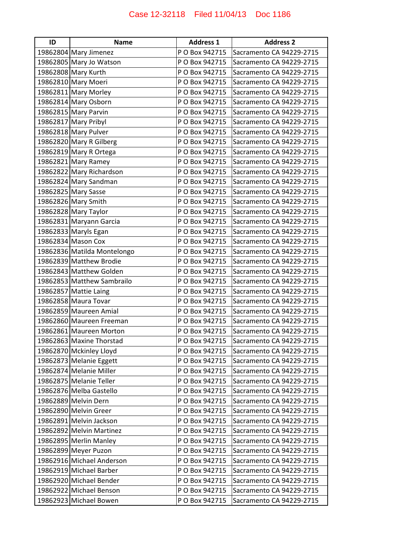| ID | <b>Name</b>                 | <b>Address 1</b> | <b>Address 2</b>         |
|----|-----------------------------|------------------|--------------------------|
|    | 19862804 Mary Jimenez       | P O Box 942715   | Sacramento CA 94229-2715 |
|    | 19862805 Mary Jo Watson     | P O Box 942715   | Sacramento CA 94229-2715 |
|    | 19862808 Mary Kurth         | P O Box 942715   | Sacramento CA 94229-2715 |
|    | 19862810 Mary Moeri         | P O Box 942715   | Sacramento CA 94229-2715 |
|    | 19862811 Mary Morley        | P O Box 942715   | Sacramento CA 94229-2715 |
|    | 19862814 Mary Osborn        | P O Box 942715   | Sacramento CA 94229-2715 |
|    | 19862815 Mary Parvin        | P O Box 942715   | Sacramento CA 94229-2715 |
|    | 19862817 Mary Pribyl        | P O Box 942715   | Sacramento CA 94229-2715 |
|    | 19862818 Mary Pulver        | P O Box 942715   | Sacramento CA 94229-2715 |
|    | 19862820 Mary R Gilberg     | P O Box 942715   | Sacramento CA 94229-2715 |
|    | 19862819 Mary R Ortega      | P O Box 942715   | Sacramento CA 94229-2715 |
|    | 19862821 Mary Ramey         | P O Box 942715   | Sacramento CA 94229-2715 |
|    | 19862822 Mary Richardson    | P O Box 942715   | Sacramento CA 94229-2715 |
|    | 19862824 Mary Sandman       | P O Box 942715   | Sacramento CA 94229-2715 |
|    | 19862825 Mary Sasse         | P O Box 942715   | Sacramento CA 94229-2715 |
|    | 19862826 Mary Smith         | P O Box 942715   | Sacramento CA 94229-2715 |
|    | 19862828 Mary Taylor        | P O Box 942715   | Sacramento CA 94229-2715 |
|    | 19862831 Maryann Garcia     | P O Box 942715   | Sacramento CA 94229-2715 |
|    | 19862833 Maryls Egan        | P O Box 942715   | Sacramento CA 94229-2715 |
|    | 19862834 Mason Cox          | P O Box 942715   | Sacramento CA 94229-2715 |
|    | 19862836 Matilda Montelongo | P O Box 942715   | Sacramento CA 94229-2715 |
|    | 19862839 Matthew Brodie     | P O Box 942715   | Sacramento CA 94229-2715 |
|    | 19862843 Matthew Golden     | P O Box 942715   | Sacramento CA 94229-2715 |
|    | 19862853 Matthew Sambrailo  | P O Box 942715   | Sacramento CA 94229-2715 |
|    | 19862857 Mattie Laing       | P O Box 942715   | Sacramento CA 94229-2715 |
|    | 19862858 Maura Tovar        | P O Box 942715   | Sacramento CA 94229-2715 |
|    | 19862859 Maureen Amial      | P O Box 942715   | Sacramento CA 94229-2715 |
|    | 19862860 Maureen Freeman    | P O Box 942715   | Sacramento CA 94229-2715 |
|    | 19862861 Maureen Morton     | P O Box 942715   | Sacramento CA 94229-2715 |
|    | 19862863 Maxine Thorstad    | P O Box 942715   | Sacramento CA 94229-2715 |
|    | 19862870 Mckinley Lloyd     | P O Box 942715   | Sacramento CA 94229-2715 |
|    | 19862873 Melanie Eggett     | P O Box 942715   | Sacramento CA 94229-2715 |
|    | 19862874 Melanie Miller     | P O Box 942715   | Sacramento CA 94229-2715 |
|    | 19862875 Melanie Teller     | P O Box 942715   | Sacramento CA 94229-2715 |
|    | 19862876 Melba Gastello     | P O Box 942715   | Sacramento CA 94229-2715 |
|    | 19862889 Melvin Dern        | P O Box 942715   | Sacramento CA 94229-2715 |
|    | 19862890 Melvin Greer       | P O Box 942715   | Sacramento CA 94229-2715 |
|    | 19862891 Melvin Jackson     | P O Box 942715   | Sacramento CA 94229-2715 |
|    | 19862892 Melvin Martinez    | P O Box 942715   | Sacramento CA 94229-2715 |
|    | 19862895 Merlin Manley      | P O Box 942715   | Sacramento CA 94229-2715 |
|    | 19862899 Meyer Puzon        | P O Box 942715   | Sacramento CA 94229-2715 |
|    | 19862916 Michael Anderson   | P O Box 942715   | Sacramento CA 94229-2715 |
|    | 19862919 Michael Barber     | P O Box 942715   | Sacramento CA 94229-2715 |
|    | 19862920 Michael Bender     | P O Box 942715   | Sacramento CA 94229-2715 |
|    | 19862922 Michael Benson     | P O Box 942715   | Sacramento CA 94229-2715 |
|    | 19862923 Michael Bowen      | P O Box 942715   | Sacramento CA 94229-2715 |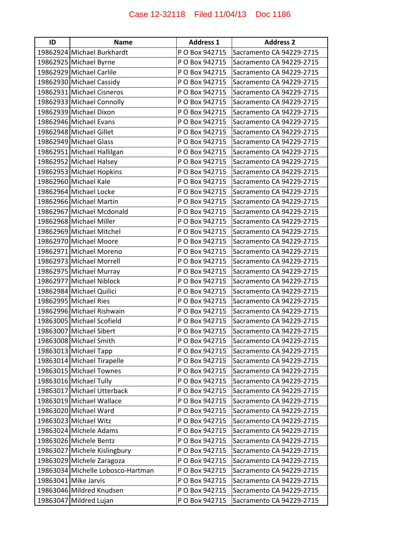| ID | <b>Name</b>                       | <b>Address 1</b> | <b>Address 2</b>         |
|----|-----------------------------------|------------------|--------------------------|
|    | 19862924 Michael Burkhardt        | P O Box 942715   | Sacramento CA 94229-2715 |
|    | 19862925 Michael Byrne            | P O Box 942715   | Sacramento CA 94229-2715 |
|    | 19862929 Michael Carlile          | P O Box 942715   | Sacramento CA 94229-2715 |
|    | 19862930 Michael Cassidy          | P O Box 942715   | Sacramento CA 94229-2715 |
|    | 19862931 Michael Cisneros         | P O Box 942715   | Sacramento CA 94229-2715 |
|    | 19862933 Michael Connolly         | P O Box 942715   | Sacramento CA 94229-2715 |
|    | 19862939 Michael Dixon            | P O Box 942715   | Sacramento CA 94229-2715 |
|    | 19862946 Michael Evans            | P O Box 942715   | Sacramento CA 94229-2715 |
|    | 19862948 Michael Gillet           | P O Box 942715   | Sacramento CA 94229-2715 |
|    | 19862949 Michael Glass            | P O Box 942715   | Sacramento CA 94229-2715 |
|    | 19862951 Michael Hallilgan        | P O Box 942715   | Sacramento CA 94229-2715 |
|    | 19862952 Michael Halsey           | P O Box 942715   | Sacramento CA 94229-2715 |
|    | 19862953 Michael Hopkins          | P O Box 942715   | Sacramento CA 94229-2715 |
|    | 19862960 Michael Kale             | P O Box 942715   | Sacramento CA 94229-2715 |
|    | 19862964 Michael Locke            | P O Box 942715   | Sacramento CA 94229-2715 |
|    | 19862966 Michael Martin           | P O Box 942715   | Sacramento CA 94229-2715 |
|    | 19862967 Michael Mcdonald         | P O Box 942715   | Sacramento CA 94229-2715 |
|    | 19862968 Michael Miller           | P O Box 942715   | Sacramento CA 94229-2715 |
|    | 19862969 Michael Mitchel          | P O Box 942715   | Sacramento CA 94229-2715 |
|    | 19862970 Michael Moore            | P O Box 942715   | Sacramento CA 94229-2715 |
|    | 19862971 Michael Moreno           | P O Box 942715   | Sacramento CA 94229-2715 |
|    | 19862973 Michael Morrell          | P O Box 942715   | Sacramento CA 94229-2715 |
|    | 19862975 Michael Murray           | P O Box 942715   | Sacramento CA 94229-2715 |
|    | 19862977 Michael Niblock          | P O Box 942715   | Sacramento CA 94229-2715 |
|    | 19862984 Michael Quilici          | P O Box 942715   | Sacramento CA 94229-2715 |
|    | 19862995 Michael Ries             | P O Box 942715   | Sacramento CA 94229-2715 |
|    | 19862996 Michael Rishwain         | P O Box 942715   | Sacramento CA 94229-2715 |
|    | 19863005 Michael Scofield         | P O Box 942715   | Sacramento CA 94229-2715 |
|    | 19863007 Michael Sibert           | P O Box 942715   | Sacramento CA 94229-2715 |
|    | 19863008 Michael Smith            | P O Box 942715   | Sacramento CA 94229-2715 |
|    | 19863013 Michael Tapp             | P O Box 942715   | Sacramento CA 94229-2715 |
|    | 19863014 Michael Tirapelle        | P O Box 942715   | Sacramento CA 94229-2715 |
|    | 19863015 Michael Townes           | P O Box 942715   | Sacramento CA 94229-2715 |
|    | 19863016 Michael Tully            | P O Box 942715   | Sacramento CA 94229-2715 |
|    | 19863017 Michael Utterback        | P O Box 942715   | Sacramento CA 94229-2715 |
|    | 19863019 Michael Wallace          | P O Box 942715   | Sacramento CA 94229-2715 |
|    | 19863020 Michael Ward             | P O Box 942715   | Sacramento CA 94229-2715 |
|    | 19863023 Michael Witz             | P O Box 942715   | Sacramento CA 94229-2715 |
|    | 19863024 Michele Adams            | P O Box 942715   | Sacramento CA 94229-2715 |
|    | 19863026 Michele Bentz            | P O Box 942715   | Sacramento CA 94229-2715 |
|    | 19863027 Michele Kislingbury      | P O Box 942715   | Sacramento CA 94229-2715 |
|    | 19863029 Michele Zaragoza         | P O Box 942715   | Sacramento CA 94229-2715 |
|    | 19863034 Michelle Lobosco-Hartman | P O Box 942715   | Sacramento CA 94229-2715 |
|    | 19863041 Mike Jarvis              | P O Box 942715   | Sacramento CA 94229-2715 |
|    | 19863046 Mildred Knudsen          | P O Box 942715   | Sacramento CA 94229-2715 |
|    | 19863047 Mildred Lujan            | P O Box 942715   | Sacramento CA 94229-2715 |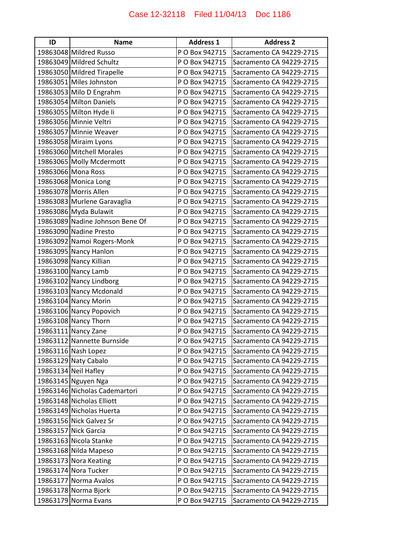| ID | <b>Name</b>                     | <b>Address 1</b> | <b>Address 2</b>         |
|----|---------------------------------|------------------|--------------------------|
|    | 19863048 Mildred Russo          | P O Box 942715   | Sacramento CA 94229-2715 |
|    | 19863049 Mildred Schultz        | P O Box 942715   | Sacramento CA 94229-2715 |
|    | 19863050 Mildred Tirapelle      | P O Box 942715   | Sacramento CA 94229-2715 |
|    | 19863051 Miles Johnston         | P O Box 942715   | Sacramento CA 94229-2715 |
|    | 19863053 Milo D Engrahm         | P O Box 942715   | Sacramento CA 94229-2715 |
|    | 19863054 Milton Daniels         | P O Box 942715   | Sacramento CA 94229-2715 |
|    | 19863055 Milton Hyde Ii         | P O Box 942715   | Sacramento CA 94229-2715 |
|    | 19863056 Minnie Veltri          | P O Box 942715   | Sacramento CA 94229-2715 |
|    | 19863057 Minnie Weaver          | P O Box 942715   | Sacramento CA 94229-2715 |
|    | 19863058 Miraim Lyons           | P O Box 942715   | Sacramento CA 94229-2715 |
|    | 19863060 Mitchell Morales       | P O Box 942715   | Sacramento CA 94229-2715 |
|    | 19863065 Molly Mcdermott        | P O Box 942715   | Sacramento CA 94229-2715 |
|    | 19863066 Mona Ross              | P O Box 942715   | Sacramento CA 94229-2715 |
|    | 19863068 Monica Long            | P O Box 942715   | Sacramento CA 94229-2715 |
|    | 19863078 Morris Allen           | P O Box 942715   | Sacramento CA 94229-2715 |
|    | 19863083 Murlene Garavaglia     | P O Box 942715   | Sacramento CA 94229-2715 |
|    | 19863086 Myda Bulawit           | P O Box 942715   | Sacramento CA 94229-2715 |
|    | 19863089 Nadine Johnson Bene Of | P O Box 942715   | Sacramento CA 94229-2715 |
|    | 19863090 Nadine Presto          | P O Box 942715   | Sacramento CA 94229-2715 |
|    | 19863092 Namoi Rogers-Monk      | P O Box 942715   | Sacramento CA 94229-2715 |
|    | 19863095 Nancy Hanlon           | P O Box 942715   | Sacramento CA 94229-2715 |
|    | 19863098 Nancy Killian          | P O Box 942715   | Sacramento CA 94229-2715 |
|    | 19863100 Nancy Lamb             | P O Box 942715   | Sacramento CA 94229-2715 |
|    | 19863102 Nancy Lindborg         | P O Box 942715   | Sacramento CA 94229-2715 |
|    | 19863103 Nancy Mcdonald         | P O Box 942715   | Sacramento CA 94229-2715 |
|    | 19863104 Nancy Morin            | P O Box 942715   | Sacramento CA 94229-2715 |
|    | 19863106 Nancy Popovich         | P O Box 942715   | Sacramento CA 94229-2715 |
|    | 19863108 Nancy Thorn            | P O Box 942715   | Sacramento CA 94229-2715 |
|    | 19863111 Nancy Zane             | P O Box 942715   | Sacramento CA 94229-2715 |
|    | 19863112 Nannette Burnside      | P O Box 942715   | Sacramento CA 94229-2715 |
|    | 19863116 Nash Lopez             | P O Box 942715   | Sacramento CA 94229-2715 |
|    | 19863129 Naty Cabalo            | P O Box 942715   | Sacramento CA 94229-2715 |
|    | 19863134 Neil Hafley            | P O Box 942715   | Sacramento CA 94229-2715 |
|    | 19863145 Nguyen Nga             | P O Box 942715   | Sacramento CA 94229-2715 |
|    | 19863146 Nicholas Cademartori   | P O Box 942715   | Sacramento CA 94229-2715 |
|    | 19863148 Nicholas Elliott       | P O Box 942715   | Sacramento CA 94229-2715 |
|    | 19863149 Nicholas Huerta        | P O Box 942715   | Sacramento CA 94229-2715 |
|    | 19863156 Nick Galvez Sr         | P O Box 942715   | Sacramento CA 94229-2715 |
|    | 19863157 Nick Garcia            | P O Box 942715   | Sacramento CA 94229-2715 |
|    | 19863163 Nicola Stanke          | P O Box 942715   | Sacramento CA 94229-2715 |
|    | 19863168 Nilda Mapeso           | P O Box 942715   | Sacramento CA 94229-2715 |
|    | 19863173 Nora Keating           | P O Box 942715   | Sacramento CA 94229-2715 |
|    | 19863174 Nora Tucker            | P O Box 942715   | Sacramento CA 94229-2715 |
|    | 19863177 Norma Avalos           | P O Box 942715   | Sacramento CA 94229-2715 |
|    | 19863178 Norma Bjork            | P O Box 942715   | Sacramento CA 94229-2715 |
|    | 19863179 Norma Evans            | P O Box 942715   | Sacramento CA 94229-2715 |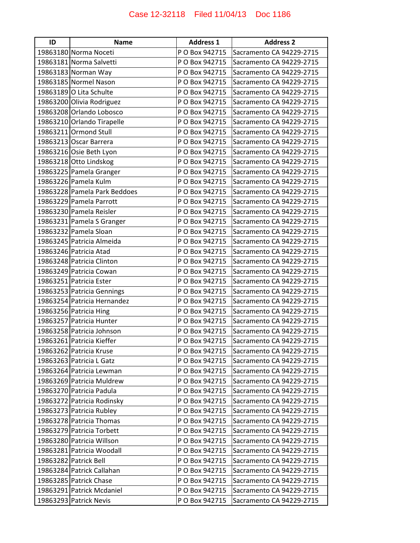| ID | <b>Name</b>                  | <b>Address 1</b> | <b>Address 2</b>         |
|----|------------------------------|------------------|--------------------------|
|    | 19863180 Norma Noceti        | P O Box 942715   | Sacramento CA 94229-2715 |
|    | 19863181 Norma Salvetti      | P O Box 942715   | Sacramento CA 94229-2715 |
|    | 19863183 Norman Way          | P O Box 942715   | Sacramento CA 94229-2715 |
|    | 19863185 Normel Nason        | P O Box 942715   | Sacramento CA 94229-2715 |
|    | 19863189 O Lita Schulte      | P O Box 942715   | Sacramento CA 94229-2715 |
|    | 19863200 Olivia Rodriguez    | P O Box 942715   | Sacramento CA 94229-2715 |
|    | 19863208 Orlando Lobosco     | P O Box 942715   | Sacramento CA 94229-2715 |
|    | 19863210 Orlando Tirapelle   | P O Box 942715   | Sacramento CA 94229-2715 |
|    | 19863211 Ormond Stull        | P O Box 942715   | Sacramento CA 94229-2715 |
|    | 19863213 Oscar Barrera       | P O Box 942715   | Sacramento CA 94229-2715 |
|    | 19863216 Osie Beth Lyon      | P O Box 942715   | Sacramento CA 94229-2715 |
|    | 19863218 Otto Lindskog       | P O Box 942715   | Sacramento CA 94229-2715 |
|    | 19863225 Pamela Granger      | P O Box 942715   | Sacramento CA 94229-2715 |
|    | 19863226 Pamela Kulm         | P O Box 942715   | Sacramento CA 94229-2715 |
|    | 19863228 Pamela Park Beddoes | P O Box 942715   | Sacramento CA 94229-2715 |
|    | 19863229 Pamela Parrott      | P O Box 942715   | Sacramento CA 94229-2715 |
|    | 19863230 Pamela Reisler      | P O Box 942715   | Sacramento CA 94229-2715 |
|    | 19863231 Pamela S Granger    | P O Box 942715   | Sacramento CA 94229-2715 |
|    | 19863232 Pamela Sloan        | P O Box 942715   | Sacramento CA 94229-2715 |
|    | 19863245 Patricia Almeida    | P O Box 942715   | Sacramento CA 94229-2715 |
|    | 19863246 Patricia Atad       | P O Box 942715   | Sacramento CA 94229-2715 |
|    | 19863248 Patricia Clinton    | P O Box 942715   | Sacramento CA 94229-2715 |
|    | 19863249 Patricia Cowan      | P O Box 942715   | Sacramento CA 94229-2715 |
|    | 19863251 Patricia Ester      | P O Box 942715   | Sacramento CA 94229-2715 |
|    | 19863253 Patricia Gennings   | P O Box 942715   | Sacramento CA 94229-2715 |
|    | 19863254 Patricia Hernandez  | P O Box 942715   | Sacramento CA 94229-2715 |
|    | 19863256 Patricia Hing       | P O Box 942715   | Sacramento CA 94229-2715 |
|    | 19863257 Patricia Hunter     | P O Box 942715   | Sacramento CA 94229-2715 |
|    | 19863258 Patricia Johnson    | P O Box 942715   | Sacramento CA 94229-2715 |
|    | 19863261 Patricia Kieffer    | P O Box 942715   | Sacramento CA 94229-2715 |
|    | 19863262 Patricia Kruse      | P O Box 942715   | Sacramento CA 94229-2715 |
|    | 19863263 Patricia L Gatz     | P O Box 942715   | Sacramento CA 94229-2715 |
|    | 19863264 Patricia Lewman     | P O Box 942715   | Sacramento CA 94229-2715 |
|    | 19863269 Patricia Muldrew    | P O Box 942715   | Sacramento CA 94229-2715 |
|    | 19863270 Patricia Padula     | P O Box 942715   | Sacramento CA 94229-2715 |
|    | 19863272 Patricia Rodinsky   | P O Box 942715   | Sacramento CA 94229-2715 |
|    | 19863273 Patricia Rubley     | P O Box 942715   | Sacramento CA 94229-2715 |
|    | 19863278 Patricia Thomas     | P O Box 942715   | Sacramento CA 94229-2715 |
|    | 19863279 Patricia Torbett    | P O Box 942715   | Sacramento CA 94229-2715 |
|    | 19863280 Patricia Willson    | P O Box 942715   | Sacramento CA 94229-2715 |
|    | 19863281 Patricia Woodall    | P O Box 942715   | Sacramento CA 94229-2715 |
|    | 19863282 Patrick Bell        | P O Box 942715   | Sacramento CA 94229-2715 |
|    | 19863284 Patrick Callahan    | P O Box 942715   | Sacramento CA 94229-2715 |
|    | 19863285 Patrick Chase       | P O Box 942715   | Sacramento CA 94229-2715 |
|    | 19863291 Patrick Mcdaniel    | P O Box 942715   | Sacramento CA 94229-2715 |
|    | 19863293 Patrick Nevis       | P O Box 942715   | Sacramento CA 94229-2715 |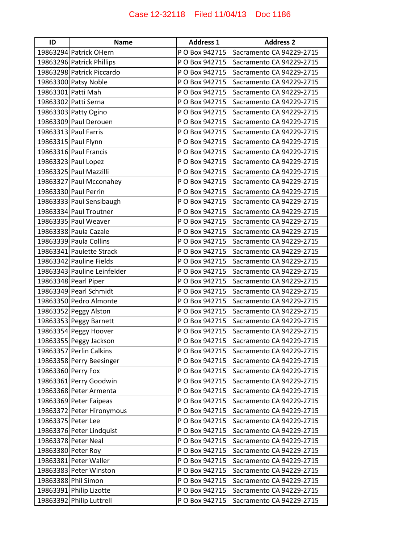| ID                 | <b>Name</b>                 | <b>Address 1</b> | <b>Address 2</b>         |
|--------------------|-----------------------------|------------------|--------------------------|
|                    | 19863294 Patrick OHern      | P O Box 942715   | Sacramento CA 94229-2715 |
|                    | 19863296 Patrick Phillips   | P O Box 942715   | Sacramento CA 94229-2715 |
|                    | 19863298 Patrick Piccardo   | P O Box 942715   | Sacramento CA 94229-2715 |
|                    | 19863300 Patsy Noble        | P O Box 942715   | Sacramento CA 94229-2715 |
|                    | 19863301 Patti Mah          | P O Box 942715   | Sacramento CA 94229-2715 |
|                    | 19863302 Patti Serna        | P O Box 942715   | Sacramento CA 94229-2715 |
|                    | 19863303 Patty Ogino        | P O Box 942715   | Sacramento CA 94229-2715 |
|                    | 19863309 Paul Derouen       | P O Box 942715   | Sacramento CA 94229-2715 |
|                    | 19863313 Paul Farris        | P O Box 942715   | Sacramento CA 94229-2715 |
|                    | 19863315 Paul Flynn         | P O Box 942715   | Sacramento CA 94229-2715 |
|                    | 19863316 Paul Francis       | P O Box 942715   | Sacramento CA 94229-2715 |
|                    | 19863323 Paul Lopez         | P O Box 942715   | Sacramento CA 94229-2715 |
|                    | 19863325 Paul Mazzilli      | P O Box 942715   | Sacramento CA 94229-2715 |
|                    | 19863327 Paul Mcconahey     | P O Box 942715   | Sacramento CA 94229-2715 |
|                    | 19863330 Paul Perrin        | P O Box 942715   | Sacramento CA 94229-2715 |
|                    | 19863333 Paul Sensibaugh    | P O Box 942715   | Sacramento CA 94229-2715 |
|                    | 19863334 Paul Troutner      | P O Box 942715   | Sacramento CA 94229-2715 |
|                    | 19863335 Paul Weaver        | P O Box 942715   | Sacramento CA 94229-2715 |
|                    | 19863338 Paula Cazale       | P O Box 942715   | Sacramento CA 94229-2715 |
|                    | 19863339 Paula Collins      | P O Box 942715   | Sacramento CA 94229-2715 |
|                    | 19863341 Paulette Strack    | P O Box 942715   | Sacramento CA 94229-2715 |
|                    | 19863342 Pauline Fields     | P O Box 942715   | Sacramento CA 94229-2715 |
|                    | 19863343 Pauline Leinfelder | P O Box 942715   | Sacramento CA 94229-2715 |
|                    | 19863348 Pearl Piper        | P O Box 942715   | Sacramento CA 94229-2715 |
|                    | 19863349 Pearl Schmidt      | P O Box 942715   | Sacramento CA 94229-2715 |
|                    | 19863350 Pedro Almonte      | P O Box 942715   | Sacramento CA 94229-2715 |
|                    | 19863352 Peggy Alston       | P O Box 942715   | Sacramento CA 94229-2715 |
|                    | 19863353 Peggy Barnett      | P O Box 942715   | Sacramento CA 94229-2715 |
|                    | 19863354 Peggy Hoover       | P O Box 942715   | Sacramento CA 94229-2715 |
|                    | 19863355 Peggy Jackson      | P O Box 942715   | Sacramento CA 94229-2715 |
|                    | 19863357 Perlin Calkins     | P O Box 942715   | Sacramento CA 94229-2715 |
|                    | 19863358 Perry Beesinger    | P O Box 942715   | Sacramento CA 94229-2715 |
| 19863360 Perry Fox |                             | P O Box 942715   | Sacramento CA 94229-2715 |
|                    | 19863361 Perry Goodwin      | P O Box 942715   | Sacramento CA 94229-2715 |
|                    | 19863368 Peter Armenta      | P O Box 942715   | Sacramento CA 94229-2715 |
|                    | 19863369 Peter Faipeas      | P O Box 942715   | Sacramento CA 94229-2715 |
|                    | 19863372 Peter Hironymous   | P O Box 942715   | Sacramento CA 94229-2715 |
| 19863375 Peter Lee |                             | P O Box 942715   | Sacramento CA 94229-2715 |
|                    | 19863376 Peter Lindquist    | P O Box 942715   | Sacramento CA 94229-2715 |
|                    | 19863378 Peter Neal         | P O Box 942715   | Sacramento CA 94229-2715 |
|                    | 19863380 Peter Roy          | P O Box 942715   | Sacramento CA 94229-2715 |
|                    | 19863381 Peter Waller       | P O Box 942715   | Sacramento CA 94229-2715 |
|                    | 19863383 Peter Winston      | P O Box 942715   | Sacramento CA 94229-2715 |
|                    | 19863388 Phil Simon         | P O Box 942715   | Sacramento CA 94229-2715 |
|                    | 19863391 Philip Lizotte     | P O Box 942715   | Sacramento CA 94229-2715 |
|                    | 19863392 Philip Luttrell    | P O Box 942715   | Sacramento CA 94229-2715 |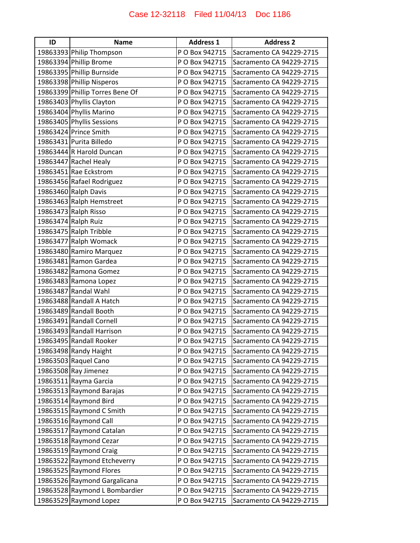| ID | <b>Name</b>                     | <b>Address 1</b> | <b>Address 2</b>         |
|----|---------------------------------|------------------|--------------------------|
|    | 19863393 Philip Thompson        | P O Box 942715   | Sacramento CA 94229-2715 |
|    | 19863394 Phillip Brome          | P O Box 942715   | Sacramento CA 94229-2715 |
|    | 19863395 Phillip Burnside       | P O Box 942715   | Sacramento CA 94229-2715 |
|    | 19863398 Phillip Nisperos       | P O Box 942715   | Sacramento CA 94229-2715 |
|    | 19863399 Phillip Torres Bene Of | P O Box 942715   | Sacramento CA 94229-2715 |
|    | 19863403 Phyllis Clayton        | P O Box 942715   | Sacramento CA 94229-2715 |
|    | 19863404 Phyllis Marino         | P O Box 942715   | Sacramento CA 94229-2715 |
|    | 19863405 Phyllis Sessions       | P O Box 942715   | Sacramento CA 94229-2715 |
|    | 19863424 Prince Smith           | P O Box 942715   | Sacramento CA 94229-2715 |
|    | 19863431 Purita Billedo         | P O Box 942715   | Sacramento CA 94229-2715 |
|    | 19863444 R Harold Duncan        | P O Box 942715   | Sacramento CA 94229-2715 |
|    | 19863447 Rachel Healy           | P O Box 942715   | Sacramento CA 94229-2715 |
|    | 19863451 Rae Eckstrom           | P O Box 942715   | Sacramento CA 94229-2715 |
|    | 19863456 Rafael Rodriguez       | P O Box 942715   | Sacramento CA 94229-2715 |
|    | 19863460 Ralph Davis            | P O Box 942715   | Sacramento CA 94229-2715 |
|    | 19863463 Ralph Hemstreet        | P O Box 942715   | Sacramento CA 94229-2715 |
|    | 19863473 Ralph Risso            | P O Box 942715   | Sacramento CA 94229-2715 |
|    | 19863474 Ralph Ruiz             | P O Box 942715   | Sacramento CA 94229-2715 |
|    | 19863475 Ralph Tribble          | P O Box 942715   | Sacramento CA 94229-2715 |
|    | 19863477 Ralph Womack           | P O Box 942715   | Sacramento CA 94229-2715 |
|    | 19863480 Ramiro Marquez         | P O Box 942715   | Sacramento CA 94229-2715 |
|    | 19863481 Ramon Gardea           | P O Box 942715   | Sacramento CA 94229-2715 |
|    | 19863482 Ramona Gomez           | P O Box 942715   | Sacramento CA 94229-2715 |
|    | 19863483 Ramona Lopez           | P O Box 942715   | Sacramento CA 94229-2715 |
|    | 19863487 Randal Wahl            | P O Box 942715   | Sacramento CA 94229-2715 |
|    | 19863488 Randall A Hatch        | P O Box 942715   | Sacramento CA 94229-2715 |
|    | 19863489 Randall Booth          | P O Box 942715   | Sacramento CA 94229-2715 |
|    | 19863491 Randall Cornell        | P O Box 942715   | Sacramento CA 94229-2715 |
|    | 19863493 Randall Harrison       | P O Box 942715   | Sacramento CA 94229-2715 |
|    | 19863495 Randall Rooker         | P O Box 942715   | Sacramento CA 94229-2715 |
|    | 19863498 Randy Haight           | P O Box 942715   | Sacramento CA 94229-2715 |
|    | 19863503 Raquel Cano            | P O Box 942715   | Sacramento CA 94229-2715 |
|    | 19863508 Ray Jimenez            | P O Box 942715   | Sacramento CA 94229-2715 |
|    | 19863511 Rayma Garcia           | P O Box 942715   | Sacramento CA 94229-2715 |
|    | 19863513 Raymond Barajas        | P O Box 942715   | Sacramento CA 94229-2715 |
|    | 19863514 Raymond Bird           | P O Box 942715   | Sacramento CA 94229-2715 |
|    | 19863515 Raymond C Smith        | P O Box 942715   | Sacramento CA 94229-2715 |
|    | 19863516 Raymond Call           | P O Box 942715   | Sacramento CA 94229-2715 |
|    | 19863517 Raymond Catalan        | P O Box 942715   | Sacramento CA 94229-2715 |
|    | 19863518 Raymond Cezar          | P O Box 942715   | Sacramento CA 94229-2715 |
|    | 19863519 Raymond Craig          | P O Box 942715   | Sacramento CA 94229-2715 |
|    | 19863522 Raymond Etcheverry     | P O Box 942715   | Sacramento CA 94229-2715 |
|    | 19863525 Raymond Flores         | P O Box 942715   | Sacramento CA 94229-2715 |
|    | 19863526 Raymond Gargalicana    | P O Box 942715   | Sacramento CA 94229-2715 |
|    | 19863528 Raymond L Bombardier   | P O Box 942715   | Sacramento CA 94229-2715 |
|    | 19863529 Raymond Lopez          | P O Box 942715   | Sacramento CA 94229-2715 |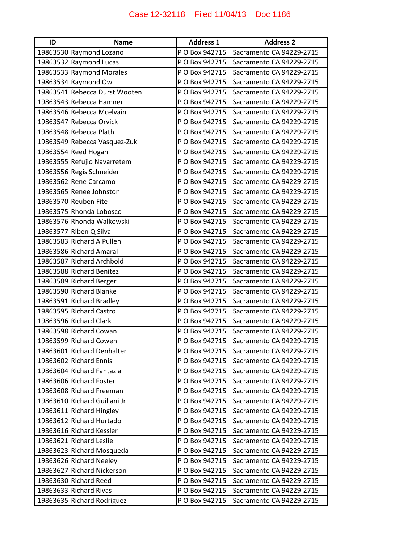| ID | <b>Name</b>                   | <b>Address 1</b> | <b>Address 2</b>         |
|----|-------------------------------|------------------|--------------------------|
|    | 19863530 Raymond Lozano       | P O Box 942715   | Sacramento CA 94229-2715 |
|    | 19863532 Raymond Lucas        | P O Box 942715   | Sacramento CA 94229-2715 |
|    | 19863533 Raymond Morales      | P O Box 942715   | Sacramento CA 94229-2715 |
|    | 19863534 Raymond Ow           | P O Box 942715   | Sacramento CA 94229-2715 |
|    | 19863541 Rebecca Durst Wooten | P O Box 942715   | Sacramento CA 94229-2715 |
|    | 19863543 Rebecca Hamner       | P O Box 942715   | Sacramento CA 94229-2715 |
|    | 19863546 Rebecca Mcelvain     | P O Box 942715   | Sacramento CA 94229-2715 |
|    | 19863547 Rebecca Orvick       | P O Box 942715   | Sacramento CA 94229-2715 |
|    | 19863548 Rebecca Plath        | P O Box 942715   | Sacramento CA 94229-2715 |
|    | 19863549 Rebecca Vasquez-Zuk  | P O Box 942715   | Sacramento CA 94229-2715 |
|    | 19863554 Reed Hogan           | P O Box 942715   | Sacramento CA 94229-2715 |
|    | 19863555 Refujio Navarretem   | P O Box 942715   | Sacramento CA 94229-2715 |
|    | 19863556 Regis Schneider      | P O Box 942715   | Sacramento CA 94229-2715 |
|    | 19863562 Rene Carcamo         | P O Box 942715   | Sacramento CA 94229-2715 |
|    | 19863565 Renee Johnston       | P O Box 942715   | Sacramento CA 94229-2715 |
|    | 19863570 Reuben Fite          | P O Box 942715   | Sacramento CA 94229-2715 |
|    | 19863575 Rhonda Lobosco       | P O Box 942715   | Sacramento CA 94229-2715 |
|    | 19863576 Rhonda Walkowski     | P O Box 942715   | Sacramento CA 94229-2715 |
|    | 19863577 Riben Q Silva        | P O Box 942715   | Sacramento CA 94229-2715 |
|    | 19863583 Richard A Pullen     | P O Box 942715   | Sacramento CA 94229-2715 |
|    | 19863586 Richard Amaral       | P O Box 942715   | Sacramento CA 94229-2715 |
|    | 19863587 Richard Archbold     | P O Box 942715   | Sacramento CA 94229-2715 |
|    | 19863588 Richard Benitez      | P O Box 942715   | Sacramento CA 94229-2715 |
|    | 19863589 Richard Berger       | P O Box 942715   | Sacramento CA 94229-2715 |
|    | 19863590 Richard Blanke       | P O Box 942715   | Sacramento CA 94229-2715 |
|    | 19863591 Richard Bradley      | P O Box 942715   | Sacramento CA 94229-2715 |
|    | 19863595 Richard Castro       | P O Box 942715   | Sacramento CA 94229-2715 |
|    | 19863596 Richard Clark        | P O Box 942715   | Sacramento CA 94229-2715 |
|    | 19863598 Richard Cowan        | P O Box 942715   | Sacramento CA 94229-2715 |
|    | 19863599 Richard Cowen        | P O Box 942715   | Sacramento CA 94229-2715 |
|    | 19863601 Richard Denhalter    | P O Box 942715   | Sacramento CA 94229-2715 |
|    | 19863602 Richard Ennis        | P O Box 942715   | Sacramento CA 94229-2715 |
|    | 19863604 Richard Fantazia     | P O Box 942715   | Sacramento CA 94229-2715 |
|    | 19863606 Richard Foster       | P O Box 942715   | Sacramento CA 94229-2715 |
|    | 19863608 Richard Freeman      | P O Box 942715   | Sacramento CA 94229-2715 |
|    | 19863610 Richard Guiliani Jr  | P O Box 942715   | Sacramento CA 94229-2715 |
|    | 19863611 Richard Hingley      | P O Box 942715   | Sacramento CA 94229-2715 |
|    | 19863612 Richard Hurtado      | P O Box 942715   | Sacramento CA 94229-2715 |
|    | 19863616 Richard Kessler      | P O Box 942715   | Sacramento CA 94229-2715 |
|    | 19863621 Richard Leslie       | P O Box 942715   | Sacramento CA 94229-2715 |
|    | 19863623 Richard Mosqueda     | P O Box 942715   | Sacramento CA 94229-2715 |
|    | 19863626 Richard Neeley       | P O Box 942715   | Sacramento CA 94229-2715 |
|    | 19863627 Richard Nickerson    | P O Box 942715   | Sacramento CA 94229-2715 |
|    | 19863630 Richard Reed         | P O Box 942715   | Sacramento CA 94229-2715 |
|    | 19863633 Richard Rivas        | P O Box 942715   | Sacramento CA 94229-2715 |
|    | 19863635 Richard Rodriguez    | P O Box 942715   | Sacramento CA 94229-2715 |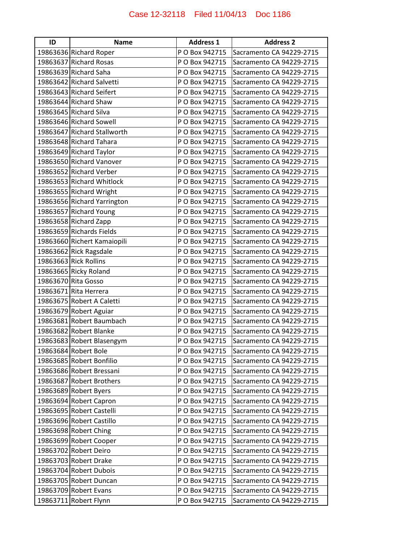| ID | <b>Name</b>                 | <b>Address 1</b> | <b>Address 2</b>         |
|----|-----------------------------|------------------|--------------------------|
|    | 19863636 Richard Roper      | P O Box 942715   | Sacramento CA 94229-2715 |
|    | 19863637 Richard Rosas      | P O Box 942715   | Sacramento CA 94229-2715 |
|    | 19863639 Richard Saha       | P O Box 942715   | Sacramento CA 94229-2715 |
|    | 19863642 Richard Salvetti   | P O Box 942715   | Sacramento CA 94229-2715 |
|    | 19863643 Richard Seifert    | P O Box 942715   | Sacramento CA 94229-2715 |
|    | 19863644 Richard Shaw       | P O Box 942715   | Sacramento CA 94229-2715 |
|    | 19863645 Richard Silva      | P O Box 942715   | Sacramento CA 94229-2715 |
|    | 19863646 Richard Sowell     | P O Box 942715   | Sacramento CA 94229-2715 |
|    | 19863647 Richard Stallworth | P O Box 942715   | Sacramento CA 94229-2715 |
|    | 19863648 Richard Tahara     | P O Box 942715   | Sacramento CA 94229-2715 |
|    | 19863649 Richard Taylor     | P O Box 942715   | Sacramento CA 94229-2715 |
|    | 19863650 Richard Vanover    | P O Box 942715   | Sacramento CA 94229-2715 |
|    | 19863652 Richard Verber     | P O Box 942715   | Sacramento CA 94229-2715 |
|    | 19863653 Richard Whitlock   | P O Box 942715   | Sacramento CA 94229-2715 |
|    | 19863655 Richard Wright     | P O Box 942715   | Sacramento CA 94229-2715 |
|    | 19863656 Richard Yarrington | P O Box 942715   | Sacramento CA 94229-2715 |
|    | 19863657 Richard Young      | P O Box 942715   | Sacramento CA 94229-2715 |
|    | 19863658 Richard Zapp       | P O Box 942715   | Sacramento CA 94229-2715 |
|    | 19863659 Richards Fields    | P O Box 942715   | Sacramento CA 94229-2715 |
|    | 19863660 Richert Kamaiopili | P O Box 942715   | Sacramento CA 94229-2715 |
|    | 19863662 Rick Ragsdale      | P O Box 942715   | Sacramento CA 94229-2715 |
|    | 19863663 Rick Rollins       | P O Box 942715   | Sacramento CA 94229-2715 |
|    | 19863665 Ricky Roland       | P O Box 942715   | Sacramento CA 94229-2715 |
|    | 19863670 Rita Gosso         | P O Box 942715   | Sacramento CA 94229-2715 |
|    | 19863671 Rita Herrera       | P O Box 942715   | Sacramento CA 94229-2715 |
|    | 19863675 Robert A Caletti   | P O Box 942715   | Sacramento CA 94229-2715 |
|    | 19863679 Robert Aguiar      | P O Box 942715   | Sacramento CA 94229-2715 |
|    | 19863681 Robert Baumbach    | P O Box 942715   | Sacramento CA 94229-2715 |
|    | 19863682 Robert Blanke      | P O Box 942715   | Sacramento CA 94229-2715 |
|    | 19863683 Robert Blasengym   | P O Box 942715   | Sacramento CA 94229-2715 |
|    | 19863684 Robert Bole        | P O Box 942715   | Sacramento CA 94229-2715 |
|    | 19863685 Robert Bonfilio    | P O Box 942715   | Sacramento CA 94229-2715 |
|    | 19863686 Robert Bressani    | P O Box 942715   | Sacramento CA 94229-2715 |
|    | 19863687 Robert Brothers    | P O Box 942715   | Sacramento CA 94229-2715 |
|    | 19863689 Robert Byers       | P O Box 942715   | Sacramento CA 94229-2715 |
|    | 19863694 Robert Capron      | P O Box 942715   | Sacramento CA 94229-2715 |
|    | 19863695 Robert Castelli    | P O Box 942715   | Sacramento CA 94229-2715 |
|    | 19863696 Robert Castillo    | P O Box 942715   | Sacramento CA 94229-2715 |
|    | 19863698 Robert Ching       | P O Box 942715   | Sacramento CA 94229-2715 |
|    | 19863699 Robert Cooper      | P O Box 942715   | Sacramento CA 94229-2715 |
|    | 19863702 Robert Deiro       | P O Box 942715   | Sacramento CA 94229-2715 |
|    | 19863703 Robert Drake       | P O Box 942715   | Sacramento CA 94229-2715 |
|    | 19863704 Robert Dubois      | P O Box 942715   | Sacramento CA 94229-2715 |
|    | 19863705 Robert Duncan      | P O Box 942715   | Sacramento CA 94229-2715 |
|    | 19863709 Robert Evans       | P O Box 942715   | Sacramento CA 94229-2715 |
|    | 19863711 Robert Flynn       | P O Box 942715   | Sacramento CA 94229-2715 |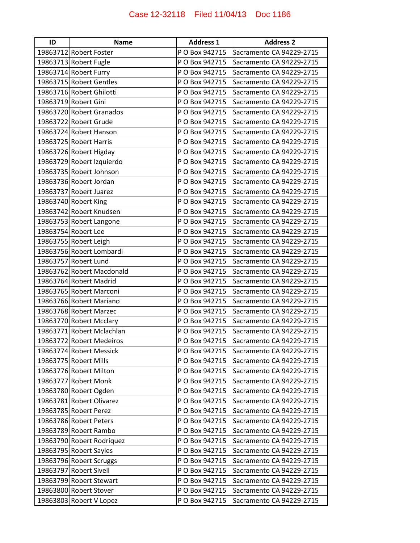| ID | <b>Name</b>               | <b>Address 1</b> | <b>Address 2</b>         |
|----|---------------------------|------------------|--------------------------|
|    | 19863712 Robert Foster    | P O Box 942715   | Sacramento CA 94229-2715 |
|    | 19863713 Robert Fugle     | P O Box 942715   | Sacramento CA 94229-2715 |
|    | 19863714 Robert Furry     | P O Box 942715   | Sacramento CA 94229-2715 |
|    | 19863715 Robert Gentles   | P O Box 942715   | Sacramento CA 94229-2715 |
|    | 19863716 Robert Ghilotti  | P O Box 942715   | Sacramento CA 94229-2715 |
|    | 19863719 Robert Gini      | P O Box 942715   | Sacramento CA 94229-2715 |
|    | 19863720 Robert Granados  | P O Box 942715   | Sacramento CA 94229-2715 |
|    | 19863722 Robert Grude     | P O Box 942715   | Sacramento CA 94229-2715 |
|    | 19863724 Robert Hanson    | P O Box 942715   | Sacramento CA 94229-2715 |
|    | 19863725 Robert Harris    | P O Box 942715   | Sacramento CA 94229-2715 |
|    | 19863726 Robert Higday    | P O Box 942715   | Sacramento CA 94229-2715 |
|    | 19863729 Robert Izquierdo | P O Box 942715   | Sacramento CA 94229-2715 |
|    | 19863735 Robert Johnson   | P O Box 942715   | Sacramento CA 94229-2715 |
|    | 19863736 Robert Jordan    | P O Box 942715   | Sacramento CA 94229-2715 |
|    | 19863737 Robert Juarez    | P O Box 942715   | Sacramento CA 94229-2715 |
|    | 19863740 Robert King      | P O Box 942715   | Sacramento CA 94229-2715 |
|    | 19863742 Robert Knudsen   | P O Box 942715   | Sacramento CA 94229-2715 |
|    | 19863753 Robert Langone   | P O Box 942715   | Sacramento CA 94229-2715 |
|    | 19863754 Robert Lee       | P O Box 942715   | Sacramento CA 94229-2715 |
|    | 19863755 Robert Leigh     | P O Box 942715   | Sacramento CA 94229-2715 |
|    | 19863756 Robert Lombardi  | P O Box 942715   | Sacramento CA 94229-2715 |
|    | 19863757 Robert Lund      | P O Box 942715   | Sacramento CA 94229-2715 |
|    | 19863762 Robert Macdonald | P O Box 942715   | Sacramento CA 94229-2715 |
|    | 19863764 Robert Madrid    | P O Box 942715   | Sacramento CA 94229-2715 |
|    | 19863765 Robert Marconi   | P O Box 942715   | Sacramento CA 94229-2715 |
|    | 19863766 Robert Mariano   | P O Box 942715   | Sacramento CA 94229-2715 |
|    | 19863768 Robert Marzec    | P O Box 942715   | Sacramento CA 94229-2715 |
|    | 19863770 Robert Mcclary   | P O Box 942715   | Sacramento CA 94229-2715 |
|    | 19863771 Robert Mclachlan | P O Box 942715   | Sacramento CA 94229-2715 |
|    | 19863772 Robert Medeiros  | P O Box 942715   | Sacramento CA 94229-2715 |
|    | 19863774 Robert Messick   | P O Box 942715   | Sacramento CA 94229-2715 |
|    | 19863775 Robert Mills     | P O Box 942715   | Sacramento CA 94229-2715 |
|    | 19863776 Robert Milton    | P O Box 942715   | Sacramento CA 94229-2715 |
|    | 19863777 Robert Monk      | P O Box 942715   | Sacramento CA 94229-2715 |
|    | 19863780 Robert Ogden     | P O Box 942715   | Sacramento CA 94229-2715 |
|    | 19863781 Robert Olivarez  | P O Box 942715   | Sacramento CA 94229-2715 |
|    | 19863785 Robert Perez     | P O Box 942715   | Sacramento CA 94229-2715 |
|    | 19863786 Robert Peters    | P O Box 942715   | Sacramento CA 94229-2715 |
|    | 19863789 Robert Rambo     | P O Box 942715   | Sacramento CA 94229-2715 |
|    | 19863790 Robert Rodriquez | P O Box 942715   | Sacramento CA 94229-2715 |
|    | 19863795 Robert Sayles    | P O Box 942715   | Sacramento CA 94229-2715 |
|    | 19863796 Robert Scruggs   | P O Box 942715   | Sacramento CA 94229-2715 |
|    | 19863797 Robert Sivell    | P O Box 942715   | Sacramento CA 94229-2715 |
|    | 19863799 Robert Stewart   | P O Box 942715   | Sacramento CA 94229-2715 |
|    | 19863800 Robert Stover    | P O Box 942715   | Sacramento CA 94229-2715 |
|    | 19863803 Robert V Lopez   | P O Box 942715   | Sacramento CA 94229-2715 |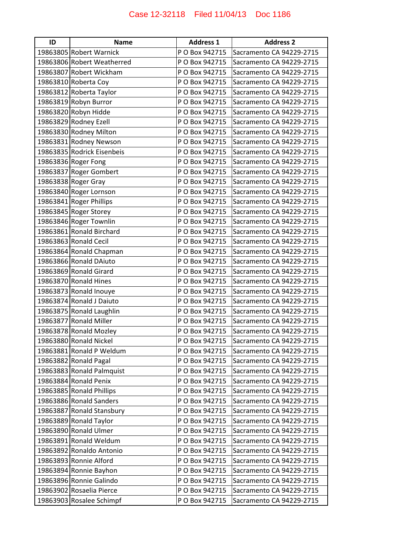| ID | <b>Name</b>                | <b>Address 1</b> | <b>Address 2</b>         |
|----|----------------------------|------------------|--------------------------|
|    | 19863805 Robert Warnick    | P O Box 942715   | Sacramento CA 94229-2715 |
|    | 19863806 Robert Weatherred | P O Box 942715   | Sacramento CA 94229-2715 |
|    | 19863807 Robert Wickham    | P O Box 942715   | Sacramento CA 94229-2715 |
|    | 19863810 Roberta Coy       | P O Box 942715   | Sacramento CA 94229-2715 |
|    | 19863812 Roberta Taylor    | P O Box 942715   | Sacramento CA 94229-2715 |
|    | 19863819 Robyn Burror      | P O Box 942715   | Sacramento CA 94229-2715 |
|    | 19863820 Robyn Hidde       | P O Box 942715   | Sacramento CA 94229-2715 |
|    | 19863829 Rodney Ezell      | P O Box 942715   | Sacramento CA 94229-2715 |
|    | 19863830 Rodney Milton     | P O Box 942715   | Sacramento CA 94229-2715 |
|    | 19863831 Rodney Newson     | P O Box 942715   | Sacramento CA 94229-2715 |
|    | 19863835 Rodrick Eisenbeis | P O Box 942715   | Sacramento CA 94229-2715 |
|    | 19863836 Roger Fong        | P O Box 942715   | Sacramento CA 94229-2715 |
|    | 19863837 Roger Gombert     | P O Box 942715   | Sacramento CA 94229-2715 |
|    | 19863838 Roger Gray        | P O Box 942715   | Sacramento CA 94229-2715 |
|    | 19863840 Roger Lornson     | P O Box 942715   | Sacramento CA 94229-2715 |
|    | 19863841 Roger Phillips    | P O Box 942715   | Sacramento CA 94229-2715 |
|    | 19863845 Roger Storey      | P O Box 942715   | Sacramento CA 94229-2715 |
|    | 19863846 Roger Townlin     | P O Box 942715   | Sacramento CA 94229-2715 |
|    | 19863861 Ronald Birchard   | P O Box 942715   | Sacramento CA 94229-2715 |
|    | 19863863 Ronald Cecil      | P O Box 942715   | Sacramento CA 94229-2715 |
|    | 19863864 Ronald Chapman    | P O Box 942715   | Sacramento CA 94229-2715 |
|    | 19863866 Ronald DAiuto     | P O Box 942715   | Sacramento CA 94229-2715 |
|    | 19863869 Ronald Girard     | P O Box 942715   | Sacramento CA 94229-2715 |
|    | 19863870 Ronald Hines      | P O Box 942715   | Sacramento CA 94229-2715 |
|    | 19863873 Ronald Inouye     | P O Box 942715   | Sacramento CA 94229-2715 |
|    | 19863874 Ronald J Daiuto   | P O Box 942715   | Sacramento CA 94229-2715 |
|    | 19863875 Ronald Laughlin   | P O Box 942715   | Sacramento CA 94229-2715 |
|    | 19863877 Ronald Miller     | P O Box 942715   | Sacramento CA 94229-2715 |
|    | 19863878 Ronald Mozley     | P O Box 942715   | Sacramento CA 94229-2715 |
|    | 19863880 Ronald Nickel     | P O Box 942715   | Sacramento CA 94229-2715 |
|    | 19863881 Ronald P Weldum   | P O Box 942715   | Sacramento CA 94229-2715 |
|    | 19863882 Ronald Pagal      | P O Box 942715   | Sacramento CA 94229-2715 |
|    | 19863883 Ronald Palmquist  | P O Box 942715   | Sacramento CA 94229-2715 |
|    | 19863884 Ronald Penix      | P O Box 942715   | Sacramento CA 94229-2715 |
|    | 19863885 Ronald Phillips   | P O Box 942715   | Sacramento CA 94229-2715 |
|    | 19863886 Ronald Sanders    | P O Box 942715   | Sacramento CA 94229-2715 |
|    | 19863887 Ronald Stansbury  | P O Box 942715   | Sacramento CA 94229-2715 |
|    | 19863889 Ronald Taylor     | P O Box 942715   | Sacramento CA 94229-2715 |
|    | 19863890 Ronald Ulmer      | P O Box 942715   | Sacramento CA 94229-2715 |
|    | 19863891 Ronald Weldum     | P O Box 942715   | Sacramento CA 94229-2715 |
|    | 19863892 Ronaldo Antonio   | P O Box 942715   | Sacramento CA 94229-2715 |
|    | 19863893 Ronnie Alford     | P O Box 942715   | Sacramento CA 94229-2715 |
|    | 19863894 Ronnie Bayhon     | P O Box 942715   | Sacramento CA 94229-2715 |
|    | 19863896 Ronnie Galindo    | P O Box 942715   | Sacramento CA 94229-2715 |
|    | 19863902 Rosaelia Pierce   | P O Box 942715   | Sacramento CA 94229-2715 |
|    | 19863903 Rosalee Schimpf   | P O Box 942715   | Sacramento CA 94229-2715 |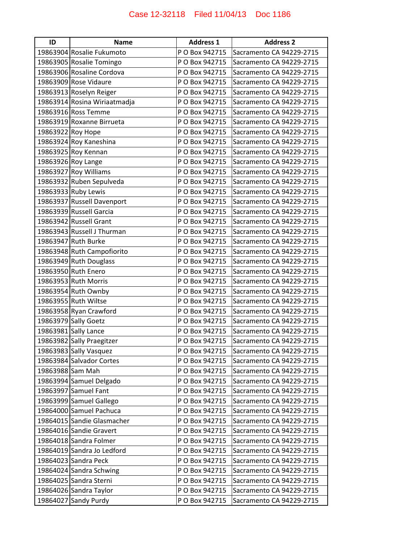| ID                | <b>Name</b>                  | <b>Address 1</b> | <b>Address 2</b>         |
|-------------------|------------------------------|------------------|--------------------------|
|                   | 19863904 Rosalie Fukumoto    | P O Box 942715   | Sacramento CA 94229-2715 |
|                   | 19863905 Rosalie Tomingo     | P O Box 942715   | Sacramento CA 94229-2715 |
|                   | 19863906 Rosaline Cordova    | P O Box 942715   | Sacramento CA 94229-2715 |
|                   | 19863909 Rose Vidaure        | P O Box 942715   | Sacramento CA 94229-2715 |
|                   | 19863913 Roselyn Reiger      | P O Box 942715   | Sacramento CA 94229-2715 |
|                   | 19863914 Rosina Wiriaatmadja | P O Box 942715   | Sacramento CA 94229-2715 |
|                   | 19863916 Ross Temme          | P O Box 942715   | Sacramento CA 94229-2715 |
|                   | 19863919 Roxanne Birrueta    | P O Box 942715   | Sacramento CA 94229-2715 |
| 19863922 Roy Hope |                              | P O Box 942715   | Sacramento CA 94229-2715 |
|                   | 19863924 Roy Kaneshina       | P O Box 942715   | Sacramento CA 94229-2715 |
|                   | 19863925 Roy Kennan          | P O Box 942715   | Sacramento CA 94229-2715 |
|                   | 19863926 Roy Lange           | P O Box 942715   | Sacramento CA 94229-2715 |
|                   | 19863927 Roy Williams        | P O Box 942715   | Sacramento CA 94229-2715 |
|                   | 19863932 Ruben Sepulveda     | P O Box 942715   | Sacramento CA 94229-2715 |
|                   | 19863933 Ruby Lewis          | P O Box 942715   | Sacramento CA 94229-2715 |
|                   | 19863937 Russell Davenport   | P O Box 942715   | Sacramento CA 94229-2715 |
|                   | 19863939 Russell Garcia      | P O Box 942715   | Sacramento CA 94229-2715 |
|                   | 19863942 Russell Grant       | P O Box 942715   | Sacramento CA 94229-2715 |
|                   | 19863943 Russell J Thurman   | P O Box 942715   | Sacramento CA 94229-2715 |
|                   | 19863947 Ruth Burke          | P O Box 942715   | Sacramento CA 94229-2715 |
|                   | 19863948 Ruth Campofiorito   | P O Box 942715   | Sacramento CA 94229-2715 |
|                   | 19863949 Ruth Douglass       | P O Box 942715   | Sacramento CA 94229-2715 |
|                   | 19863950 Ruth Enero          | P O Box 942715   | Sacramento CA 94229-2715 |
|                   | 19863953 Ruth Morris         | P O Box 942715   | Sacramento CA 94229-2715 |
|                   | 19863954 Ruth Ownby          | P O Box 942715   | Sacramento CA 94229-2715 |
|                   | 19863955 Ruth Wiltse         | P O Box 942715   | Sacramento CA 94229-2715 |
|                   | 19863958 Ryan Crawford       | P O Box 942715   | Sacramento CA 94229-2715 |
|                   | 19863979 Sally Goetz         | P O Box 942715   | Sacramento CA 94229-2715 |
|                   | 19863981 Sally Lance         | P O Box 942715   | Sacramento CA 94229-2715 |
|                   | 19863982 Sally Praegitzer    | P O Box 942715   | Sacramento CA 94229-2715 |
|                   | 19863983 Sally Vasquez       | P O Box 942715   | Sacramento CA 94229-2715 |
|                   | 19863984 Salvador Cortes     | P O Box 942715   | Sacramento CA 94229-2715 |
| 19863988 Sam Mah  |                              | P O Box 942715   | Sacramento CA 94229-2715 |
|                   | 19863994 Samuel Delgado      | P O Box 942715   | Sacramento CA 94229-2715 |
|                   | 19863997 Samuel Fant         | P O Box 942715   | Sacramento CA 94229-2715 |
|                   | 19863999 Samuel Gallego      | P O Box 942715   | Sacramento CA 94229-2715 |
|                   | 19864000 Samuel Pachuca      | P O Box 942715   | Sacramento CA 94229-2715 |
|                   | 19864015 Sandie Glasmacher   | P O Box 942715   | Sacramento CA 94229-2715 |
|                   | 19864016 Sandie Gravert      | P O Box 942715   | Sacramento CA 94229-2715 |
|                   | 19864018 Sandra Folmer       | P O Box 942715   | Sacramento CA 94229-2715 |
|                   | 19864019 Sandra Jo Ledford   | P O Box 942715   | Sacramento CA 94229-2715 |
|                   | 19864023 Sandra Peck         | P O Box 942715   | Sacramento CA 94229-2715 |
|                   | 19864024 Sandra Schwing      | P O Box 942715   | Sacramento CA 94229-2715 |
|                   | 19864025 Sandra Sterni       | P O Box 942715   | Sacramento CA 94229-2715 |
|                   | 19864026 Sandra Taylor       | P O Box 942715   | Sacramento CA 94229-2715 |
|                   | 19864027 Sandy Purdy         | P O Box 942715   | Sacramento CA 94229-2715 |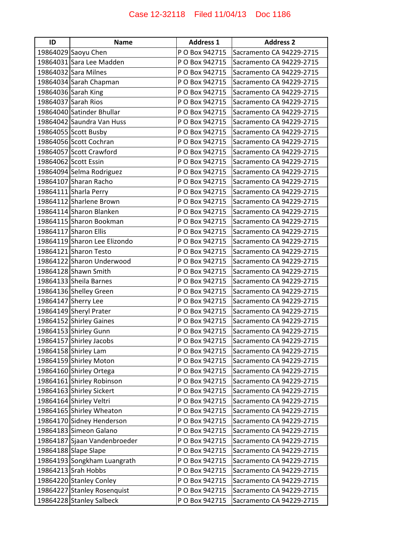| ID | <b>Name</b>                  | <b>Address 1</b> | <b>Address 2</b>         |
|----|------------------------------|------------------|--------------------------|
|    | 19864029 Saoyu Chen          | P O Box 942715   | Sacramento CA 94229-2715 |
|    | 19864031 Sara Lee Madden     | P O Box 942715   | Sacramento CA 94229-2715 |
|    | 19864032 Sara Milnes         | P O Box 942715   | Sacramento CA 94229-2715 |
|    | 19864034 Sarah Chapman       | P O Box 942715   | Sacramento CA 94229-2715 |
|    | 19864036 Sarah King          | P O Box 942715   | Sacramento CA 94229-2715 |
|    | 19864037 Sarah Rios          | P O Box 942715   | Sacramento CA 94229-2715 |
|    | 19864040 Satinder Bhullar    | P O Box 942715   | Sacramento CA 94229-2715 |
|    | 19864042 Saundra Van Huss    | P O Box 942715   | Sacramento CA 94229-2715 |
|    | 19864055 Scott Busby         | P O Box 942715   | Sacramento CA 94229-2715 |
|    | 19864056 Scott Cochran       | P O Box 942715   | Sacramento CA 94229-2715 |
|    | 19864057 Scott Crawford      | P O Box 942715   | Sacramento CA 94229-2715 |
|    | 19864062 Scott Essin         | P O Box 942715   | Sacramento CA 94229-2715 |
|    | 19864094 Selma Rodriguez     | P O Box 942715   | Sacramento CA 94229-2715 |
|    | 19864107 Sharan Racho        | P O Box 942715   | Sacramento CA 94229-2715 |
|    | 19864111 Sharla Perry        | P O Box 942715   | Sacramento CA 94229-2715 |
|    | 19864112 Sharlene Brown      | P O Box 942715   | Sacramento CA 94229-2715 |
|    | 19864114 Sharon Blanken      | P O Box 942715   | Sacramento CA 94229-2715 |
|    | 19864115 Sharon Bookman      | P O Box 942715   | Sacramento CA 94229-2715 |
|    | 19864117 Sharon Ellis        | P O Box 942715   | Sacramento CA 94229-2715 |
|    | 19864119 Sharon Lee Elizondo | P O Box 942715   | Sacramento CA 94229-2715 |
|    | 19864121 Sharon Testo        | P O Box 942715   | Sacramento CA 94229-2715 |
|    | 19864122 Sharon Underwood    | P O Box 942715   | Sacramento CA 94229-2715 |
|    | 19864128 Shawn Smith         | P O Box 942715   | Sacramento CA 94229-2715 |
|    | 19864133 Sheila Barnes       | P O Box 942715   | Sacramento CA 94229-2715 |
|    | 19864136 Shelley Green       | P O Box 942715   | Sacramento CA 94229-2715 |
|    | 19864147 Sherry Lee          | P O Box 942715   | Sacramento CA 94229-2715 |
|    | 19864149 Sheryl Prater       | P O Box 942715   | Sacramento CA 94229-2715 |
|    | 19864152 Shirley Gaines      | P O Box 942715   | Sacramento CA 94229-2715 |
|    | 19864153 Shirley Gunn        | P O Box 942715   | Sacramento CA 94229-2715 |
|    | 19864157 Shirley Jacobs      | P O Box 942715   | Sacramento CA 94229-2715 |
|    | 19864158 Shirley Lam         | P O Box 942715   | Sacramento CA 94229-2715 |
|    | 19864159 Shirley Moton       | P O Box 942715   | Sacramento CA 94229-2715 |
|    | 19864160 Shirley Ortega      | P O Box 942715   | Sacramento CA 94229-2715 |
|    | 19864161 Shirley Robinson    | P O Box 942715   | Sacramento CA 94229-2715 |
|    | 19864163 Shirley Sickert     | P O Box 942715   | Sacramento CA 94229-2715 |
|    | 19864164 Shirley Veltri      | P O Box 942715   | Sacramento CA 94229-2715 |
|    | 19864165 Shirley Wheaton     | P O Box 942715   | Sacramento CA 94229-2715 |
|    | 19864170 Sidney Henderson    | P O Box 942715   | Sacramento CA 94229-2715 |
|    | 19864183 Simeon Galano       | P O Box 942715   | Sacramento CA 94229-2715 |
|    | 19864187 Sjaan Vandenbroeder | P O Box 942715   | Sacramento CA 94229-2715 |
|    | 19864188 Slape Slape         | P O Box 942715   | Sacramento CA 94229-2715 |
|    | 19864193 Songkham Luangrath  | P O Box 942715   | Sacramento CA 94229-2715 |
|    | 19864213 Srah Hobbs          | P O Box 942715   | Sacramento CA 94229-2715 |
|    | 19864220 Stanley Conley      | P O Box 942715   | Sacramento CA 94229-2715 |
|    | 19864227 Stanley Rosenquist  | P O Box 942715   | Sacramento CA 94229-2715 |
|    | 19864228 Stanley Salbeck     | P O Box 942715   | Sacramento CA 94229-2715 |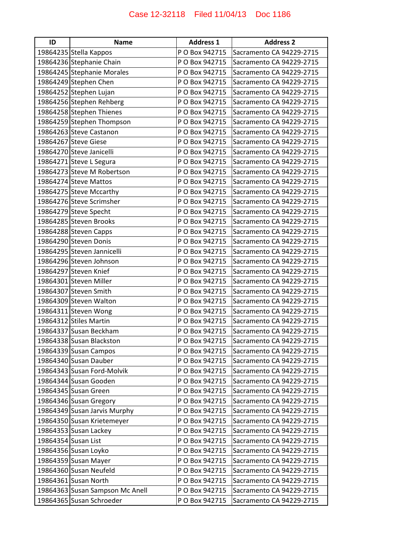| ID | <b>Name</b>                     | <b>Address 1</b> | <b>Address 2</b>         |
|----|---------------------------------|------------------|--------------------------|
|    | 19864235 Stella Kappos          | P O Box 942715   | Sacramento CA 94229-2715 |
|    | 19864236 Stephanie Chain        | P O Box 942715   | Sacramento CA 94229-2715 |
|    | 19864245 Stephanie Morales      | P O Box 942715   | Sacramento CA 94229-2715 |
|    | 19864249 Stephen Chen           | P O Box 942715   | Sacramento CA 94229-2715 |
|    | 19864252 Stephen Lujan          | P O Box 942715   | Sacramento CA 94229-2715 |
|    | 19864256 Stephen Rehberg        | P O Box 942715   | Sacramento CA 94229-2715 |
|    | 19864258 Stephen Thienes        | P O Box 942715   | Sacramento CA 94229-2715 |
|    | 19864259 Stephen Thompson       | P O Box 942715   | Sacramento CA 94229-2715 |
|    | 19864263 Steve Castanon         | P O Box 942715   | Sacramento CA 94229-2715 |
|    | 19864267 Steve Giese            | P O Box 942715   | Sacramento CA 94229-2715 |
|    | 19864270 Steve Janicelli        | P O Box 942715   | Sacramento CA 94229-2715 |
|    | 19864271 Steve L Segura         | P O Box 942715   | Sacramento CA 94229-2715 |
|    | 19864273 Steve M Robertson      | P O Box 942715   | Sacramento CA 94229-2715 |
|    | 19864274 Steve Mattos           | P O Box 942715   | Sacramento CA 94229-2715 |
|    | 19864275 Steve Mccarthy         | P O Box 942715   | Sacramento CA 94229-2715 |
|    | 19864276 Steve Scrimsher        | P O Box 942715   | Sacramento CA 94229-2715 |
|    | 19864279 Steve Specht           | P O Box 942715   | Sacramento CA 94229-2715 |
|    | 19864285 Steven Brooks          | P O Box 942715   | Sacramento CA 94229-2715 |
|    | 19864288 Steven Capps           | P O Box 942715   | Sacramento CA 94229-2715 |
|    | 19864290 Steven Donis           | P O Box 942715   | Sacramento CA 94229-2715 |
|    | 19864295 Steven Jannicelli      | P O Box 942715   | Sacramento CA 94229-2715 |
|    | 19864296 Steven Johnson         | P O Box 942715   | Sacramento CA 94229-2715 |
|    | 19864297 Steven Knief           | P O Box 942715   | Sacramento CA 94229-2715 |
|    | 19864301 Steven Miller          | P O Box 942715   | Sacramento CA 94229-2715 |
|    | 19864307 Steven Smith           | P O Box 942715   | Sacramento CA 94229-2715 |
|    | 19864309 Steven Walton          | P O Box 942715   | Sacramento CA 94229-2715 |
|    | 19864311 Steven Wong            | P O Box 942715   | Sacramento CA 94229-2715 |
|    | 19864312 Stiles Martin          | P O Box 942715   | Sacramento CA 94229-2715 |
|    | 19864337 Susan Beckham          | P O Box 942715   | Sacramento CA 94229-2715 |
|    | 19864338 Susan Blackston        | P O Box 942715   | Sacramento CA 94229-2715 |
|    | 19864339 Susan Campos           | P O Box 942715   | Sacramento CA 94229-2715 |
|    | 19864340 Susan Dauber           | P O Box 942715   | Sacramento CA 94229-2715 |
|    | 19864343 Susan Ford-Molvik      | P O Box 942715   | Sacramento CA 94229-2715 |
|    | 19864344 Susan Gooden           | P O Box 942715   | Sacramento CA 94229-2715 |
|    | 19864345 Susan Green            | P O Box 942715   | Sacramento CA 94229-2715 |
|    | 19864346 Susan Gregory          | P O Box 942715   | Sacramento CA 94229-2715 |
|    | 19864349 Susan Jarvis Murphy    | P O Box 942715   | Sacramento CA 94229-2715 |
|    | 19864350 Susan Krietemeyer      | P O Box 942715   | Sacramento CA 94229-2715 |
|    | 19864353 Susan Lackey           | P O Box 942715   | Sacramento CA 94229-2715 |
|    | 19864354 Susan List             | P O Box 942715   | Sacramento CA 94229-2715 |
|    | 19864356 Susan Loyko            | P O Box 942715   | Sacramento CA 94229-2715 |
|    | 19864359 Susan Mayer            | P O Box 942715   | Sacramento CA 94229-2715 |
|    | 19864360 Susan Neufeld          | P O Box 942715   | Sacramento CA 94229-2715 |
|    | 19864361 Susan North            | P O Box 942715   | Sacramento CA 94229-2715 |
|    | 19864363 Susan Sampson Mc Anell | P O Box 942715   | Sacramento CA 94229-2715 |
|    | 19864365 Susan Schroeder        | P O Box 942715   | Sacramento CA 94229-2715 |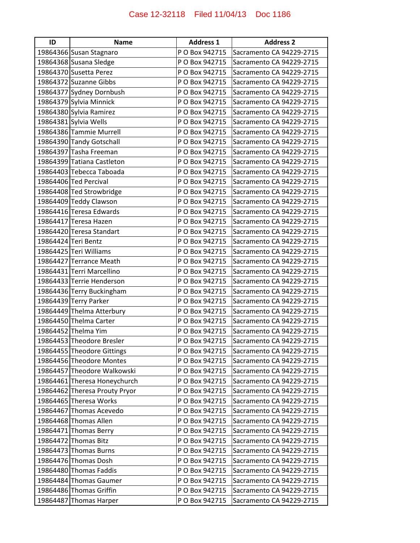| ID | <b>Name</b>                   | <b>Address 1</b> | <b>Address 2</b>         |
|----|-------------------------------|------------------|--------------------------|
|    | 19864366 Susan Stagnaro       | P O Box 942715   | Sacramento CA 94229-2715 |
|    | 19864368 Susana Sledge        | P O Box 942715   | Sacramento CA 94229-2715 |
|    | 19864370 Susetta Perez        | P O Box 942715   | Sacramento CA 94229-2715 |
|    | 19864372 Suzanne Gibbs        | P O Box 942715   | Sacramento CA 94229-2715 |
|    | 19864377 Sydney Dornbush      | P O Box 942715   | Sacramento CA 94229-2715 |
|    | 19864379 Sylvia Minnick       | P O Box 942715   | Sacramento CA 94229-2715 |
|    | 19864380 Sylvia Ramirez       | P O Box 942715   | Sacramento CA 94229-2715 |
|    | 19864381 Sylvia Wells         | P O Box 942715   | Sacramento CA 94229-2715 |
|    | 19864386 Tammie Murrell       | P O Box 942715   | Sacramento CA 94229-2715 |
|    | 19864390 Tandy Gotschall      | P O Box 942715   | Sacramento CA 94229-2715 |
|    | 19864397 Tasha Freeman        | P O Box 942715   | Sacramento CA 94229-2715 |
|    | 19864399 Tatiana Castleton    | P O Box 942715   | Sacramento CA 94229-2715 |
|    | 19864403 Tebecca Taboada      | P O Box 942715   | Sacramento CA 94229-2715 |
|    | 19864406 Ted Percival         | P O Box 942715   | Sacramento CA 94229-2715 |
|    | 19864408 Ted Strowbridge      | P O Box 942715   | Sacramento CA 94229-2715 |
|    | 19864409 Teddy Clawson        | P O Box 942715   | Sacramento CA 94229-2715 |
|    | 19864416 Teresa Edwards       | P O Box 942715   | Sacramento CA 94229-2715 |
|    | 19864417 Teresa Hazen         | P O Box 942715   | Sacramento CA 94229-2715 |
|    | 19864420 Teresa Standart      | P O Box 942715   | Sacramento CA 94229-2715 |
|    | 19864424 Teri Bentz           | P O Box 942715   | Sacramento CA 94229-2715 |
|    | 19864425 Teri Williams        | P O Box 942715   | Sacramento CA 94229-2715 |
|    | 19864427 Terrance Meath       | P O Box 942715   | Sacramento CA 94229-2715 |
|    | 19864431 Terri Marcellino     | P O Box 942715   | Sacramento CA 94229-2715 |
|    | 19864433 Terrie Henderson     | P O Box 942715   | Sacramento CA 94229-2715 |
|    | 19864436 Terry Buckingham     | P O Box 942715   | Sacramento CA 94229-2715 |
|    | 19864439 Terry Parker         | P O Box 942715   | Sacramento CA 94229-2715 |
|    | 19864449 Thelma Atterbury     | P O Box 942715   | Sacramento CA 94229-2715 |
|    | 19864450 Thelma Carter        | P O Box 942715   | Sacramento CA 94229-2715 |
|    | 19864452 Thelma Yim           | P O Box 942715   | Sacramento CA 94229-2715 |
|    | 19864453 Theodore Bresler     | P O Box 942715   | Sacramento CA 94229-2715 |
|    | 19864455 Theodore Gittings    | P O Box 942715   | Sacramento CA 94229-2715 |
|    | 19864456 Theodore Montes      | P O Box 942715   | Sacramento CA 94229-2715 |
|    | 19864457 Theodore Walkowski   | P O Box 942715   | Sacramento CA 94229-2715 |
|    | 19864461 Theresa Honeychurch  | P O Box 942715   | Sacramento CA 94229-2715 |
|    | 19864462 Theresa Prouty Pryor | P O Box 942715   | Sacramento CA 94229-2715 |
|    | 19864465 Theresa Works        | P O Box 942715   | Sacramento CA 94229-2715 |
|    | 19864467 Thomas Acevedo       | P O Box 942715   | Sacramento CA 94229-2715 |
|    | 19864468 Thomas Allen         | P O Box 942715   | Sacramento CA 94229-2715 |
|    | 19864471 Thomas Berry         | P O Box 942715   | Sacramento CA 94229-2715 |
|    | 19864472 Thomas Bitz          | P O Box 942715   | Sacramento CA 94229-2715 |
|    | 19864473 Thomas Burns         | P O Box 942715   | Sacramento CA 94229-2715 |
|    | 19864476 Thomas Dosh          | P O Box 942715   | Sacramento CA 94229-2715 |
|    | 19864480 Thomas Faddis        | P O Box 942715   | Sacramento CA 94229-2715 |
|    | 19864484 Thomas Gaumer        | P O Box 942715   | Sacramento CA 94229-2715 |
|    | 19864486 Thomas Griffin       | P O Box 942715   | Sacramento CA 94229-2715 |
|    | 19864487 Thomas Harper        | P O Box 942715   | Sacramento CA 94229-2715 |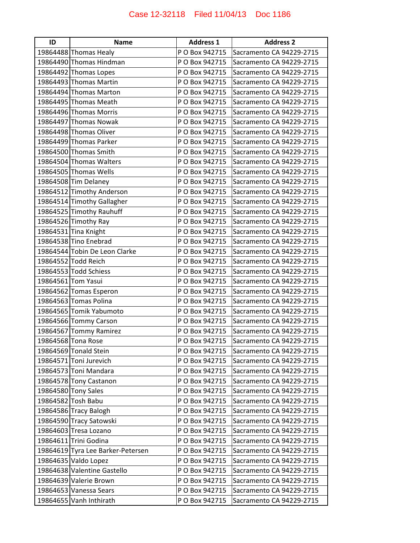| ID | <b>Name</b>                       | <b>Address 1</b> | <b>Address 2</b>         |
|----|-----------------------------------|------------------|--------------------------|
|    | 19864488 Thomas Healy             | P O Box 942715   | Sacramento CA 94229-2715 |
|    | 19864490 Thomas Hindman           | P O Box 942715   | Sacramento CA 94229-2715 |
|    | 19864492 Thomas Lopes             | P O Box 942715   | Sacramento CA 94229-2715 |
|    | 19864493 Thomas Martin            | P O Box 942715   | Sacramento CA 94229-2715 |
|    | 19864494 Thomas Marton            | P O Box 942715   | Sacramento CA 94229-2715 |
|    | 19864495 Thomas Meath             | P O Box 942715   | Sacramento CA 94229-2715 |
|    | 19864496 Thomas Morris            | P O Box 942715   | Sacramento CA 94229-2715 |
|    | 19864497 Thomas Nowak             | P O Box 942715   | Sacramento CA 94229-2715 |
|    | 19864498 Thomas Oliver            | P O Box 942715   | Sacramento CA 94229-2715 |
|    | 19864499 Thomas Parker            | P O Box 942715   | Sacramento CA 94229-2715 |
|    | 19864500 Thomas Smith             | P O Box 942715   | Sacramento CA 94229-2715 |
|    | 19864504 Thomas Walters           | P O Box 942715   | Sacramento CA 94229-2715 |
|    | 19864505 Thomas Wells             | P O Box 942715   | Sacramento CA 94229-2715 |
|    | 19864508 Tim Delaney              | P O Box 942715   | Sacramento CA 94229-2715 |
|    | 19864512 Timothy Anderson         | P O Box 942715   | Sacramento CA 94229-2715 |
|    | 19864514 Timothy Gallagher        | P O Box 942715   | Sacramento CA 94229-2715 |
|    | 19864525 Timothy Rauhuff          | P O Box 942715   | Sacramento CA 94229-2715 |
|    | 19864526 Timothy Ray              | P O Box 942715   | Sacramento CA 94229-2715 |
|    | 19864531 Tina Knight              | P O Box 942715   | Sacramento CA 94229-2715 |
|    | 19864538 Tino Enebrad             | P O Box 942715   | Sacramento CA 94229-2715 |
|    | 19864544 Tobin De Leon Clarke     | P O Box 942715   | Sacramento CA 94229-2715 |
|    | 19864552 Todd Reich               | P O Box 942715   | Sacramento CA 94229-2715 |
|    | 19864553 Todd Schiess             | P O Box 942715   | Sacramento CA 94229-2715 |
|    | 19864561 Tom Yasui                | P O Box 942715   | Sacramento CA 94229-2715 |
|    | 19864562 Tomas Esperon            | P O Box 942715   | Sacramento CA 94229-2715 |
|    | 19864563 Tomas Polina             | P O Box 942715   | Sacramento CA 94229-2715 |
|    | 19864565 Tomik Yabumoto           | P O Box 942715   | Sacramento CA 94229-2715 |
|    | 19864566 Tommy Carson             | P O Box 942715   | Sacramento CA 94229-2715 |
|    | 19864567 Tommy Ramirez            | P O Box 942715   | Sacramento CA 94229-2715 |
|    | 19864568 Tona Rose                | P O Box 942715   | Sacramento CA 94229-2715 |
|    | 19864569 Tonald Stein             | P O Box 942715   | Sacramento CA 94229-2715 |
|    | 19864571 Toni Jurevich            | P O Box 942715   | Sacramento CA 94229-2715 |
|    | 19864573 Toni Mandara             | P O Box 942715   | Sacramento CA 94229-2715 |
|    | 19864578 Tony Castanon            | P O Box 942715   | Sacramento CA 94229-2715 |
|    | 19864580 Tony Sales               | P O Box 942715   | Sacramento CA 94229-2715 |
|    | 19864582 Tosh Babu                | P O Box 942715   | Sacramento CA 94229-2715 |
|    | 19864586 Tracy Balogh             | P O Box 942715   | Sacramento CA 94229-2715 |
|    | 19864590 Tracy Satowski           | P O Box 942715   | Sacramento CA 94229-2715 |
|    | 19864603 Tresa Lozano             | P O Box 942715   | Sacramento CA 94229-2715 |
|    | 19864611 Trini Godina             | P O Box 942715   | Sacramento CA 94229-2715 |
|    | 19864619 Tyra Lee Barker-Petersen | P O Box 942715   | Sacramento CA 94229-2715 |
|    | 19864635 Valdo Lopez              | P O Box 942715   | Sacramento CA 94229-2715 |
|    | 19864638 Valentine Gastello       | P O Box 942715   | Sacramento CA 94229-2715 |
|    | 19864639 Valerie Brown            | P O Box 942715   | Sacramento CA 94229-2715 |
|    | 19864653 Vanessa Sears            | P O Box 942715   | Sacramento CA 94229-2715 |
|    | 19864655 Vanh Inthirath           | P O Box 942715   | Sacramento CA 94229-2715 |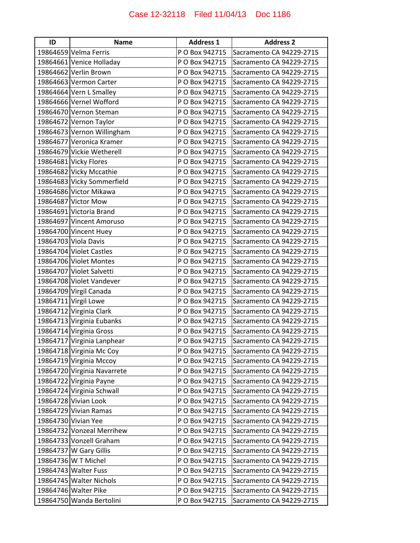| ID | <b>Name</b>                 | <b>Address 1</b> | <b>Address 2</b>         |
|----|-----------------------------|------------------|--------------------------|
|    | 19864659 Velma Ferris       | P O Box 942715   | Sacramento CA 94229-2715 |
|    | 19864661 Venice Holladay    | P O Box 942715   | Sacramento CA 94229-2715 |
|    | 19864662 Verlin Brown       | P O Box 942715   | Sacramento CA 94229-2715 |
|    | 19864663 Vermon Carter      | P O Box 942715   | Sacramento CA 94229-2715 |
|    | 19864664 Vern L Smalley     | P O Box 942715   | Sacramento CA 94229-2715 |
|    | 19864666 Vernel Wofford     | P O Box 942715   | Sacramento CA 94229-2715 |
|    | 19864670 Vernon Steman      | P O Box 942715   | Sacramento CA 94229-2715 |
|    | 19864672 Vernon Taylor      | P O Box 942715   | Sacramento CA 94229-2715 |
|    | 19864673 Vernon Willingham  | P O Box 942715   | Sacramento CA 94229-2715 |
|    | 19864677 Veronica Kramer    | P O Box 942715   | Sacramento CA 94229-2715 |
|    | 19864679 Vickie Wetherell   | P O Box 942715   | Sacramento CA 94229-2715 |
|    | 19864681 Vicky Flores       | P O Box 942715   | Sacramento CA 94229-2715 |
|    | 19864682 Vicky Mccathie     | P O Box 942715   | Sacramento CA 94229-2715 |
|    | 19864683 Vicky Sommerfield  | P O Box 942715   | Sacramento CA 94229-2715 |
|    | 19864686 Victor Mikawa      | P O Box 942715   | Sacramento CA 94229-2715 |
|    | 19864687 Victor Mow         | P O Box 942715   | Sacramento CA 94229-2715 |
|    | 19864691 Victoria Brand     | P O Box 942715   | Sacramento CA 94229-2715 |
|    | 19864697 Vincent Amoruso    | P O Box 942715   | Sacramento CA 94229-2715 |
|    | 19864700 Vincent Huey       | P O Box 942715   | Sacramento CA 94229-2715 |
|    | 19864703 Viola Davis        | P O Box 942715   | Sacramento CA 94229-2715 |
|    | 19864704 Violet Castles     | P O Box 942715   | Sacramento CA 94229-2715 |
|    | 19864706 Violet Montes      | P O Box 942715   | Sacramento CA 94229-2715 |
|    | 19864707 Violet Salvetti    | P O Box 942715   | Sacramento CA 94229-2715 |
|    | 19864708 Violet Vandever    | P O Box 942715   | Sacramento CA 94229-2715 |
|    | 19864709 Virgil Canada      | P O Box 942715   | Sacramento CA 94229-2715 |
|    | 19864711 Virgil Lowe        | P O Box 942715   | Sacramento CA 94229-2715 |
|    | 19864712 Virginia Clark     | P O Box 942715   | Sacramento CA 94229-2715 |
|    | 19864713 Virginia Eubanks   | P O Box 942715   | Sacramento CA 94229-2715 |
|    | 19864714 Virginia Gross     | P O Box 942715   | Sacramento CA 94229-2715 |
|    | 19864717 Virginia Lanphear  | P O Box 942715   | Sacramento CA 94229-2715 |
|    | 19864718 Virginia Mc Coy    | P O Box 942715   | Sacramento CA 94229-2715 |
|    | 19864719 Virginia Mccoy     | P O Box 942715   | Sacramento CA 94229-2715 |
|    | 19864720 Virginia Navarrete | P O Box 942715   | Sacramento CA 94229-2715 |
|    | 19864722 Virginia Payne     | P O Box 942715   | Sacramento CA 94229-2715 |
|    | 19864724 Virginia Schwall   | P O Box 942715   | Sacramento CA 94229-2715 |
|    | 19864728 Vivian Look        | P O Box 942715   | Sacramento CA 94229-2715 |
|    | 19864729 Vivian Ramas       | P O Box 942715   | Sacramento CA 94229-2715 |
|    | 19864730 Vivian Yee         | P O Box 942715   | Sacramento CA 94229-2715 |
|    | 19864732 Vonzeal Merrihew   | P O Box 942715   | Sacramento CA 94229-2715 |
|    | 19864733 Vonzell Graham     | P O Box 942715   | Sacramento CA 94229-2715 |
|    | 19864737 W Gary Gillis      | P O Box 942715   | Sacramento CA 94229-2715 |
|    | 19864736 W T Michel         | P O Box 942715   | Sacramento CA 94229-2715 |
|    | 19864743 Walter Fuss        | P O Box 942715   | Sacramento CA 94229-2715 |
|    | 19864745 Walter Nichols     | P O Box 942715   | Sacramento CA 94229-2715 |
|    | 19864746 Walter Pike        | P O Box 942715   | Sacramento CA 94229-2715 |
|    | 19864750 Wanda Bertolini    | P O Box 942715   | Sacramento CA 94229-2715 |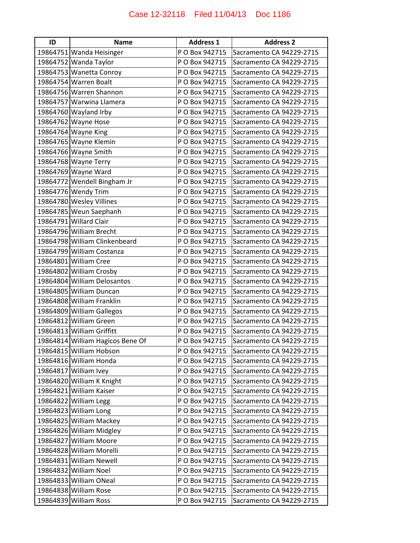| ID | <b>Name</b>                      | <b>Address 1</b> | <b>Address 2</b>         |
|----|----------------------------------|------------------|--------------------------|
|    | 19864751 Wanda Heisinger         | P O Box 942715   | Sacramento CA 94229-2715 |
|    | 19864752 Wanda Taylor            | P O Box 942715   | Sacramento CA 94229-2715 |
|    | 19864753 Wanetta Conroy          | P O Box 942715   | Sacramento CA 94229-2715 |
|    | 19864754 Warren Boalt            | P O Box 942715   | Sacramento CA 94229-2715 |
|    | 19864756 Warren Shannon          | P O Box 942715   | Sacramento CA 94229-2715 |
|    | 19864757 Warwina Llamera         | P O Box 942715   | Sacramento CA 94229-2715 |
|    | 19864760 Wayland Irby            | P O Box 942715   | Sacramento CA 94229-2715 |
|    | 19864762 Wayne Hose              | P O Box 942715   | Sacramento CA 94229-2715 |
|    | 19864764 Wayne King              | P O Box 942715   | Sacramento CA 94229-2715 |
|    | 19864765 Wayne Klemin            | P O Box 942715   | Sacramento CA 94229-2715 |
|    | 19864766 Wayne Smith             | P O Box 942715   | Sacramento CA 94229-2715 |
|    | 19864768 Wayne Terry             | P O Box 942715   | Sacramento CA 94229-2715 |
|    | 19864769 Wayne Ward              | P O Box 942715   | Sacramento CA 94229-2715 |
|    | 19864772 Wendell Bingham Jr      | P O Box 942715   | Sacramento CA 94229-2715 |
|    | 19864776 Wendy Trim              | P O Box 942715   | Sacramento CA 94229-2715 |
|    | 19864780 Wesley Villines         | P O Box 942715   | Sacramento CA 94229-2715 |
|    | 19864785 Weun Saephanh           | P O Box 942715   | Sacramento CA 94229-2715 |
|    | 19864791 Willard Clair           | P O Box 942715   | Sacramento CA 94229-2715 |
|    | 19864796 William Brecht          | P O Box 942715   | Sacramento CA 94229-2715 |
|    | 19864798 William Clinkenbeard    | P O Box 942715   | Sacramento CA 94229-2715 |
|    | 19864799 William Costanza        | P O Box 942715   | Sacramento CA 94229-2715 |
|    | 19864801 William Cree            | P O Box 942715   | Sacramento CA 94229-2715 |
|    | 19864802 William Crosby          | P O Box 942715   | Sacramento CA 94229-2715 |
|    | 19864804 William Delosantos      | P O Box 942715   | Sacramento CA 94229-2715 |
|    | 19864805 William Duncan          | P O Box 942715   | Sacramento CA 94229-2715 |
|    | 19864808 William Franklin        | P O Box 942715   | Sacramento CA 94229-2715 |
|    | 19864809 William Gallegos        | P O Box 942715   | Sacramento CA 94229-2715 |
|    | 19864812 William Green           | P O Box 942715   | Sacramento CA 94229-2715 |
|    | 19864813 William Griffitt        | P O Box 942715   | Sacramento CA 94229-2715 |
|    | 19864814 William Hagicos Bene Of | P O Box 942715   | Sacramento CA 94229-2715 |
|    | 19864815 William Hobson          | P O Box 942715   | Sacramento CA 94229-2715 |
|    | 19864816 William Honda           | P O Box 942715   | Sacramento CA 94229-2715 |
|    | 19864817 William Ivey            | P O Box 942715   | Sacramento CA 94229-2715 |
|    | 19864820 William K Knight        | P O Box 942715   | Sacramento CA 94229-2715 |
|    | 19864821 William Kaiser          | P O Box 942715   | Sacramento CA 94229-2715 |
|    | 19864822 William Legg            | P O Box 942715   | Sacramento CA 94229-2715 |
|    | 19864823 William Long            | P O Box 942715   | Sacramento CA 94229-2715 |
|    | 19864825 William Mackey          | P O Box 942715   | Sacramento CA 94229-2715 |
|    | 19864826 William Midgley         | P O Box 942715   | Sacramento CA 94229-2715 |
|    | 19864827 William Moore           | P O Box 942715   | Sacramento CA 94229-2715 |
|    | 19864828 William Morelli         | P O Box 942715   | Sacramento CA 94229-2715 |
|    | 19864831 William Newell          | P O Box 942715   | Sacramento CA 94229-2715 |
|    | 19864832 William Noel            | P O Box 942715   | Sacramento CA 94229-2715 |
|    | 19864833 William ONeal           | P O Box 942715   | Sacramento CA 94229-2715 |
|    | 19864838 William Rose            | P O Box 942715   | Sacramento CA 94229-2715 |
|    | 19864839 William Ross            | P O Box 942715   | Sacramento CA 94229-2715 |